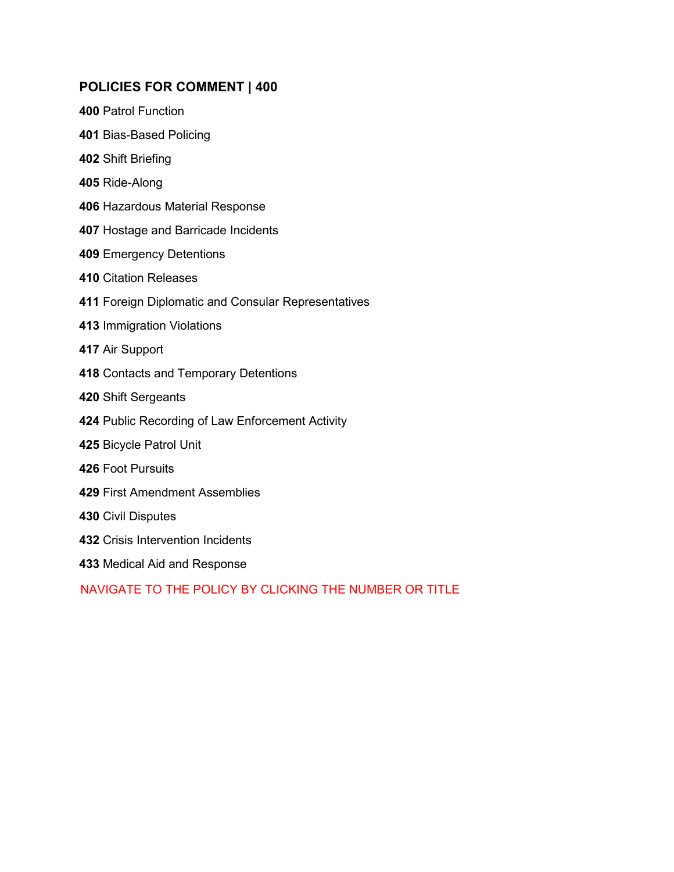### **POLICIES FOR COMMENT | 400**

- [Patrol Function](#page-1-0)
- [Bias-Based Policing](#page-4-0)
- [Shift Briefing](#page-7-0)
- [Ride-Along](#page-8-0)
- [Hazardous Material Response](#page-11-0)
- [Hostage and Barricade Incidents](#page-14-0)
- [Emergency Detentions](#page-19-0)
- [Citation Releases](#page-23-0)
- [Foreign Diplomatic and Consular Representatives](#page-25-0)
- [Immigration Violations](#page-29-0)
- [Air Support](#page-32-0)
- [Contacts and Temporary Detentions](#page-33-0)
- [Shift Sergeants](#page-37-0)
- [Public Recording of Law Enforcement Activity](#page-38-0)
- [Bicycle Patrol Unit](#page-41-0)
- [Foot Pursuits](#page-45-0)
- [First Amendment Assemblies](#page-50-0)
- [Civil Disputes](#page-57-0)
- [Crisis Intervention](#page-60-0) Incidents
- [Medical Aid and Response](#page-65-0)

### NAVIGATE TO THE POLICY BY CLICKING THE NUMBER OR TITLE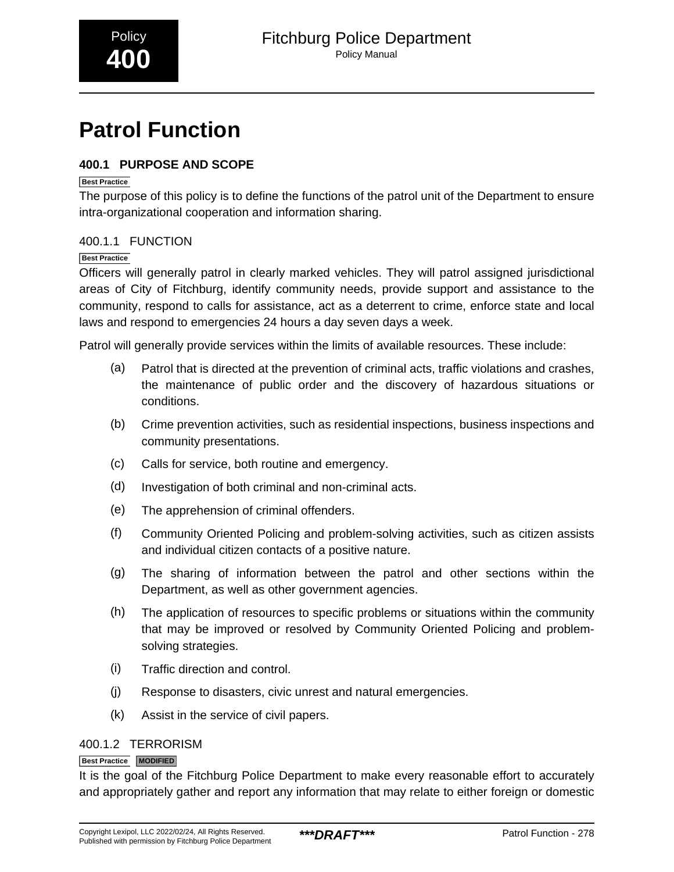# <span id="page-1-0"></span>**Patrol Function**

### **400.1 PURPOSE AND SCOPE**

### **Best Practice**

The purpose of this policy is to define the functions of the patrol unit of the Department to ensure intra-organizational cooperation and information sharing.

### 400.1.1 FUNCTION

### **Best Practice**

Officers will generally patrol in clearly marked vehicles. They will patrol assigned jurisdictional areas of City of Fitchburg, identify community needs, provide support and assistance to the community, respond to calls for assistance, act as a deterrent to crime, enforce state and local laws and respond to emergencies 24 hours a day seven days a week.

Patrol will generally provide services within the limits of available resources. These include:

- (a) Patrol that is directed at the prevention of criminal acts, traffic violations and crashes, the maintenance of public order and the discovery of hazardous situations or conditions.
- (b) Crime prevention activities, such as residential inspections, business inspections and community presentations.
- (c) Calls for service, both routine and emergency.
- (d) Investigation of both criminal and non-criminal acts.
- (e) The apprehension of criminal offenders.
- (f) Community Oriented Policing and problem-solving activities, such as citizen assists and individual citizen contacts of a positive nature.
- (g) The sharing of information between the patrol and other sections within the Department, as well as other government agencies.
- (h) The application of resources to specific problems or situations within the community that may be improved or resolved by Community Oriented Policing and problemsolving strategies.
- (i) Traffic direction and control.
- (j) Response to disasters, civic unrest and natural emergencies.
- (k) Assist in the service of civil papers.

### 400.1.2 TERRORISM

### **Best Practice MODIFIED**

It is the goal of the Fitchburg Police Department to make every reasonable effort to accurately and appropriately gather and report any information that may relate to either foreign or domestic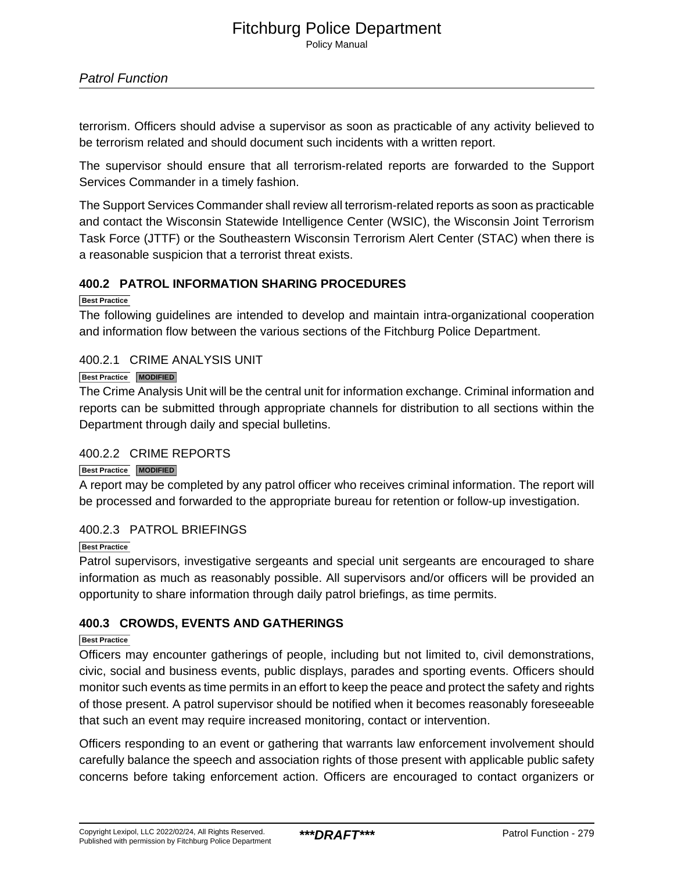terrorism. Officers should advise a supervisor as soon as practicable of any activity believed to be terrorism related and should document such incidents with a written report.

The supervisor should ensure that all terrorism-related reports are forwarded to the Support Services Commander in a timely fashion.

The Support Services Commander shall review all terrorism-related reports as soon as practicable and contact the Wisconsin Statewide Intelligence Center (WSIC), the Wisconsin Joint Terrorism Task Force (JTTF) or the Southeastern Wisconsin Terrorism Alert Center (STAC) when there is a reasonable suspicion that a terrorist threat exists.

### **400.2 PATROL INFORMATION SHARING PROCEDURES**

**Best Practice**

The following guidelines are intended to develop and maintain intra-organizational cooperation and information flow between the various sections of the Fitchburg Police Department.

### 400.2.1 CRIME ANALYSIS UNIT

### **Best Practice MODIFIED**

The Crime Analysis Unit will be the central unit for information exchange. Criminal information and reports can be submitted through appropriate channels for distribution to all sections within the Department through daily and special bulletins.

### 400.2.2 CRIME REPORTS

### **Best Practice MODIFIED**

A report may be completed by any patrol officer who receives criminal information. The report will be processed and forwarded to the appropriate bureau for retention or follow-up investigation.

### 400.2.3 PATROL BRIEFINGS

### **Best Practice**

Patrol supervisors, investigative sergeants and special unit sergeants are encouraged to share information as much as reasonably possible. All supervisors and/or officers will be provided an opportunity to share information through daily patrol briefings, as time permits.

### **400.3 CROWDS, EVENTS AND GATHERINGS**

### **Best Practice**

Officers may encounter gatherings of people, including but not limited to, civil demonstrations, civic, social and business events, public displays, parades and sporting events. Officers should monitor such events as time permits in an effort to keep the peace and protect the safety and rights of those present. A patrol supervisor should be notified when it becomes reasonably foreseeable that such an event may require increased monitoring, contact or intervention.

Officers responding to an event or gathering that warrants law enforcement involvement should carefully balance the speech and association rights of those present with applicable public safety concerns before taking enforcement action. Officers are encouraged to contact organizers or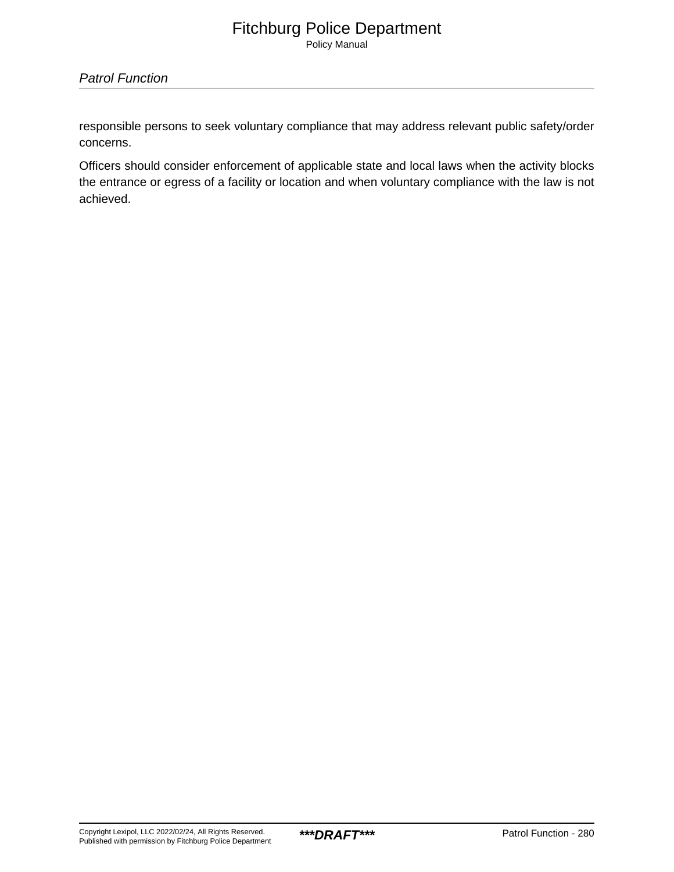Policy Manual

### Patrol Function

responsible persons to seek voluntary compliance that may address relevant public safety/order concerns.

Officers should consider enforcement of applicable state and local laws when the activity blocks the entrance or egress of a facility or location and when voluntary compliance with the law is not achieved.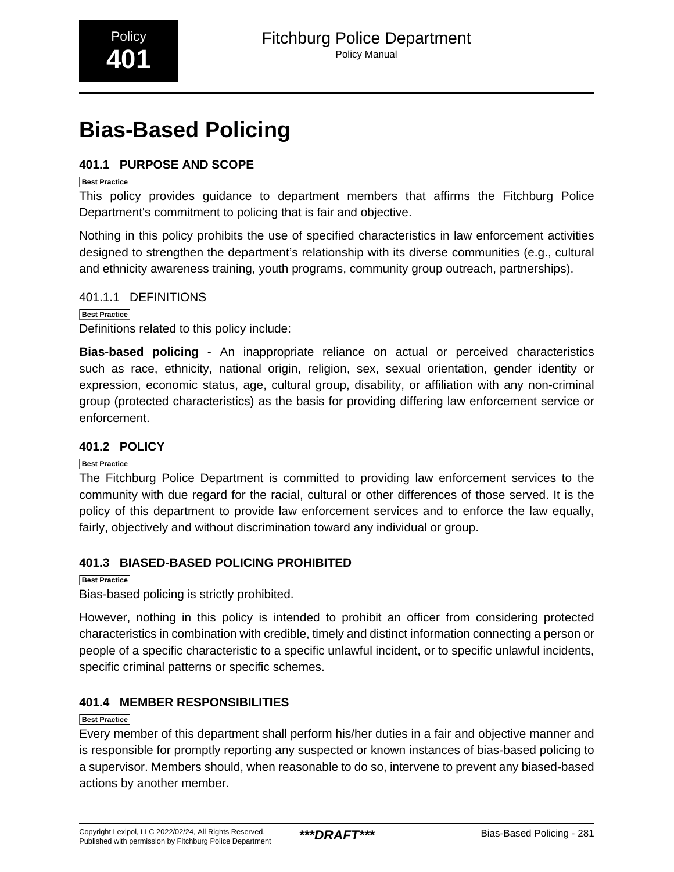# <span id="page-4-0"></span>**Bias-Based Policing**

### **401.1 PURPOSE AND SCOPE**

### **Best Practice**

This policy provides guidance to department members that affirms the Fitchburg Police Department's commitment to policing that is fair and objective.

Nothing in this policy prohibits the use of specified characteristics in law enforcement activities designed to strengthen the department's relationship with its diverse communities (e.g., cultural and ethnicity awareness training, youth programs, community group outreach, partnerships).

401.1.1 DEFINITIONS

**Best Practice** Definitions related to this policy include:

**Bias-based policing** - An inappropriate reliance on actual or perceived characteristics such as race, ethnicity, national origin, religion, sex, sexual orientation, gender identity or expression, economic status, age, cultural group, disability, or affiliation with any non-criminal group (protected characteristics) as the basis for providing differing law enforcement service or enforcement.

### **401.2 POLICY**

### **Best Practice**

The Fitchburg Police Department is committed to providing law enforcement services to the community with due regard for the racial, cultural or other differences of those served. It is the policy of this department to provide law enforcement services and to enforce the law equally, fairly, objectively and without discrimination toward any individual or group.

### **401.3 BIASED-BASED POLICING PROHIBITED**

### **Best Practice**

Bias-based policing is strictly prohibited.

However, nothing in this policy is intended to prohibit an officer from considering protected characteristics in combination with credible, timely and distinct information connecting a person or people of a specific characteristic to a specific unlawful incident, or to specific unlawful incidents, specific criminal patterns or specific schemes.

### **401.4 MEMBER RESPONSIBILITIES**

### **Best Practice**

Every member of this department shall perform his/her duties in a fair and objective manner and is responsible for promptly reporting any suspected or known instances of bias-based policing to a supervisor. Members should, when reasonable to do so, intervene to prevent any biased-based actions by another member.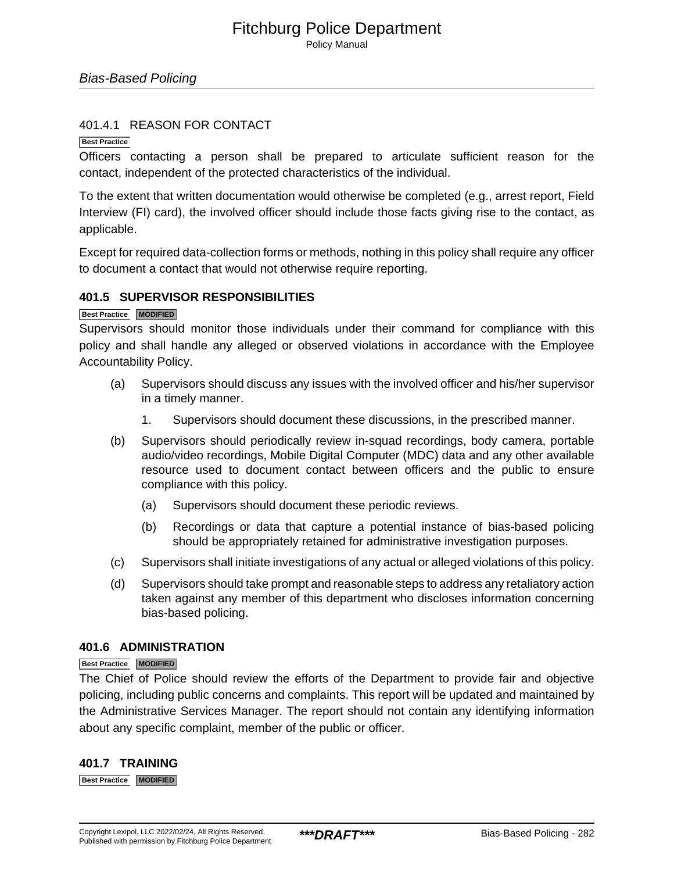### 401.4.1 REASON FOR CONTACT

#### **Best Practice**

Officers contacting a person shall be prepared to articulate sufficient reason for the contact, independent of the protected characteristics of the individual.

To the extent that written documentation would otherwise be completed (e.g., arrest report, Field Interview (FI) card), the involved officer should include those facts giving rise to the contact, as applicable.

Except for required data-collection forms or methods, nothing in this policy shall require any officer to document a contact that would not otherwise require reporting.

### **401.5 SUPERVISOR RESPONSIBILITIES**

#### **Best Practice MODIFIED**

Supervisors should monitor those individuals under their command for compliance with this policy and shall handle any alleged or observed violations in accordance with the Employee Accountability Policy.

- (a) Supervisors should discuss any issues with the involved officer and his/her supervisor in a timely manner.
	- 1. Supervisors should document these discussions, in the prescribed manner.
- (b) Supervisors should periodically review in-squad recordings, body camera, portable audio/video recordings, Mobile Digital Computer (MDC) data and any other available resource used to document contact between officers and the public to ensure compliance with this policy.
	- (a) Supervisors should document these periodic reviews.
	- (b) Recordings or data that capture a potential instance of bias-based policing should be appropriately retained for administrative investigation purposes.
- (c) Supervisors shall initiate investigations of any actual or alleged violations of this policy.
- (d) Supervisors should take prompt and reasonable steps to address any retaliatory action taken against any member of this department who discloses information concerning bias-based policing.

### **401.6 ADMINISTRATION**

### **Best Practice MODIFIED**

The Chief of Police should review the efforts of the Department to provide fair and objective policing, including public concerns and complaints. This report will be updated and maintained by the Administrative Services Manager. The report should not contain any identifying information about any specific complaint, member of the public or officer.

### **401.7 TRAINING**

**Best Practice MODIFIED**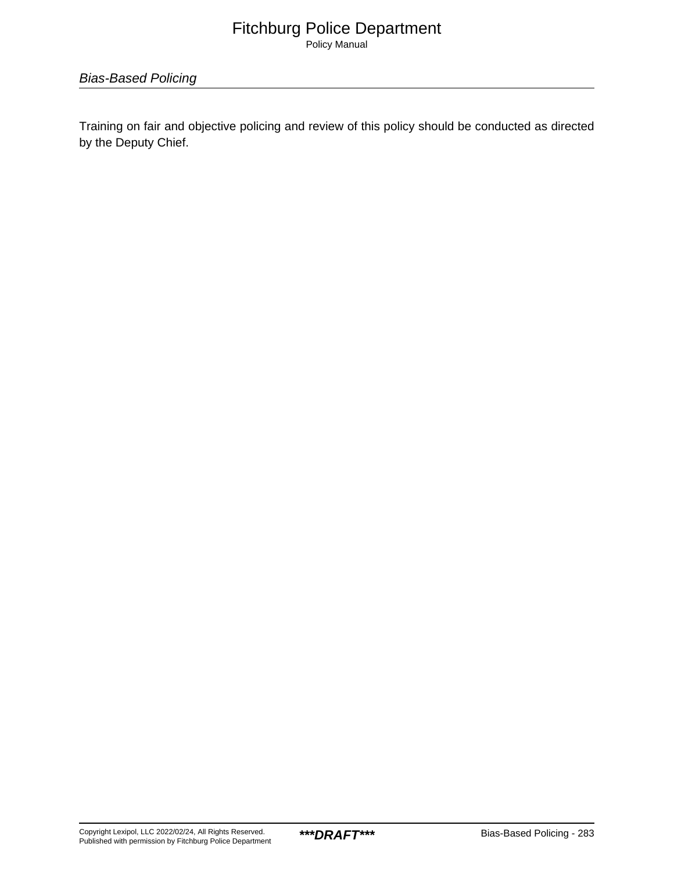Policy Manual

Bias-Based Policing

Training on fair and objective policing and review of this policy should be conducted as directed by the Deputy Chief.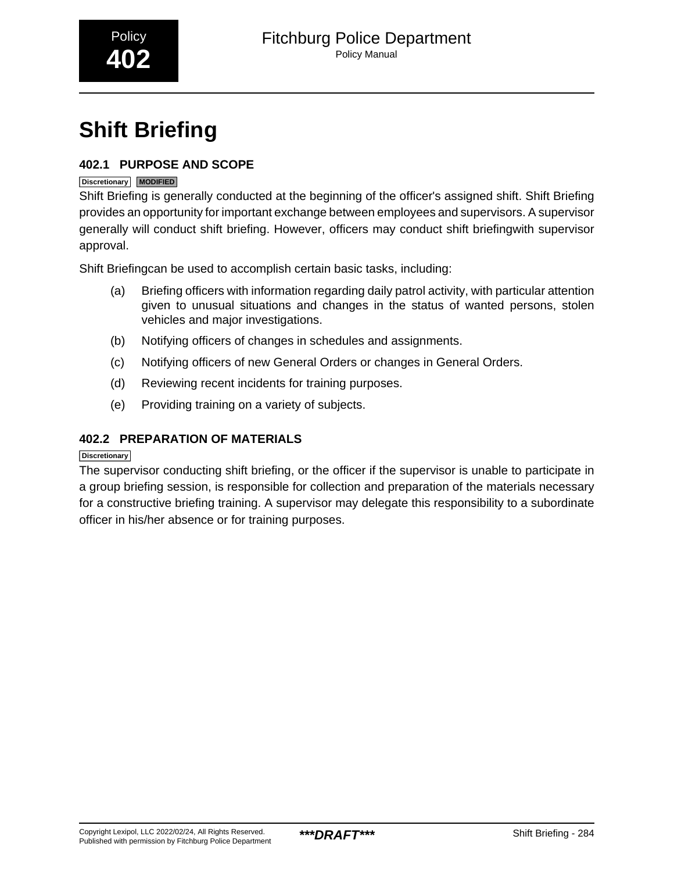<span id="page-7-0"></span>

# **Shift Briefing**

### **402.1 PURPOSE AND SCOPE**

### **Discretionary MODIFIED**

Shift Briefing is generally conducted at the beginning of the officer's assigned shift. Shift Briefing provides an opportunity for important exchange between employees and supervisors. A supervisor generally will conduct shift briefing. However, officers may conduct shift briefingwith supervisor approval.

Shift Briefingcan be used to accomplish certain basic tasks, including:

- (a) Briefing officers with information regarding daily patrol activity, with particular attention given to unusual situations and changes in the status of wanted persons, stolen vehicles and major investigations.
- (b) Notifying officers of changes in schedules and assignments.
- (c) Notifying officers of new General Orders or changes in General Orders.
- (d) Reviewing recent incidents for training purposes.
- (e) Providing training on a variety of subjects.

### **402.2 PREPARATION OF MATERIALS**

### **Discretionary**

The supervisor conducting shift briefing, or the officer if the supervisor is unable to participate in a group briefing session, is responsible for collection and preparation of the materials necessary for a constructive briefing training. A supervisor may delegate this responsibility to a subordinate officer in his/her absence or for training purposes.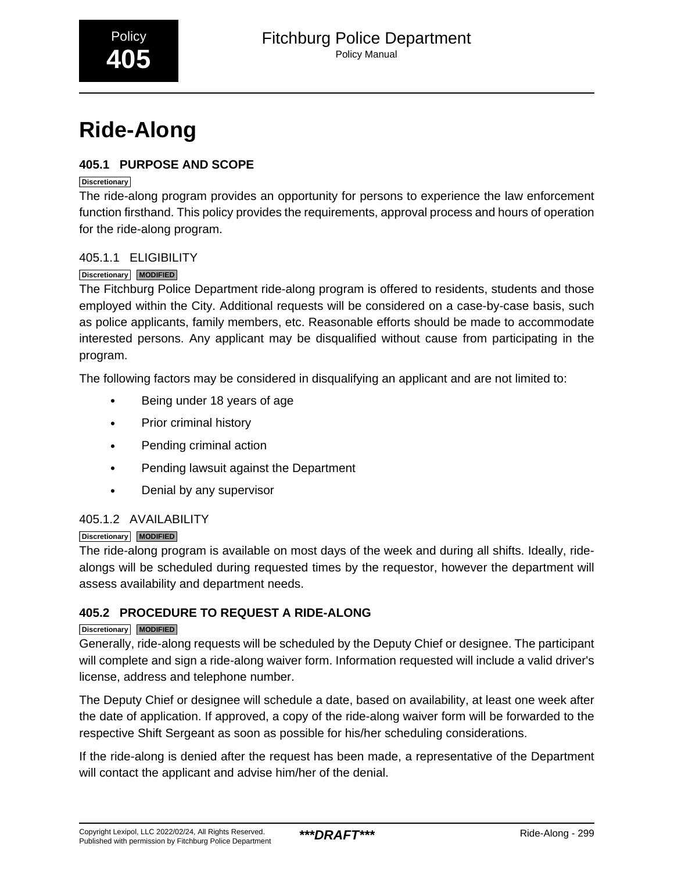<span id="page-8-0"></span>

# **Ride-Along**

### **405.1 PURPOSE AND SCOPE**

### **Discretionary**

The ride-along program provides an opportunity for persons to experience the law enforcement function firsthand. This policy provides the requirements, approval process and hours of operation for the ride-along program.

### 405.1.1 ELIGIBILITY

### **Discretionary MODIFIED**

The Fitchburg Police Department ride-along program is offered to residents, students and those employed within the City. Additional requests will be considered on a case-by-case basis, such as police applicants, family members, etc. Reasonable efforts should be made to accommodate interested persons. Any applicant may be disqualified without cause from participating in the program.

The following factors may be considered in disqualifying an applicant and are not limited to:

- Being under 18 years of age
- Prior criminal history
- Pending criminal action
- Pending lawsuit against the Department
- Denial by any supervisor

### 405.1.2 AVAILABILITY

### **Discretionary MODIFIED**

The ride-along program is available on most days of the week and during all shifts. Ideally, ridealongs will be scheduled during requested times by the requestor, however the department will assess availability and department needs.

### **405.2 PROCEDURE TO REQUEST A RIDE-ALONG**

### **Discretionary MODIFIED**

Generally, ride-along requests will be scheduled by the Deputy Chief or designee. The participant will complete and sign a ride-along waiver form. Information requested will include a valid driver's license, address and telephone number.

The Deputy Chief or designee will schedule a date, based on availability, at least one week after the date of application. If approved, a copy of the ride-along waiver form will be forwarded to the respective Shift Sergeant as soon as possible for his/her scheduling considerations.

If the ride-along is denied after the request has been made, a representative of the Department will contact the applicant and advise him/her of the denial.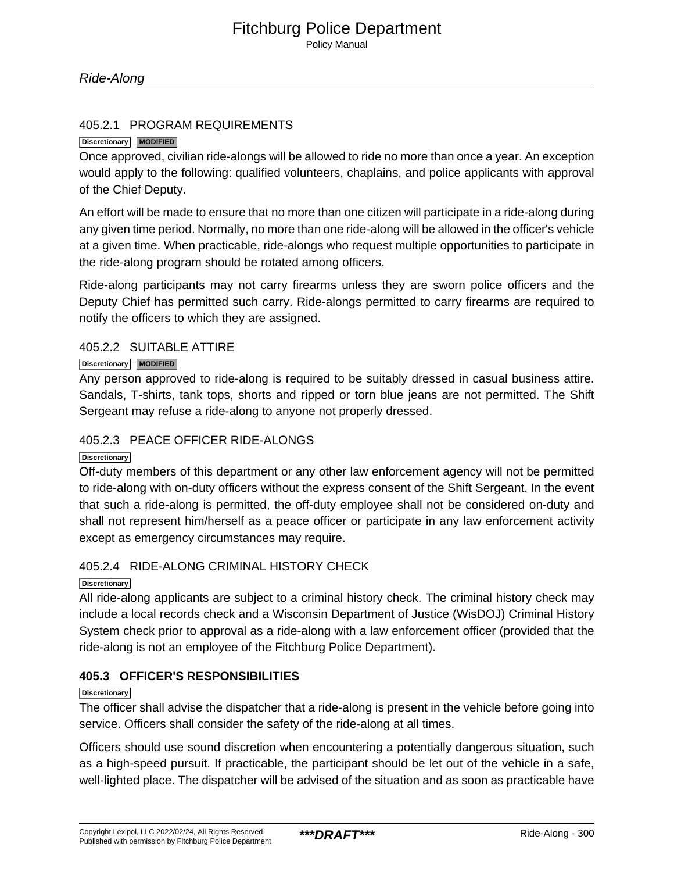Policy Manual

### 405.2.1 PROGRAM REQUIREMENTS

### **Discretionary MODIFIED**

Once approved, civilian ride-alongs will be allowed to ride no more than once a year. An exception would apply to the following: qualified volunteers, chaplains, and police applicants with approval of the Chief Deputy.

An effort will be made to ensure that no more than one citizen will participate in a ride-along during any given time period. Normally, no more than one ride-along will be allowed in the officer's vehicle at a given time. When practicable, ride-alongs who request multiple opportunities to participate in the ride-along program should be rotated among officers.

Ride-along participants may not carry firearms unless they are sworn police officers and the Deputy Chief has permitted such carry. Ride-alongs permitted to carry firearms are required to notify the officers to which they are assigned.

### 405.2.2 SUITABLE ATTIRE

### **Discretionary MODIFIED**

Any person approved to ride-along is required to be suitably dressed in casual business attire. Sandals, T-shirts, tank tops, shorts and ripped or torn blue jeans are not permitted. The Shift Sergeant may refuse a ride-along to anyone not properly dressed.

### 405.2.3 PEACE OFFICER RIDE-ALONGS

#### **Discretionary**

Off-duty members of this department or any other law enforcement agency will not be permitted to ride-along with on-duty officers without the express consent of the Shift Sergeant. In the event that such a ride-along is permitted, the off-duty employee shall not be considered on-duty and shall not represent him/herself as a peace officer or participate in any law enforcement activity except as emergency circumstances may require.

### 405.2.4 RIDE-ALONG CRIMINAL HISTORY CHECK

### **Discretionary**

All ride-along applicants are subject to a criminal history check. The criminal history check may include a local records check and a Wisconsin Department of Justice (WisDOJ) Criminal History System check prior to approval as a ride-along with a law enforcement officer (provided that the ride-along is not an employee of the Fitchburg Police Department).

### **405.3 OFFICER'S RESPONSIBILITIES**

#### **Discretionary**

The officer shall advise the dispatcher that a ride-along is present in the vehicle before going into service. Officers shall consider the safety of the ride-along at all times.

Officers should use sound discretion when encountering a potentially dangerous situation, such as a high-speed pursuit. If practicable, the participant should be let out of the vehicle in a safe, well-lighted place. The dispatcher will be advised of the situation and as soon as practicable have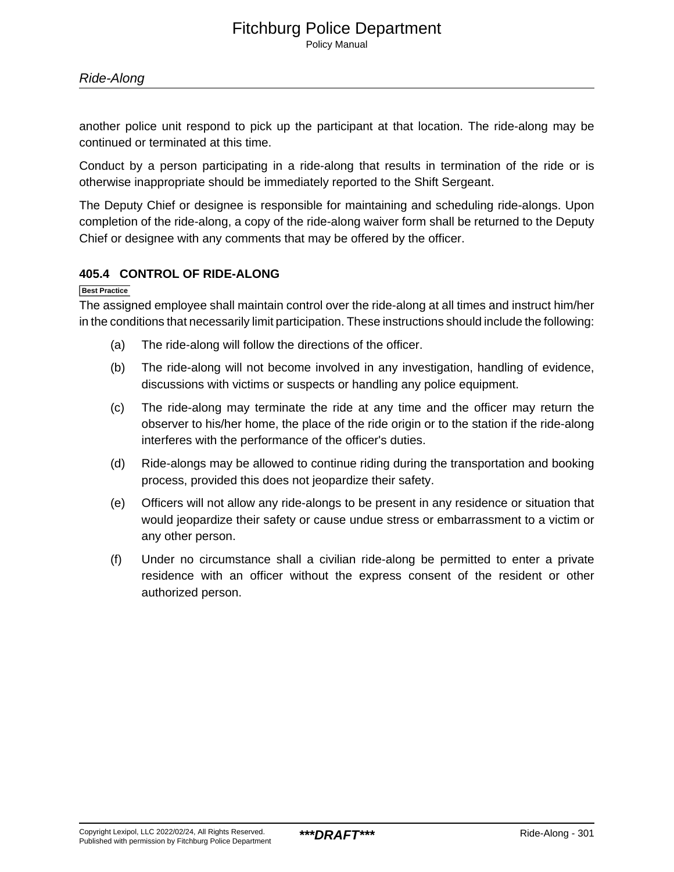another police unit respond to pick up the participant at that location. The ride-along may be continued or terminated at this time.

Conduct by a person participating in a ride-along that results in termination of the ride or is otherwise inappropriate should be immediately reported to the Shift Sergeant.

The Deputy Chief or designee is responsible for maintaining and scheduling ride-alongs. Upon completion of the ride-along, a copy of the ride-along waiver form shall be returned to the Deputy Chief or designee with any comments that may be offered by the officer.

### **405.4 CONTROL OF RIDE-ALONG**

**Best Practice**

The assigned employee shall maintain control over the ride-along at all times and instruct him/her in the conditions that necessarily limit participation. These instructions should include the following:

- (a) The ride-along will follow the directions of the officer.
- (b) The ride-along will not become involved in any investigation, handling of evidence, discussions with victims or suspects or handling any police equipment.
- (c) The ride-along may terminate the ride at any time and the officer may return the observer to his/her home, the place of the ride origin or to the station if the ride-along interferes with the performance of the officer's duties.
- (d) Ride-alongs may be allowed to continue riding during the transportation and booking process, provided this does not jeopardize their safety.
- (e) Officers will not allow any ride-alongs to be present in any residence or situation that would jeopardize their safety or cause undue stress or embarrassment to a victim or any other person.
- (f) Under no circumstance shall a civilian ride-along be permitted to enter a private residence with an officer without the express consent of the resident or other authorized person.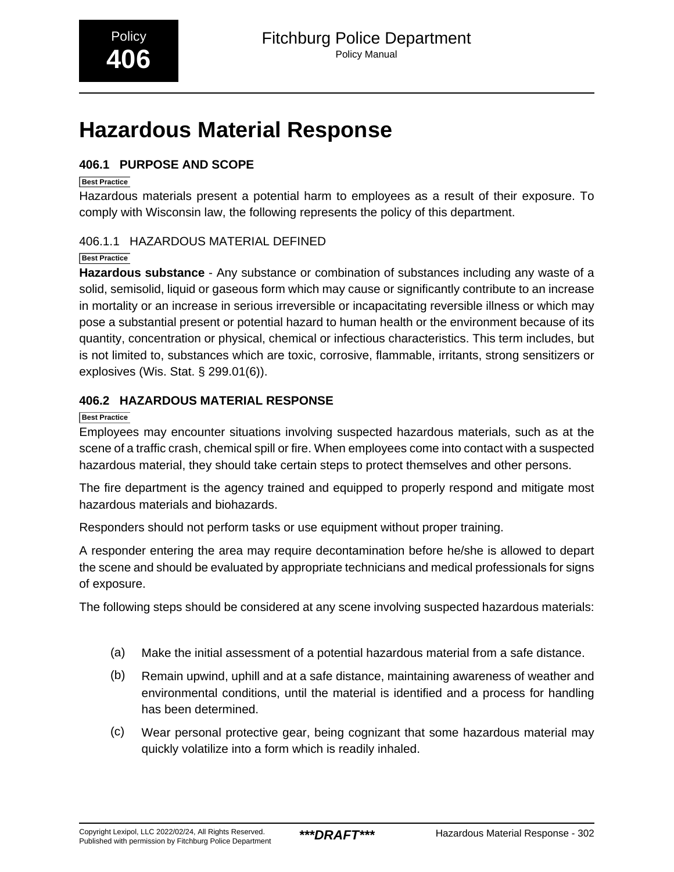## <span id="page-11-0"></span>**Hazardous Material Response**

### **406.1 PURPOSE AND SCOPE**

### **Best Practice**

Hazardous materials present a potential harm to employees as a result of their exposure. To comply with Wisconsin law, the following represents the policy of this department.

### 406.1.1 HAZARDOUS MATERIAL DEFINED

### **Best Practice**

**Hazardous substance** - Any substance or combination of substances including any waste of a solid, semisolid, liquid or gaseous form which may cause or significantly contribute to an increase in mortality or an increase in serious irreversible or incapacitating reversible illness or which may pose a substantial present or potential hazard to human health or the environment because of its quantity, concentration or physical, chemical or infectious characteristics. This term includes, but is not limited to, substances which are toxic, corrosive, flammable, irritants, strong sensitizers or explosives (Wis. Stat. § 299.01(6)).

### **406.2 HAZARDOUS MATERIAL RESPONSE**

### **Best Practice**

Employees may encounter situations involving suspected hazardous materials, such as at the scene of a traffic crash, chemical spill or fire. When employees come into contact with a suspected hazardous material, they should take certain steps to protect themselves and other persons.

The fire department is the agency trained and equipped to properly respond and mitigate most hazardous materials and biohazards.

Responders should not perform tasks or use equipment without proper training.

A responder entering the area may require decontamination before he/she is allowed to depart the scene and should be evaluated by appropriate technicians and medical professionals for signs of exposure.

The following steps should be considered at any scene involving suspected hazardous materials:

- (a) Make the initial assessment of a potential hazardous material from a safe distance.
- (b) Remain upwind, uphill and at a safe distance, maintaining awareness of weather and environmental conditions, until the material is identified and a process for handling has been determined.
- (c) Wear personal protective gear, being cognizant that some hazardous material may quickly volatilize into a form which is readily inhaled.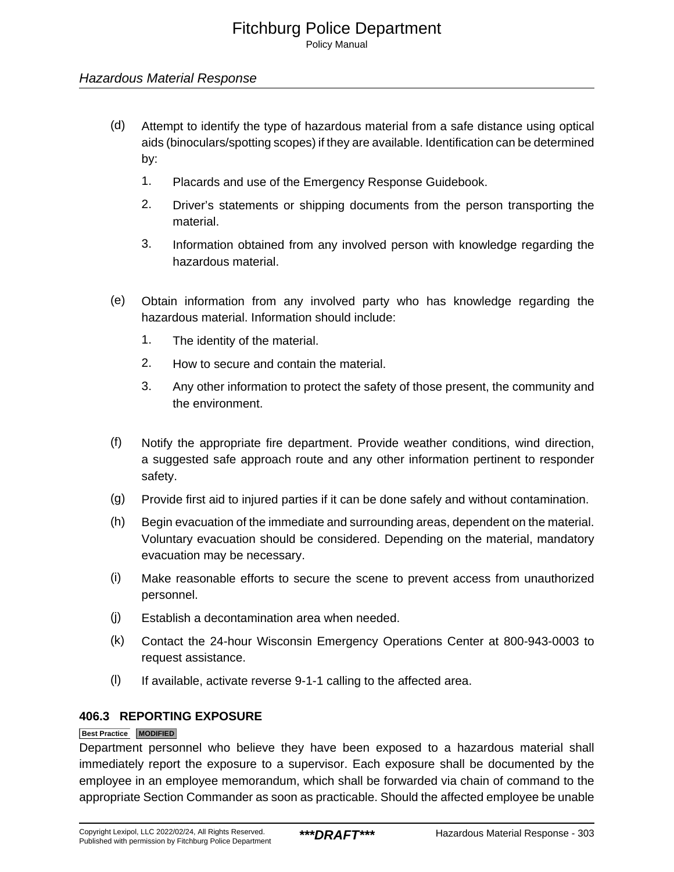### Hazardous Material Response

- (d) Attempt to identify the type of hazardous material from a safe distance using optical aids (binoculars/spotting scopes) if they are available. Identification can be determined by:
	- 1. Placards and use of the Emergency Response Guidebook.
	- 2. Driver's statements or shipping documents from the person transporting the material.
	- 3. Information obtained from any involved person with knowledge regarding the hazardous material.
- (e) Obtain information from any involved party who has knowledge regarding the hazardous material. Information should include:
	- 1. The identity of the material.
	- 2. How to secure and contain the material.
	- 3. Any other information to protect the safety of those present, the community and the environment.
- (f) Notify the appropriate fire department. Provide weather conditions, wind direction, a suggested safe approach route and any other information pertinent to responder safety.
- (g) Provide first aid to injured parties if it can be done safely and without contamination.
- (h) Begin evacuation of the immediate and surrounding areas, dependent on the material. Voluntary evacuation should be considered. Depending on the material, mandatory evacuation may be necessary.
- (i) Make reasonable efforts to secure the scene to prevent access from unauthorized personnel.
- (j) Establish a decontamination area when needed.
- (k) Contact the 24-hour Wisconsin Emergency Operations Center at 800-943-0003 to request assistance.
- (l) If available, activate reverse 9-1-1 calling to the affected area.

### **406.3 REPORTING EXPOSURE**

### **Best Practice MODIFIED**

Department personnel who believe they have been exposed to a hazardous material shall immediately report the exposure to a supervisor. Each exposure shall be documented by the employee in an employee memorandum, which shall be forwarded via chain of command to the appropriate Section Commander as soon as practicable. Should the affected employee be unable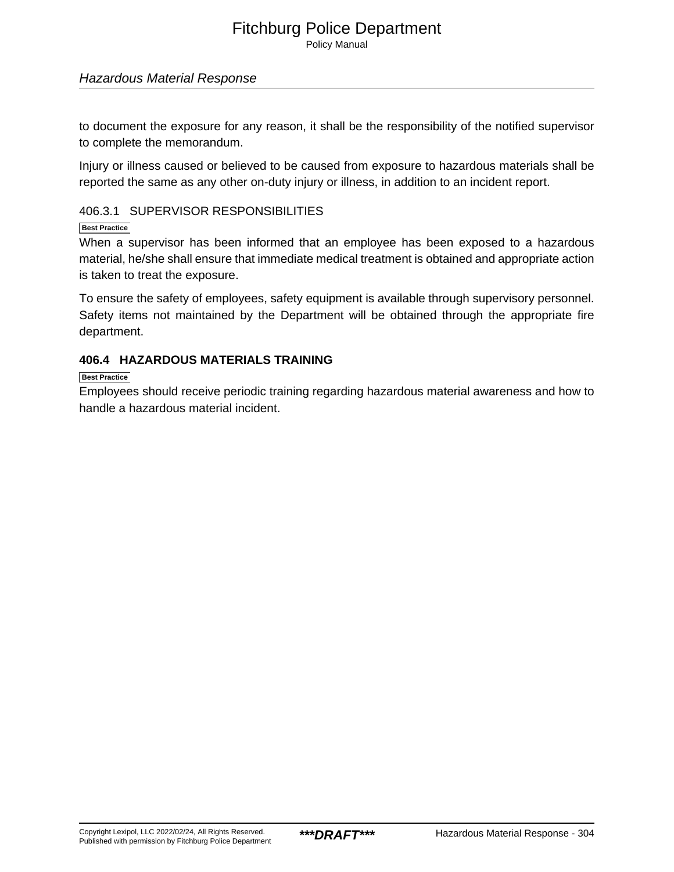Policy Manual

### Hazardous Material Response

to document the exposure for any reason, it shall be the responsibility of the notified supervisor to complete the memorandum.

Injury or illness caused or believed to be caused from exposure to hazardous materials shall be reported the same as any other on-duty injury or illness, in addition to an incident report.

### 406.3.1 SUPERVISOR RESPONSIBILITIES

**Best Practice**

When a supervisor has been informed that an employee has been exposed to a hazardous material, he/she shall ensure that immediate medical treatment is obtained and appropriate action is taken to treat the exposure.

To ensure the safety of employees, safety equipment is available through supervisory personnel. Safety items not maintained by the Department will be obtained through the appropriate fire department.

### **406.4 HAZARDOUS MATERIALS TRAINING**

**Best Practice**

Employees should receive periodic training regarding hazardous material awareness and how to handle a hazardous material incident.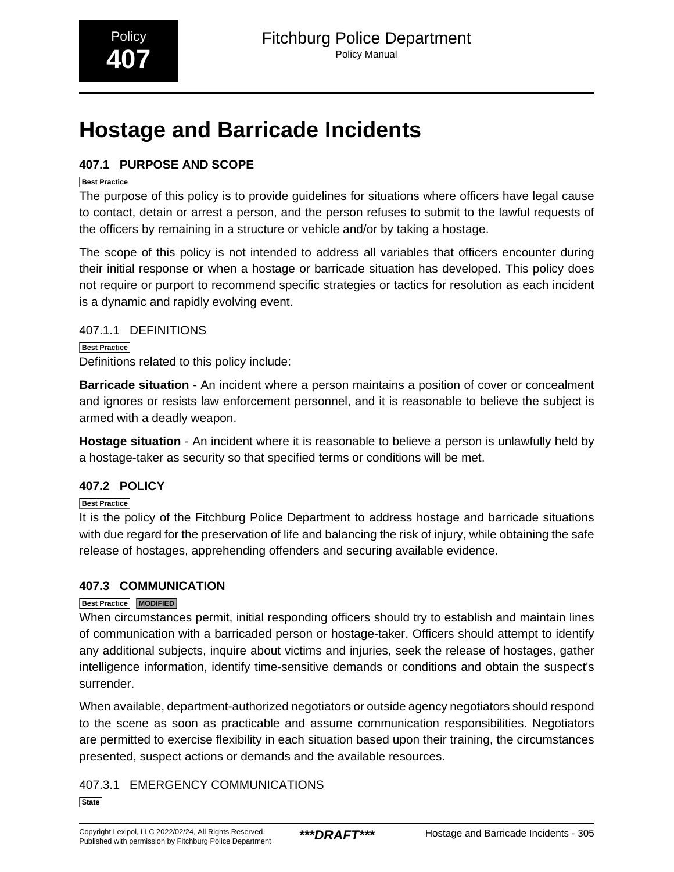## <span id="page-14-0"></span>**Hostage and Barricade Incidents**

### **407.1 PURPOSE AND SCOPE**

### **Best Practice**

The purpose of this policy is to provide guidelines for situations where officers have legal cause to contact, detain or arrest a person, and the person refuses to submit to the lawful requests of the officers by remaining in a structure or vehicle and/or by taking a hostage.

The scope of this policy is not intended to address all variables that officers encounter during their initial response or when a hostage or barricade situation has developed. This policy does not require or purport to recommend specific strategies or tactics for resolution as each incident is a dynamic and rapidly evolving event.

### 407.1.1 DEFINITIONS

**Best Practice** Definitions related to this policy include:

**Barricade situation** - An incident where a person maintains a position of cover or concealment and ignores or resists law enforcement personnel, and it is reasonable to believe the subject is armed with a deadly weapon.

**Hostage situation** - An incident where it is reasonable to believe a person is unlawfully held by a hostage-taker as security so that specified terms or conditions will be met.

### **407.2 POLICY**

**Best Practice**

It is the policy of the Fitchburg Police Department to address hostage and barricade situations with due regard for the preservation of life and balancing the risk of injury, while obtaining the safe release of hostages, apprehending offenders and securing available evidence.

### **407.3 COMMUNICATION**

### **Best Practice MODIFIED**

When circumstances permit, initial responding officers should try to establish and maintain lines of communication with a barricaded person or hostage-taker. Officers should attempt to identify any additional subjects, inquire about victims and injuries, seek the release of hostages, gather intelligence information, identify time-sensitive demands or conditions and obtain the suspect's surrender.

When available, department-authorized negotiators or outside agency negotiators should respond to the scene as soon as practicable and assume communication responsibilities. Negotiators are permitted to exercise flexibility in each situation based upon their training, the circumstances presented, suspect actions or demands and the available resources.

407.3.1 EMERGENCY COMMUNICATIONS

**State**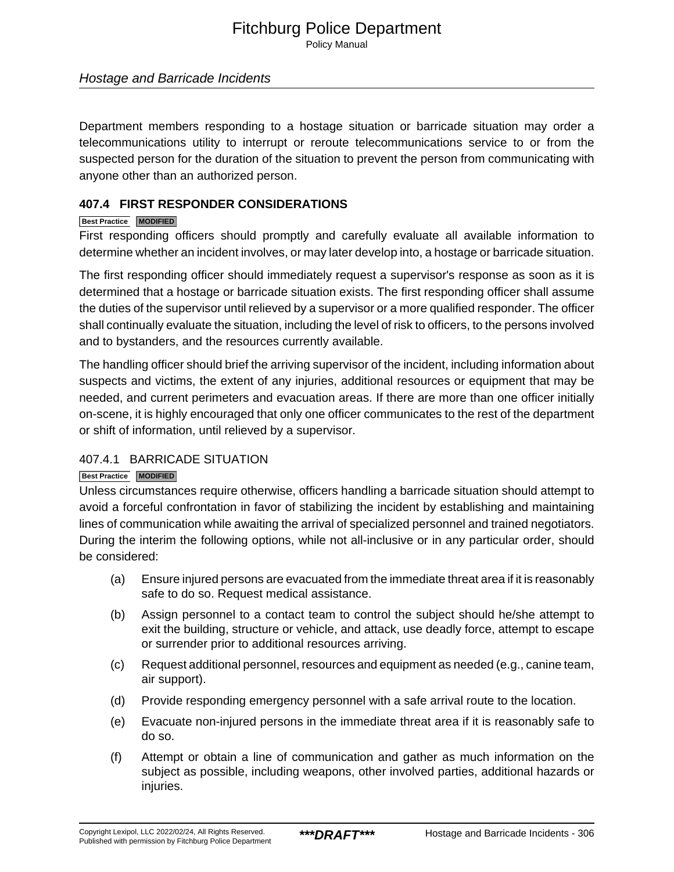Policy Manual

### Hostage and Barricade Incidents

Department members responding to a hostage situation or barricade situation may order a telecommunications utility to interrupt or reroute telecommunications service to or from the suspected person for the duration of the situation to prevent the person from communicating with anyone other than an authorized person.

### **407.4 FIRST RESPONDER CONSIDERATIONS**

### **Best Practice MODIFIED**

First responding officers should promptly and carefully evaluate all available information to determine whether an incident involves, or may later develop into, a hostage or barricade situation.

The first responding officer should immediately request a supervisor's response as soon as it is determined that a hostage or barricade situation exists. The first responding officer shall assume the duties of the supervisor until relieved by a supervisor or a more qualified responder. The officer shall continually evaluate the situation, including the level of risk to officers, to the persons involved and to bystanders, and the resources currently available.

The handling officer should brief the arriving supervisor of the incident, including information about suspects and victims, the extent of any injuries, additional resources or equipment that may be needed, and current perimeters and evacuation areas. If there are more than one officer initially on-scene, it is highly encouraged that only one officer communicates to the rest of the department or shift of information, until relieved by a supervisor.

### 407.4.1 BARRICADE SITUATION

### **Best Practice MODIFIED**

Unless circumstances require otherwise, officers handling a barricade situation should attempt to avoid a forceful confrontation in favor of stabilizing the incident by establishing and maintaining lines of communication while awaiting the arrival of specialized personnel and trained negotiators. During the interim the following options, while not all-inclusive or in any particular order, should be considered:

- (a) Ensure injured persons are evacuated from the immediate threat area if it is reasonably safe to do so. Request medical assistance.
- (b) Assign personnel to a contact team to control the subject should he/she attempt to exit the building, structure or vehicle, and attack, use deadly force, attempt to escape or surrender prior to additional resources arriving.
- (c) Request additional personnel, resources and equipment as needed (e.g., canine team, air support).
- (d) Provide responding emergency personnel with a safe arrival route to the location.
- (e) Evacuate non-injured persons in the immediate threat area if it is reasonably safe to do so.
- (f) Attempt or obtain a line of communication and gather as much information on the subject as possible, including weapons, other involved parties, additional hazards or injuries.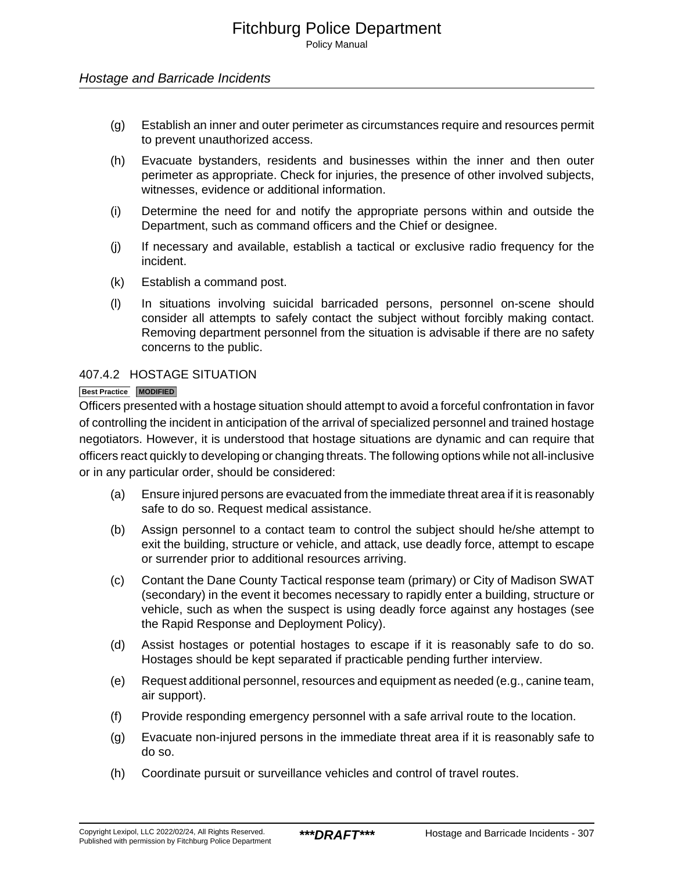### Hostage and Barricade Incidents

- (g) Establish an inner and outer perimeter as circumstances require and resources permit to prevent unauthorized access.
- (h) Evacuate bystanders, residents and businesses within the inner and then outer perimeter as appropriate. Check for injuries, the presence of other involved subjects, witnesses, evidence or additional information.
- (i) Determine the need for and notify the appropriate persons within and outside the Department, such as command officers and the Chief or designee.
- (j) If necessary and available, establish a tactical or exclusive radio frequency for the incident.
- (k) Establish a command post.
- (l) In situations involving suicidal barricaded persons, personnel on-scene should consider all attempts to safely contact the subject without forcibly making contact. Removing department personnel from the situation is advisable if there are no safety concerns to the public.

### 407.4.2 HOSTAGE SITUATION

### **Best Practice MODIFIED**

Officers presented with a hostage situation should attempt to avoid a forceful confrontation in favor of controlling the incident in anticipation of the arrival of specialized personnel and trained hostage negotiators. However, it is understood that hostage situations are dynamic and can require that officers react quickly to developing or changing threats. The following options while not all-inclusive or in any particular order, should be considered:

- (a) Ensure injured persons are evacuated from the immediate threat area if it is reasonably safe to do so. Request medical assistance.
- (b) Assign personnel to a contact team to control the subject should he/she attempt to exit the building, structure or vehicle, and attack, use deadly force, attempt to escape or surrender prior to additional resources arriving.
- (c) Contant the Dane County Tactical response team (primary) or City of Madison SWAT (secondary) in the event it becomes necessary to rapidly enter a building, structure or vehicle, such as when the suspect is using deadly force against any hostages (see the Rapid Response and Deployment Policy).
- (d) Assist hostages or potential hostages to escape if it is reasonably safe to do so. Hostages should be kept separated if practicable pending further interview.
- (e) Request additional personnel, resources and equipment as needed (e.g., canine team, air support).
- (f) Provide responding emergency personnel with a safe arrival route to the location.
- (g) Evacuate non-injured persons in the immediate threat area if it is reasonably safe to do so.
- (h) Coordinate pursuit or surveillance vehicles and control of travel routes.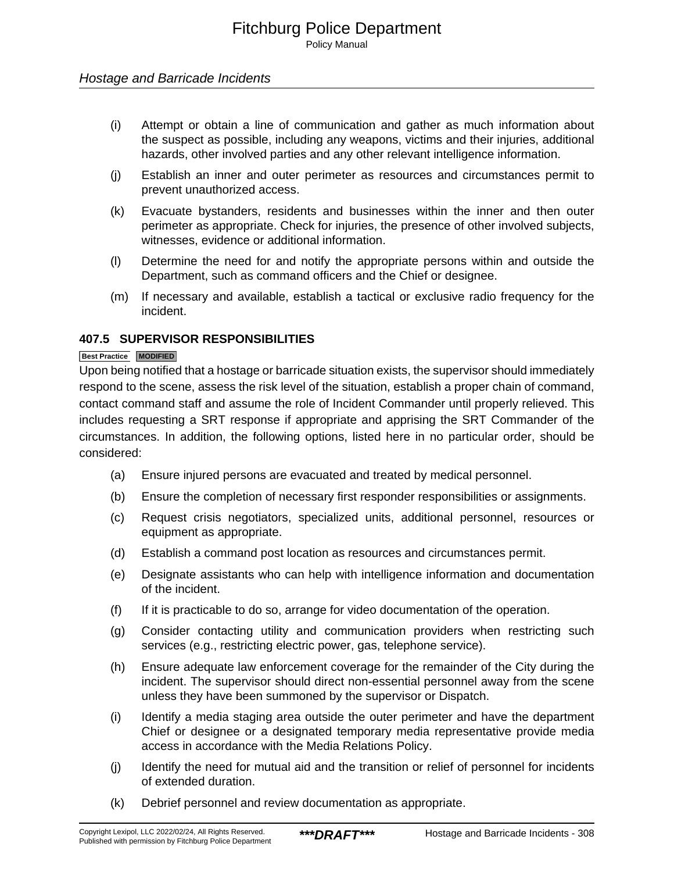### Hostage and Barricade Incidents

- (i) Attempt or obtain a line of communication and gather as much information about the suspect as possible, including any weapons, victims and their injuries, additional hazards, other involved parties and any other relevant intelligence information.
- (j) Establish an inner and outer perimeter as resources and circumstances permit to prevent unauthorized access.
- (k) Evacuate bystanders, residents and businesses within the inner and then outer perimeter as appropriate. Check for injuries, the presence of other involved subjects, witnesses, evidence or additional information.
- (l) Determine the need for and notify the appropriate persons within and outside the Department, such as command officers and the Chief or designee.
- (m) If necessary and available, establish a tactical or exclusive radio frequency for the incident.

### **407.5 SUPERVISOR RESPONSIBILITIES**

#### **Best Practice MODIFIED**

Upon being notified that a hostage or barricade situation exists, the supervisor should immediately respond to the scene, assess the risk level of the situation, establish a proper chain of command, contact command staff and assume the role of Incident Commander until properly relieved. This includes requesting a SRT response if appropriate and apprising the SRT Commander of the circumstances. In addition, the following options, listed here in no particular order, should be considered:

- (a) Ensure injured persons are evacuated and treated by medical personnel.
- (b) Ensure the completion of necessary first responder responsibilities or assignments.
- (c) Request crisis negotiators, specialized units, additional personnel, resources or equipment as appropriate.
- (d) Establish a command post location as resources and circumstances permit.
- (e) Designate assistants who can help with intelligence information and documentation of the incident.
- (f) If it is practicable to do so, arrange for video documentation of the operation.
- (g) Consider contacting utility and communication providers when restricting such services (e.g., restricting electric power, gas, telephone service).
- (h) Ensure adequate law enforcement coverage for the remainder of the City during the incident. The supervisor should direct non-essential personnel away from the scene unless they have been summoned by the supervisor or Dispatch.
- (i) Identify a media staging area outside the outer perimeter and have the department Chief or designee or a designated temporary media representative provide media access in accordance with the Media Relations Policy.
- (j) Identify the need for mutual aid and the transition or relief of personnel for incidents of extended duration.
- (k) Debrief personnel and review documentation as appropriate.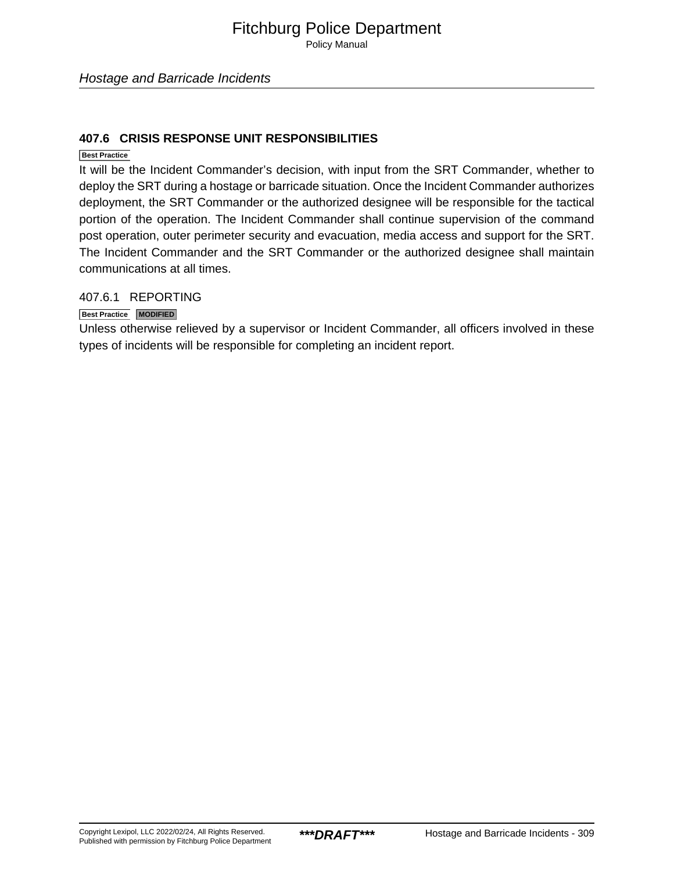Policy Manual

### **407.6 CRISIS RESPONSE UNIT RESPONSIBILITIES**

**Best Practice**

It will be the Incident Commander's decision, with input from the SRT Commander, whether to deploy the SRT during a hostage or barricade situation. Once the Incident Commander authorizes deployment, the SRT Commander or the authorized designee will be responsible for the tactical portion of the operation. The Incident Commander shall continue supervision of the command post operation, outer perimeter security and evacuation, media access and support for the SRT. The Incident Commander and the SRT Commander or the authorized designee shall maintain communications at all times.

### 407.6.1 REPORTING

**Best Practice MODIFIED**

Unless otherwise relieved by a supervisor or Incident Commander, all officers involved in these types of incidents will be responsible for completing an incident report.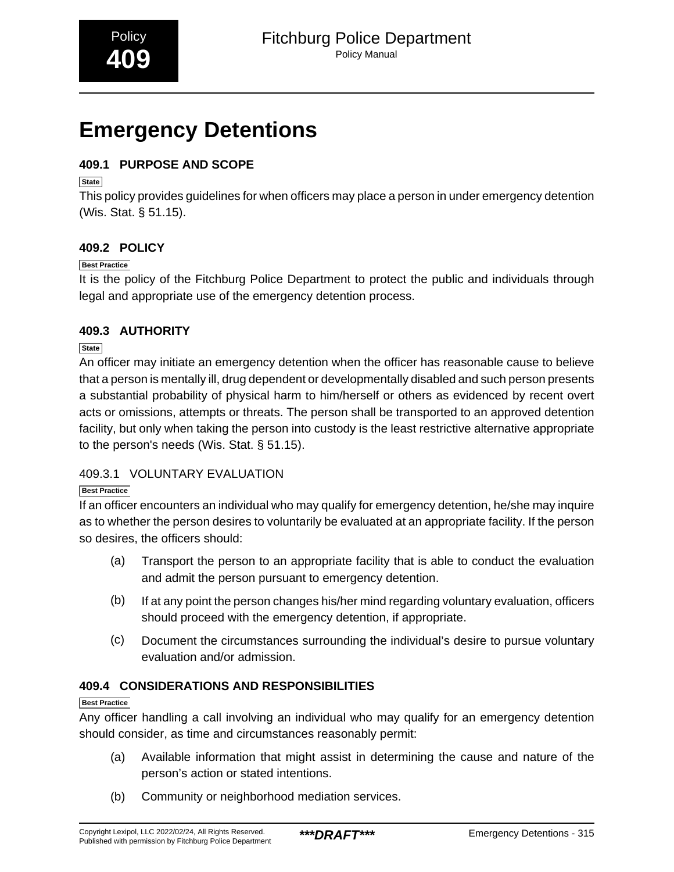## <span id="page-19-0"></span>**Emergency Detentions**

### **409.1 PURPOSE AND SCOPE**

**State**

This policy provides guidelines for when officers may place a person in under emergency detention (Wis. Stat. § 51.15).

### **409.2 POLICY**

### **Best Practice**

It is the policy of the Fitchburg Police Department to protect the public and individuals through legal and appropriate use of the emergency detention process.

### **409.3 AUTHORITY**

**State**

An officer may initiate an emergency detention when the officer has reasonable cause to believe that a person is mentally ill, drug dependent or developmentally disabled and such person presents a substantial probability of physical harm to him/herself or others as evidenced by recent overt acts or omissions, attempts or threats. The person shall be transported to an approved detention facility, but only when taking the person into custody is the least restrictive alternative appropriate to the person's needs (Wis. Stat. § 51.15).

### 409.3.1 VOLUNTARY EVALUATION

### **Best Practice**

If an officer encounters an individual who may qualify for emergency detention, he/she may inquire as to whether the person desires to voluntarily be evaluated at an appropriate facility. If the person so desires, the officers should:

- (a) Transport the person to an appropriate facility that is able to conduct the evaluation and admit the person pursuant to emergency detention.
- (b) If at any point the person changes his/her mind regarding voluntary evaluation, officers should proceed with the emergency detention, if appropriate.
- (c) Document the circumstances surrounding the individual's desire to pursue voluntary evaluation and/or admission.

### **409.4 CONSIDERATIONS AND RESPONSIBILITIES**

### **Best Practice**

Any officer handling a call involving an individual who may qualify for an emergency detention should consider, as time and circumstances reasonably permit:

- (a) Available information that might assist in determining the cause and nature of the person's action or stated intentions.
- (b) Community or neighborhood mediation services.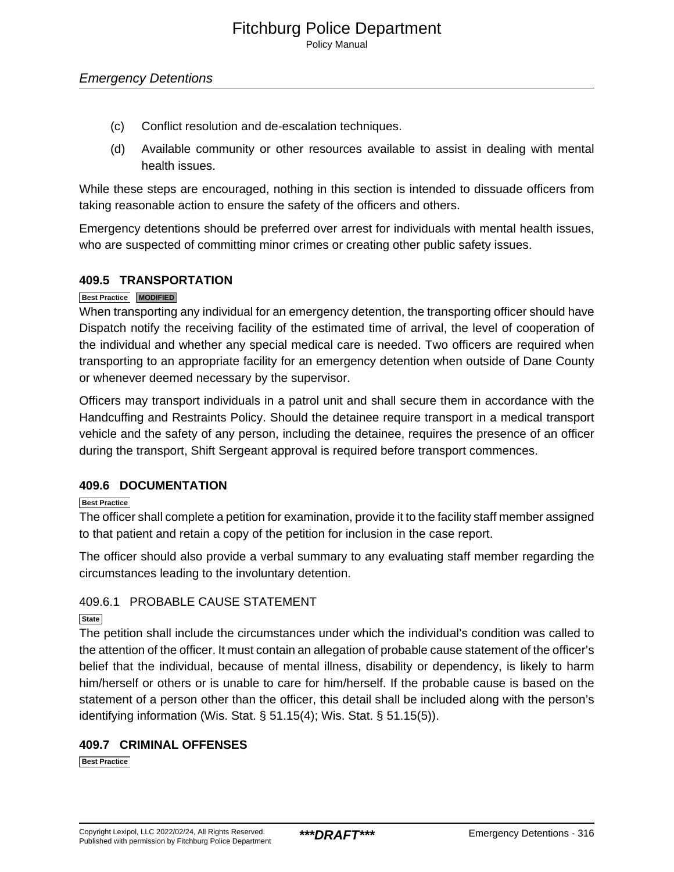Policy Manual

- (c) Conflict resolution and de-escalation techniques.
- (d) Available community or other resources available to assist in dealing with mental health issues.

While these steps are encouraged, nothing in this section is intended to dissuade officers from taking reasonable action to ensure the safety of the officers and others.

Emergency detentions should be preferred over arrest for individuals with mental health issues, who are suspected of committing minor crimes or creating other public safety issues.

### **409.5 TRANSPORTATION**

### **Best Practice MODIFIED**

When transporting any individual for an emergency detention, the transporting officer should have Dispatch notify the receiving facility of the estimated time of arrival, the level of cooperation of the individual and whether any special medical care is needed. Two officers are required when transporting to an appropriate facility for an emergency detention when outside of Dane County or whenever deemed necessary by the supervisor.

Officers may transport individuals in a patrol unit and shall secure them in accordance with the Handcuffing and Restraints Policy. Should the detainee require transport in a medical transport vehicle and the safety of any person, including the detainee, requires the presence of an officer during the transport, Shift Sergeant approval is required before transport commences.

### **409.6 DOCUMENTATION**

### **Best Practice**

The officer shall complete a petition for examination, provide it to the facility staff member assigned to that patient and retain a copy of the petition for inclusion in the case report.

The officer should also provide a verbal summary to any evaluating staff member regarding the circumstances leading to the involuntary detention.

### 409.6.1 PROBABLE CAUSE STATEMENT

### **State**

The petition shall include the circumstances under which the individual's condition was called to the attention of the officer. It must contain an allegation of probable cause statement of the officer's belief that the individual, because of mental illness, disability or dependency, is likely to harm him/herself or others or is unable to care for him/herself. If the probable cause is based on the statement of a person other than the officer, this detail shall be included along with the person's identifying information (Wis. Stat. § 51.15(4); Wis. Stat. § 51.15(5)).

### **409.7 CRIMINAL OFFENSES**

**Best Practice**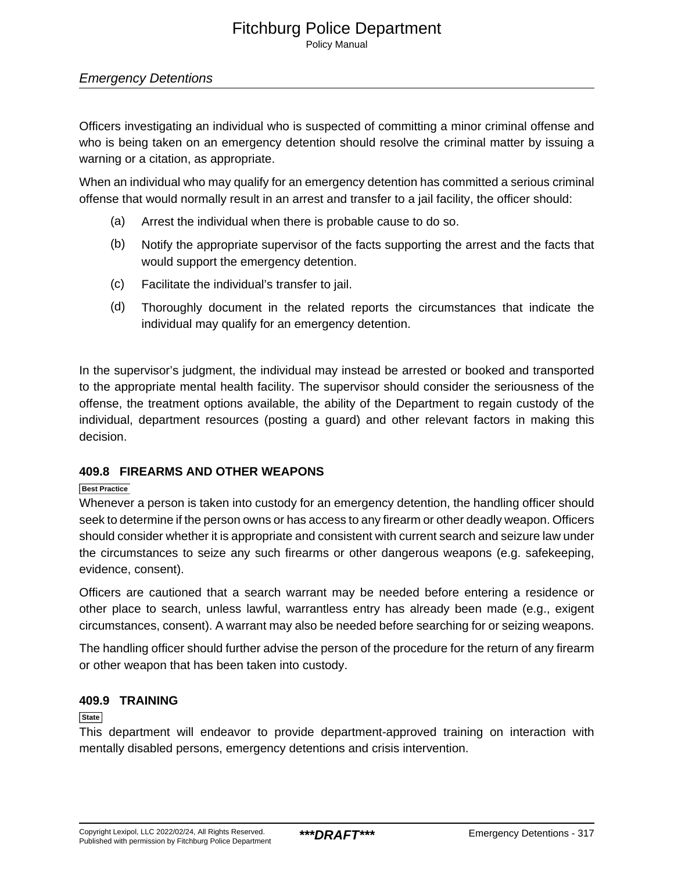### Emergency Detentions

Officers investigating an individual who is suspected of committing a minor criminal offense and who is being taken on an emergency detention should resolve the criminal matter by issuing a warning or a citation, as appropriate.

When an individual who may qualify for an emergency detention has committed a serious criminal offense that would normally result in an arrest and transfer to a jail facility, the officer should:

- (a) Arrest the individual when there is probable cause to do so.
- (b) Notify the appropriate supervisor of the facts supporting the arrest and the facts that would support the emergency detention.
- (c) Facilitate the individual's transfer to jail.
- (d) Thoroughly document in the related reports the circumstances that indicate the individual may qualify for an emergency detention.

In the supervisor's judgment, the individual may instead be arrested or booked and transported to the appropriate mental health facility. The supervisor should consider the seriousness of the offense, the treatment options available, the ability of the Department to regain custody of the individual, department resources (posting a guard) and other relevant factors in making this decision.

### **409.8 FIREARMS AND OTHER WEAPONS**

### **Best Practice**

Whenever a person is taken into custody for an emergency detention, the handling officer should seek to determine if the person owns or has access to any firearm or other deadly weapon. Officers should consider whether it is appropriate and consistent with current search and seizure law under the circumstances to seize any such firearms or other dangerous weapons (e.g. safekeeping, evidence, consent).

Officers are cautioned that a search warrant may be needed before entering a residence or other place to search, unless lawful, warrantless entry has already been made (e.g., exigent circumstances, consent). A warrant may also be needed before searching for or seizing weapons.

The handling officer should further advise the person of the procedure for the return of any firearm or other weapon that has been taken into custody.

### **409.9 TRAINING**

### **State**

This department will endeavor to provide department-approved training on interaction with mentally disabled persons, emergency detentions and crisis intervention.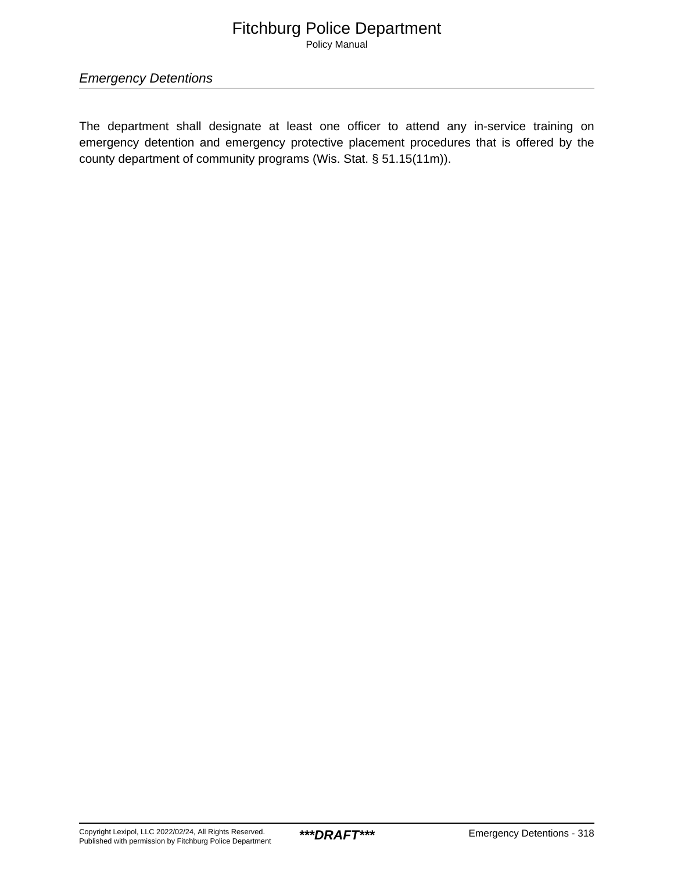Policy Manual

Emergency Detentions

The department shall designate at least one officer to attend any in-service training on emergency detention and emergency protective placement procedures that is offered by the county department of community programs (Wis. Stat. § 51.15(11m)).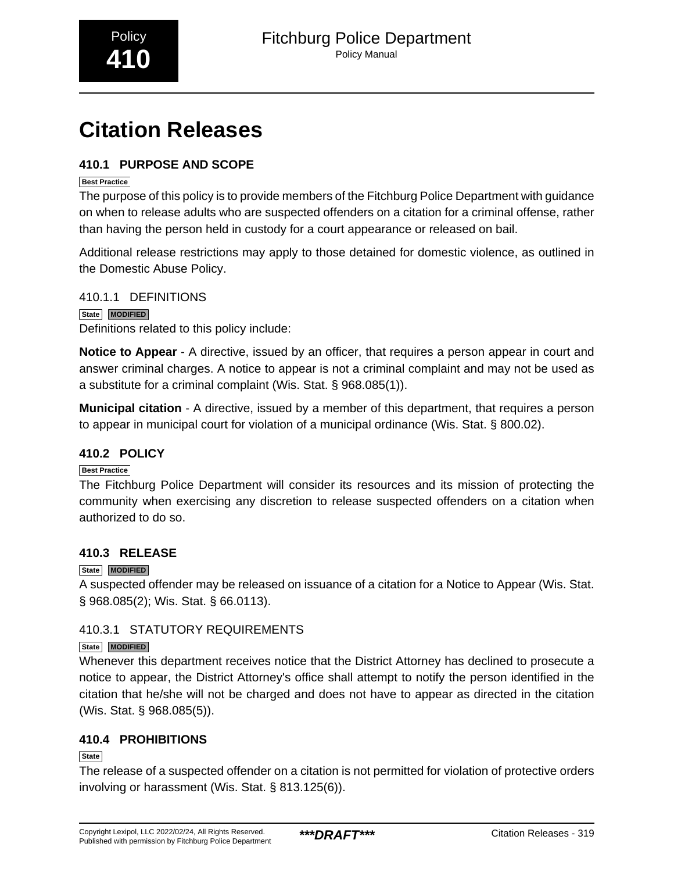# <span id="page-23-0"></span>**Citation Releases**

### **410.1 PURPOSE AND SCOPE**

### **Best Practice**

The purpose of this policy is to provide members of the Fitchburg Police Department with guidance on when to release adults who are suspected offenders on a citation for a criminal offense, rather than having the person held in custody for a court appearance or released on bail.

Additional release restrictions may apply to those detained for domestic violence, as outlined in the Domestic Abuse Policy.

410.1.1 DEFINITIONS **State MODIFIED**

Definitions related to this policy include:

**Notice to Appear** - A directive, issued by an officer, that requires a person appear in court and answer criminal charges. A notice to appear is not a criminal complaint and may not be used as a substitute for a criminal complaint (Wis. Stat. § 968.085(1)).

**Municipal citation** - A directive, issued by a member of this department, that requires a person to appear in municipal court for violation of a municipal ordinance (Wis. Stat. § 800.02).

### **410.2 POLICY**

### **Best Practice**

The Fitchburg Police Department will consider its resources and its mission of protecting the community when exercising any discretion to release suspected offenders on a citation when authorized to do so.

### **410.3 RELEASE**

### **State MODIFIED**

A suspected offender may be released on issuance of a citation for a Notice to Appear (Wis. Stat. § 968.085(2); Wis. Stat. § 66.0113).

### 410.3.1 STATUTORY REQUIREMENTS

### **State MODIFIED**

Whenever this department receives notice that the District Attorney has declined to prosecute a notice to appear, the District Attorney's office shall attempt to notify the person identified in the citation that he/she will not be charged and does not have to appear as directed in the citation (Wis. Stat. § 968.085(5)).

### **410.4 PROHIBITIONS**

### **State**

The release of a suspected offender on a citation is not permitted for violation of protective orders involving or harassment (Wis. Stat. § 813.125(6)).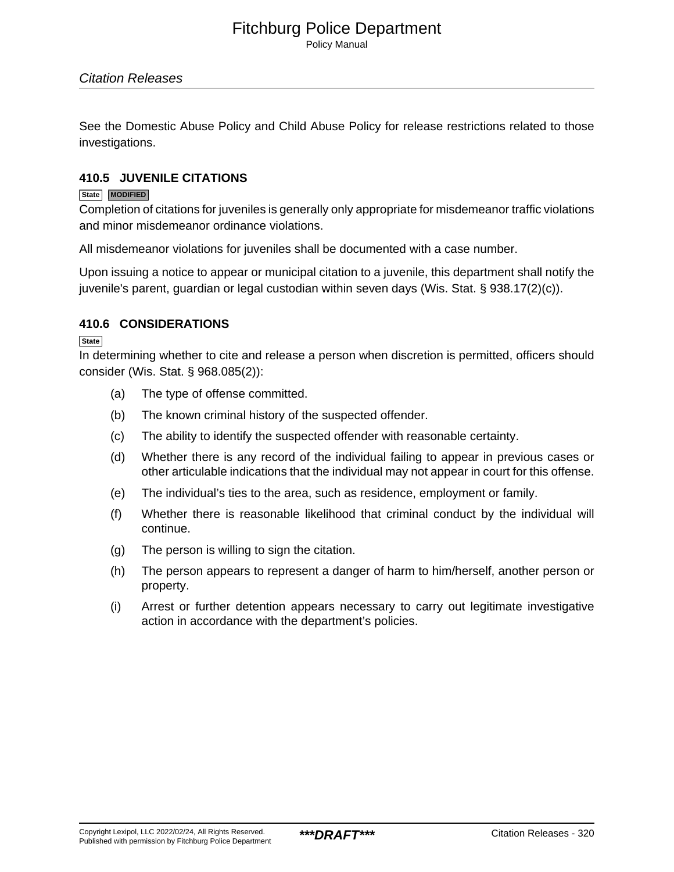Policy Manual

See the Domestic Abuse Policy and Child Abuse Policy for release restrictions related to those investigations.

### **410.5 JUVENILE CITATIONS**

#### **State MODIFIED**

Completion of citations for juveniles is generally only appropriate for misdemeanor traffic violations and minor misdemeanor ordinance violations.

All misdemeanor violations for juveniles shall be documented with a case number.

Upon issuing a notice to appear or municipal citation to a juvenile, this department shall notify the juvenile's parent, guardian or legal custodian within seven days (Wis. Stat. § 938.17(2)(c)).

### **410.6 CONSIDERATIONS**

**State**

In determining whether to cite and release a person when discretion is permitted, officers should consider (Wis. Stat. § 968.085(2)):

- (a) The type of offense committed.
- (b) The known criminal history of the suspected offender.
- (c) The ability to identify the suspected offender with reasonable certainty.
- (d) Whether there is any record of the individual failing to appear in previous cases or other articulable indications that the individual may not appear in court for this offense.
- (e) The individual's ties to the area, such as residence, employment or family.
- (f) Whether there is reasonable likelihood that criminal conduct by the individual will continue.
- (g) The person is willing to sign the citation.
- (h) The person appears to represent a danger of harm to him/herself, another person or property.
- (i) Arrest or further detention appears necessary to carry out legitimate investigative action in accordance with the department's policies.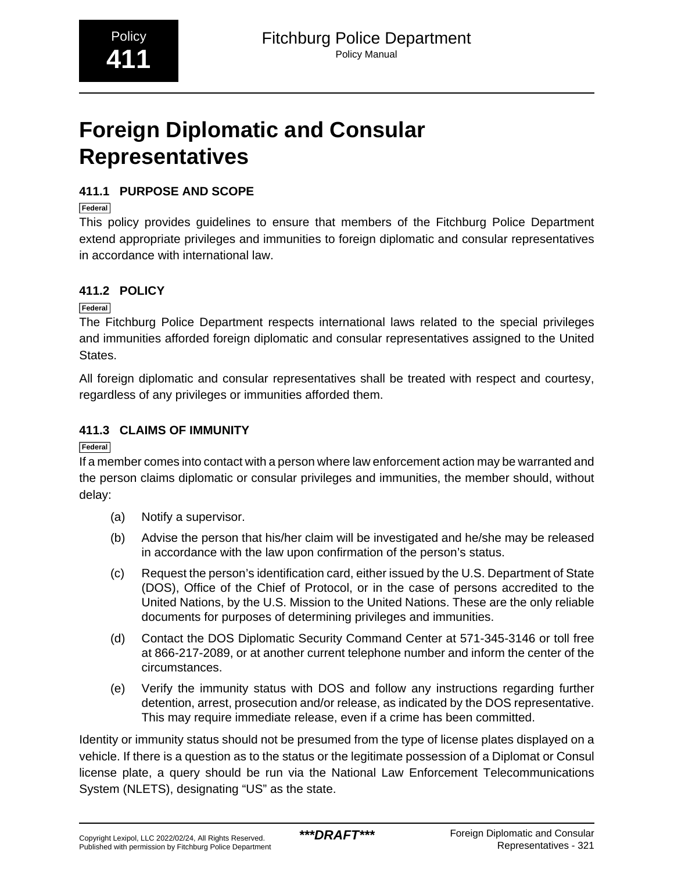# <span id="page-25-0"></span>**Foreign Diplomatic and Consular Representatives**

### **411.1 PURPOSE AND SCOPE**

**Federal**

This policy provides guidelines to ensure that members of the Fitchburg Police Department extend appropriate privileges and immunities to foreign diplomatic and consular representatives in accordance with international law.

### **411.2 POLICY**

**Federal**

The Fitchburg Police Department respects international laws related to the special privileges and immunities afforded foreign diplomatic and consular representatives assigned to the United States.

All foreign diplomatic and consular representatives shall be treated with respect and courtesy, regardless of any privileges or immunities afforded them.

### **411.3 CLAIMS OF IMMUNITY**

**Federal**

If a member comes into contact with a person where law enforcement action may be warranted and the person claims diplomatic or consular privileges and immunities, the member should, without delay:

- (a) Notify a supervisor.
- (b) Advise the person that his/her claim will be investigated and he/she may be released in accordance with the law upon confirmation of the person's status.
- (c) Request the person's identification card, either issued by the U.S. Department of State (DOS), Office of the Chief of Protocol, or in the case of persons accredited to the United Nations, by the U.S. Mission to the United Nations. These are the only reliable documents for purposes of determining privileges and immunities.
- (d) Contact the DOS Diplomatic Security Command Center at 571-345-3146 or toll free at 866-217-2089, or at another current telephone number and inform the center of the circumstances.
- (e) Verify the immunity status with DOS and follow any instructions regarding further detention, arrest, prosecution and/or release, as indicated by the DOS representative. This may require immediate release, even if a crime has been committed.

Identity or immunity status should not be presumed from the type of license plates displayed on a vehicle. If there is a question as to the status or the legitimate possession of a Diplomat or Consul license plate, a query should be run via the National Law Enforcement Telecommunications System (NLETS), designating "US" as the state.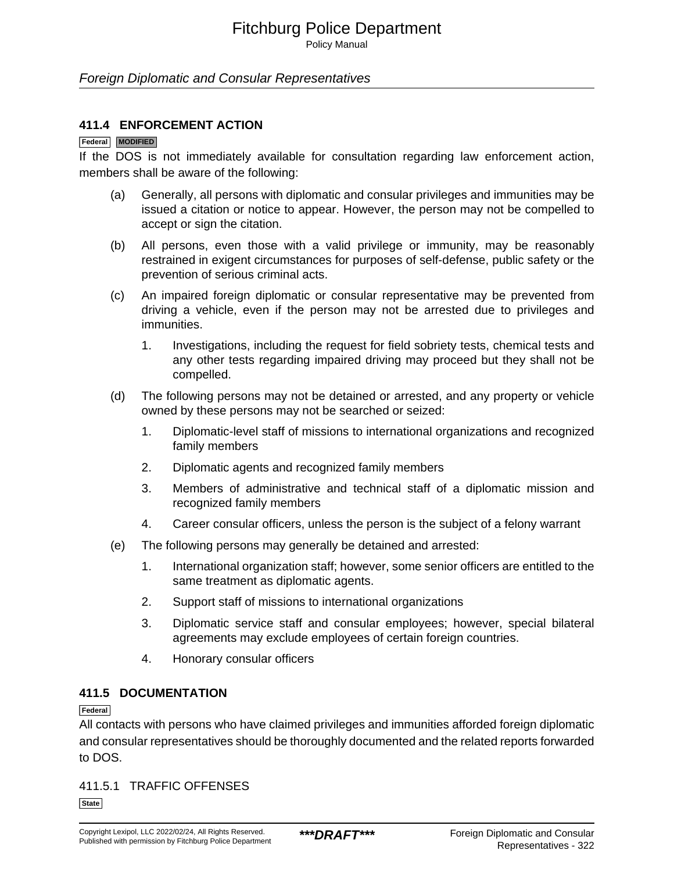Policy Manual

### Foreign Diplomatic and Consular Representatives

### **411.4 ENFORCEMENT ACTION**

### **Federal MODIFIED**

If the DOS is not immediately available for consultation regarding law enforcement action, members shall be aware of the following:

- (a) Generally, all persons with diplomatic and consular privileges and immunities may be issued a citation or notice to appear. However, the person may not be compelled to accept or sign the citation.
- (b) All persons, even those with a valid privilege or immunity, may be reasonably restrained in exigent circumstances for purposes of self-defense, public safety or the prevention of serious criminal acts.
- (c) An impaired foreign diplomatic or consular representative may be prevented from driving a vehicle, even if the person may not be arrested due to privileges and immunities.
	- 1. Investigations, including the request for field sobriety tests, chemical tests and any other tests regarding impaired driving may proceed but they shall not be compelled.
- (d) The following persons may not be detained or arrested, and any property or vehicle owned by these persons may not be searched or seized:
	- 1. Diplomatic-level staff of missions to international organizations and recognized family members
	- 2. Diplomatic agents and recognized family members
	- 3. Members of administrative and technical staff of a diplomatic mission and recognized family members
	- 4. Career consular officers, unless the person is the subject of a felony warrant
- (e) The following persons may generally be detained and arrested:
	- 1. International organization staff; however, some senior officers are entitled to the same treatment as diplomatic agents.
	- 2. Support staff of missions to international organizations
	- 3. Diplomatic service staff and consular employees; however, special bilateral agreements may exclude employees of certain foreign countries.
	- 4. Honorary consular officers

### **411.5 DOCUMENTATION**

### **Federal**

All contacts with persons who have claimed privileges and immunities afforded foreign diplomatic and consular representatives should be thoroughly documented and the related reports forwarded to DOS.

411.5.1 TRAFFIC OFFENSES

**State**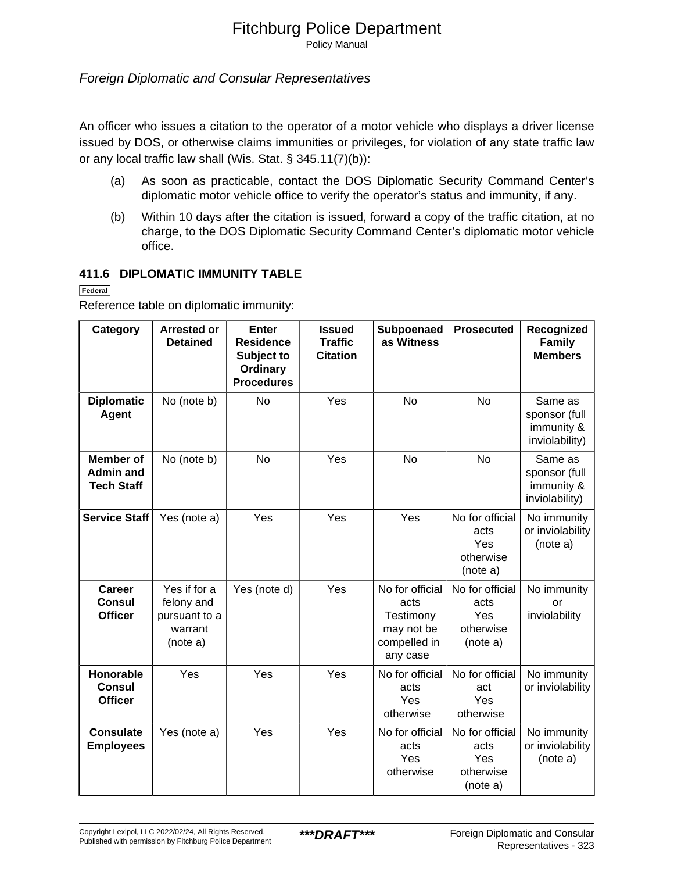Policy Manual

### Foreign Diplomatic and Consular Representatives

An officer who issues a citation to the operator of a motor vehicle who displays a driver license issued by DOS, or otherwise claims immunities or privileges, for violation of any state traffic law or any local traffic law shall (Wis. Stat. § 345.11(7)(b)):

- (a) As soon as practicable, contact the DOS Diplomatic Security Command Center's diplomatic motor vehicle office to verify the operator's status and immunity, if any.
- (b) Within 10 days after the citation is issued, forward a copy of the traffic citation, at no charge, to the DOS Diplomatic Security Command Center's diplomatic motor vehicle office.

### **411.6 DIPLOMATIC IMMUNITY TABLE**

**Federal**

Reference table on diplomatic immunity:

| Category                                                  | <b>Arrested or</b><br><b>Detained</b>                              | <b>Enter</b><br><b>Residence</b><br>Subject to<br>Ordinary<br><b>Procedures</b> | <b>Issued</b><br><b>Traffic</b><br><b>Citation</b> | Subpoenaed<br>as Witness                                                       | <b>Prosecuted</b>                                       | Recognized<br><b>Family</b><br><b>Members</b>            |
|-----------------------------------------------------------|--------------------------------------------------------------------|---------------------------------------------------------------------------------|----------------------------------------------------|--------------------------------------------------------------------------------|---------------------------------------------------------|----------------------------------------------------------|
| <b>Diplomatic</b><br><b>Agent</b>                         | No (note b)                                                        | <b>No</b>                                                                       | Yes                                                | <b>No</b>                                                                      | <b>No</b>                                               | Same as<br>sponsor (full<br>immunity &<br>inviolability) |
| <b>Member</b> of<br><b>Admin and</b><br><b>Tech Staff</b> | No (note b)                                                        | <b>No</b>                                                                       | Yes                                                | <b>No</b>                                                                      | <b>No</b>                                               | Same as<br>sponsor (full<br>immunity &<br>inviolability) |
| Service Staff                                             | Yes (note a)                                                       | Yes                                                                             | Yes                                                | Yes                                                                            | No for official<br>acts<br>Yes<br>otherwise<br>(note a) | No immunity<br>or inviolability<br>(note a)              |
| Career<br>Consul<br><b>Officer</b>                        | Yes if for a<br>felony and<br>pursuant to a<br>warrant<br>(note a) | Yes (note d)                                                                    | Yes                                                | No for official<br>acts<br>Testimony<br>may not be<br>compelled in<br>any case | No for official<br>acts<br>Yes<br>otherwise<br>(note a) | No immunity<br>or<br>inviolability                       |
| Honorable<br><b>Consul</b><br><b>Officer</b>              | Yes                                                                | Yes                                                                             | Yes                                                | No for official<br>acts<br>Yes<br>otherwise                                    | No for official<br>act<br>Yes<br>otherwise              | No immunity<br>or inviolability                          |
| <b>Consulate</b><br><b>Employees</b>                      | Yes (note a)                                                       | Yes                                                                             | Yes                                                | No for official<br>acts<br>Yes<br>otherwise                                    | No for official<br>acts<br>Yes<br>otherwise<br>(note a) | No immunity<br>or inviolability<br>(note a)              |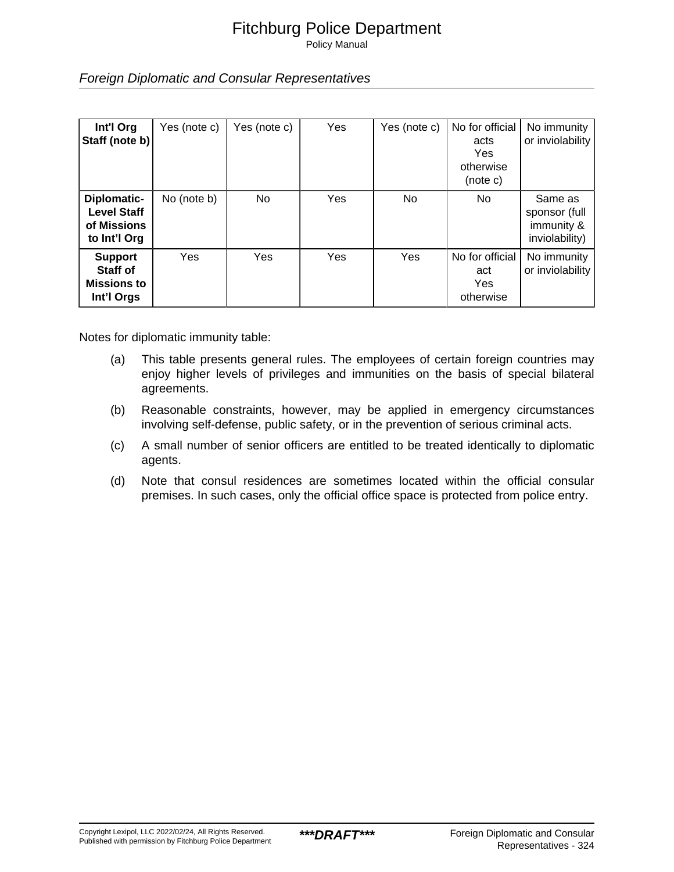Policy Manual

Foreign Diplomatic and Consular Representatives

| Int'l Org<br>Staff (note b)                                      | Yes (note c) | Yes (note c) | <b>Yes</b> | Yes (note c) | No for official<br>acts<br><b>Yes</b><br>otherwise<br>(note c) | No immunity<br>or inviolability                          |
|------------------------------------------------------------------|--------------|--------------|------------|--------------|----------------------------------------------------------------|----------------------------------------------------------|
| Diplomatic-<br><b>Level Staff</b><br>of Missions<br>to Int'l Org | No (note b)  | No           | <b>Yes</b> | No.          | No                                                             | Same as<br>sponsor (full<br>immunity &<br>inviolability) |
| <b>Support</b><br>Staff of<br><b>Missions to</b><br>Int'l Orgs   | Yes          | Yes          | Yes        | Yes          | No for official<br>act<br><b>Yes</b><br>otherwise              | No immunity<br>or inviolability                          |

Notes for diplomatic immunity table:

- (a) This table presents general rules. The employees of certain foreign countries may enjoy higher levels of privileges and immunities on the basis of special bilateral agreements.
- (b) Reasonable constraints, however, may be applied in emergency circumstances involving self-defense, public safety, or in the prevention of serious criminal acts.
- (c) A small number of senior officers are entitled to be treated identically to diplomatic agents.
- (d) Note that consul residences are sometimes located within the official consular premises. In such cases, only the official office space is protected from police entry.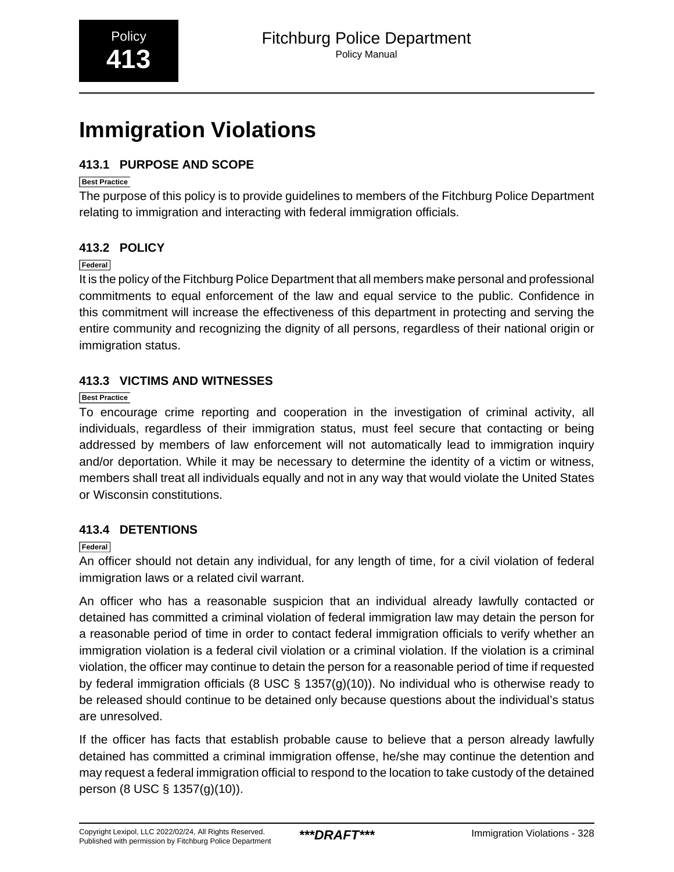# <span id="page-29-0"></span>**Immigration Violations**

### **413.1 PURPOSE AND SCOPE**

### **Best Practice**

The purpose of this policy is to provide guidelines to members of the Fitchburg Police Department relating to immigration and interacting with federal immigration officials.

### **413.2 POLICY**

### **Federal**

It is the policy of the Fitchburg Police Department that all members make personal and professional commitments to equal enforcement of the law and equal service to the public. Confidence in this commitment will increase the effectiveness of this department in protecting and serving the entire community and recognizing the dignity of all persons, regardless of their national origin or immigration status.

### **413.3 VICTIMS AND WITNESSES**

### **Best Practice**

To encourage crime reporting and cooperation in the investigation of criminal activity, all individuals, regardless of their immigration status, must feel secure that contacting or being addressed by members of law enforcement will not automatically lead to immigration inquiry and/or deportation. While it may be necessary to determine the identity of a victim or witness, members shall treat all individuals equally and not in any way that would violate the United States or Wisconsin constitutions.

### **413.4 DETENTIONS**

### **Federal**

An officer should not detain any individual, for any length of time, for a civil violation of federal immigration laws or a related civil warrant.

An officer who has a reasonable suspicion that an individual already lawfully contacted or detained has committed a criminal violation of federal immigration law may detain the person for a reasonable period of time in order to contact federal immigration officials to verify whether an immigration violation is a federal civil violation or a criminal violation. If the violation is a criminal violation, the officer may continue to detain the person for a reasonable period of time if requested by federal immigration officials (8 USC § 1357(g)(10)). No individual who is otherwise ready to be released should continue to be detained only because questions about the individual's status are unresolved.

If the officer has facts that establish probable cause to believe that a person already lawfully detained has committed a criminal immigration offense, he/she may continue the detention and may request a federal immigration official to respond to the location to take custody of the detained person (8 USC § 1357(g)(10)).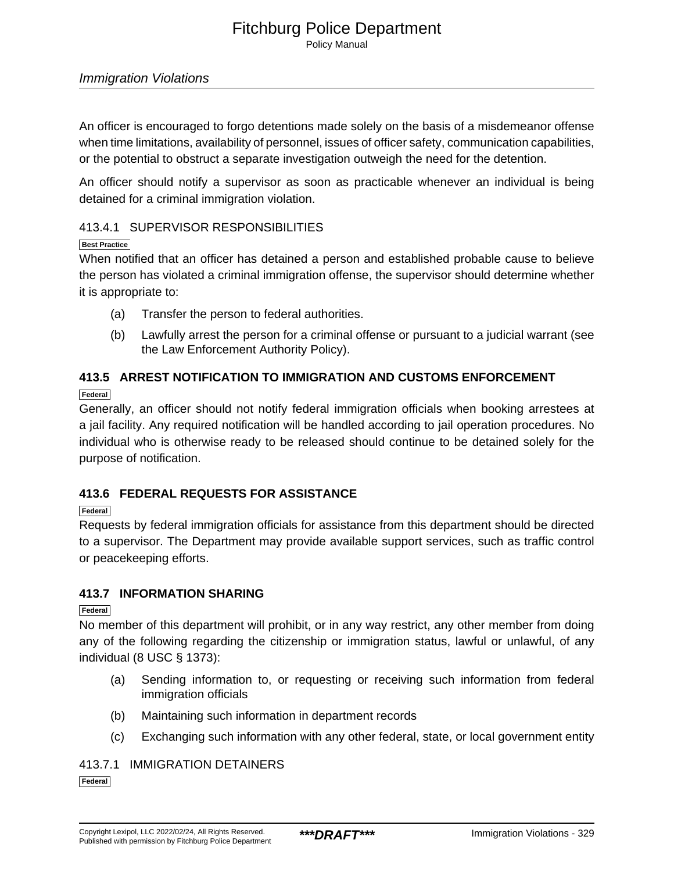Policy Manual

### Immigration Violations

An officer is encouraged to forgo detentions made solely on the basis of a misdemeanor offense when time limitations, availability of personnel, issues of officer safety, communication capabilities, or the potential to obstruct a separate investigation outweigh the need for the detention.

An officer should notify a supervisor as soon as practicable whenever an individual is being detained for a criminal immigration violation.

### 413.4.1 SUPERVISOR RESPONSIBILITIES

### **Best Practice**

When notified that an officer has detained a person and established probable cause to believe the person has violated a criminal immigration offense, the supervisor should determine whether it is appropriate to:

- (a) Transfer the person to federal authorities.
- (b) Lawfully arrest the person for a criminal offense or pursuant to a judicial warrant (see the Law Enforcement Authority Policy).

### **413.5 ARREST NOTIFICATION TO IMMIGRATION AND CUSTOMS ENFORCEMENT**

**Federal**

Generally, an officer should not notify federal immigration officials when booking arrestees at a jail facility. Any required notification will be handled according to jail operation procedures. No individual who is otherwise ready to be released should continue to be detained solely for the purpose of notification.

### **413.6 FEDERAL REQUESTS FOR ASSISTANCE**

### **Federal**

Requests by federal immigration officials for assistance from this department should be directed to a supervisor. The Department may provide available support services, such as traffic control or peacekeeping efforts.

### **413.7 INFORMATION SHARING**

### **Federal**

No member of this department will prohibit, or in any way restrict, any other member from doing any of the following regarding the citizenship or immigration status, lawful or unlawful, of any individual (8 USC § 1373):

- (a) Sending information to, or requesting or receiving such information from federal immigration officials
- (b) Maintaining such information in department records
- (c) Exchanging such information with any other federal, state, or local government entity

### 413.7.1 IMMIGRATION DETAINERS

**Federal**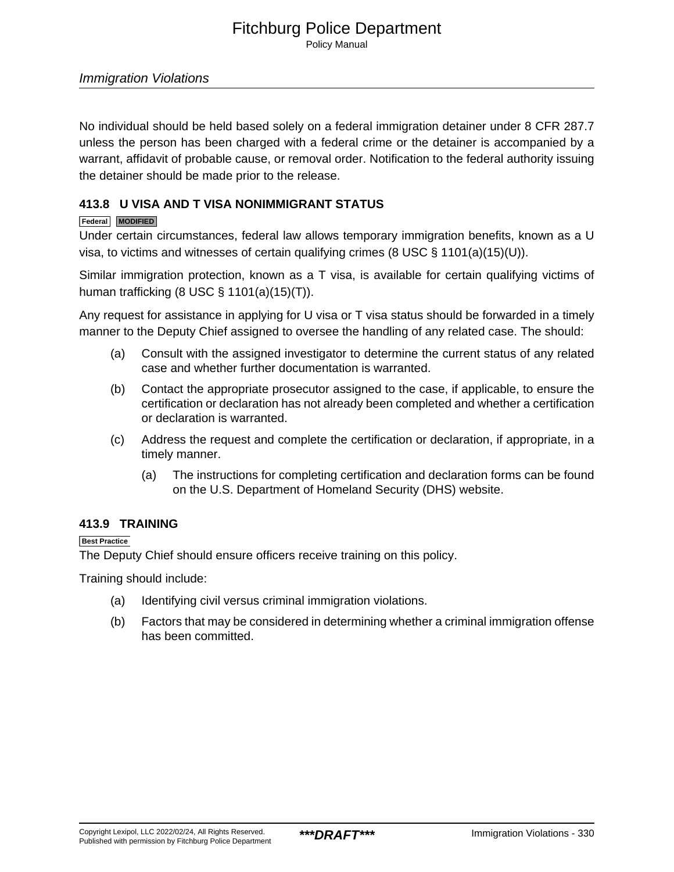Policy Manual

No individual should be held based solely on a federal immigration detainer under 8 CFR 287.7 unless the person has been charged with a federal crime or the detainer is accompanied by a warrant, affidavit of probable cause, or removal order. Notification to the federal authority issuing the detainer should be made prior to the release.

### **413.8 U VISA AND T VISA NONIMMIGRANT STATUS**

### **Federal MODIFIED**

Under certain circumstances, federal law allows temporary immigration benefits, known as a U visa, to victims and witnesses of certain qualifying crimes (8 USC  $\S$  1101(a)(15)(U)).

Similar immigration protection, known as a T visa, is available for certain qualifying victims of human trafficking (8 USC § 1101(a)(15)(T)).

Any request for assistance in applying for U visa or T visa status should be forwarded in a timely manner to the Deputy Chief assigned to oversee the handling of any related case. The should:

- (a) Consult with the assigned investigator to determine the current status of any related case and whether further documentation is warranted.
- (b) Contact the appropriate prosecutor assigned to the case, if applicable, to ensure the certification or declaration has not already been completed and whether a certification or declaration is warranted.
- (c) Address the request and complete the certification or declaration, if appropriate, in a timely manner.
	- (a) The instructions for completing certification and declaration forms can be found on the U.S. Department of Homeland Security (DHS) website.

### **413.9 TRAINING**

**Best Practice**

The Deputy Chief should ensure officers receive training on this policy.

Training should include:

- (a) Identifying civil versus criminal immigration violations.
- (b) Factors that may be considered in determining whether a criminal immigration offense has been committed.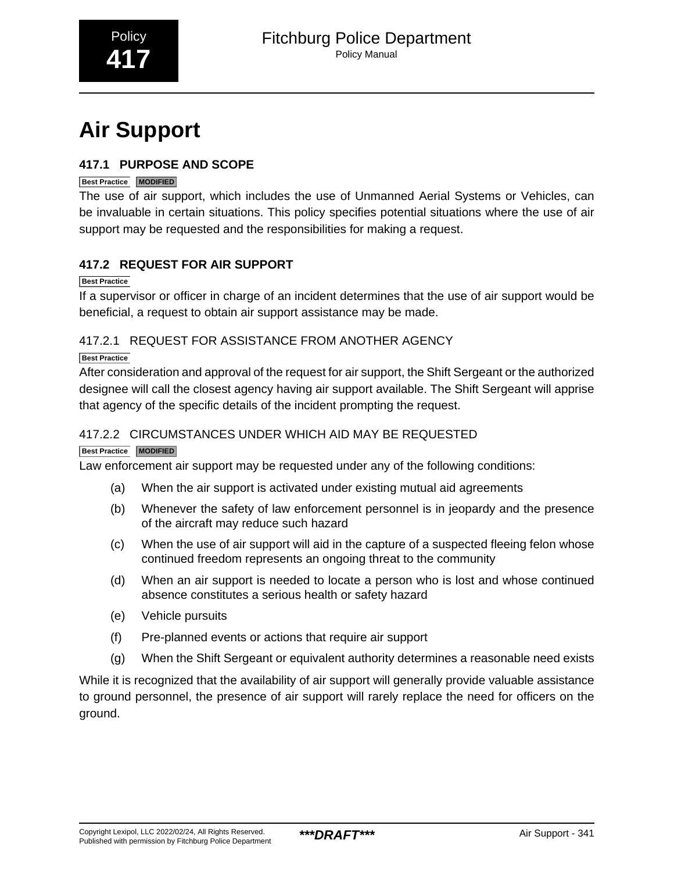# <span id="page-32-0"></span>**Air Support**

### **417.1 PURPOSE AND SCOPE**

### **Best Practice MODIFIED**

The use of air support, which includes the use of Unmanned Aerial Systems or Vehicles, can be invaluable in certain situations. This policy specifies potential situations where the use of air support may be requested and the responsibilities for making a request.

### **417.2 REQUEST FOR AIR SUPPORT**

### **Best Practice**

If a supervisor or officer in charge of an incident determines that the use of air support would be beneficial, a request to obtain air support assistance may be made.

### 417.2.1 REQUEST FOR ASSISTANCE FROM ANOTHER AGENCY

### **Best Practice**

After consideration and approval of the request for air support, the Shift Sergeant or the authorized designee will call the closest agency having air support available. The Shift Sergeant will apprise that agency of the specific details of the incident prompting the request.

### 417.2.2 CIRCUMSTANCES UNDER WHICH AID MAY BE REQUESTED

### **Best Practice MODIFIED**

Law enforcement air support may be requested under any of the following conditions:

- (a) When the air support is activated under existing mutual aid agreements
- (b) Whenever the safety of law enforcement personnel is in jeopardy and the presence of the aircraft may reduce such hazard
- (c) When the use of air support will aid in the capture of a suspected fleeing felon whose continued freedom represents an ongoing threat to the community
- (d) When an air support is needed to locate a person who is lost and whose continued absence constitutes a serious health or safety hazard
- (e) Vehicle pursuits
- (f) Pre-planned events or actions that require air support
- (g) When the Shift Sergeant or equivalent authority determines a reasonable need exists

While it is recognized that the availability of air support will generally provide valuable assistance to ground personnel, the presence of air support will rarely replace the need for officers on the ground.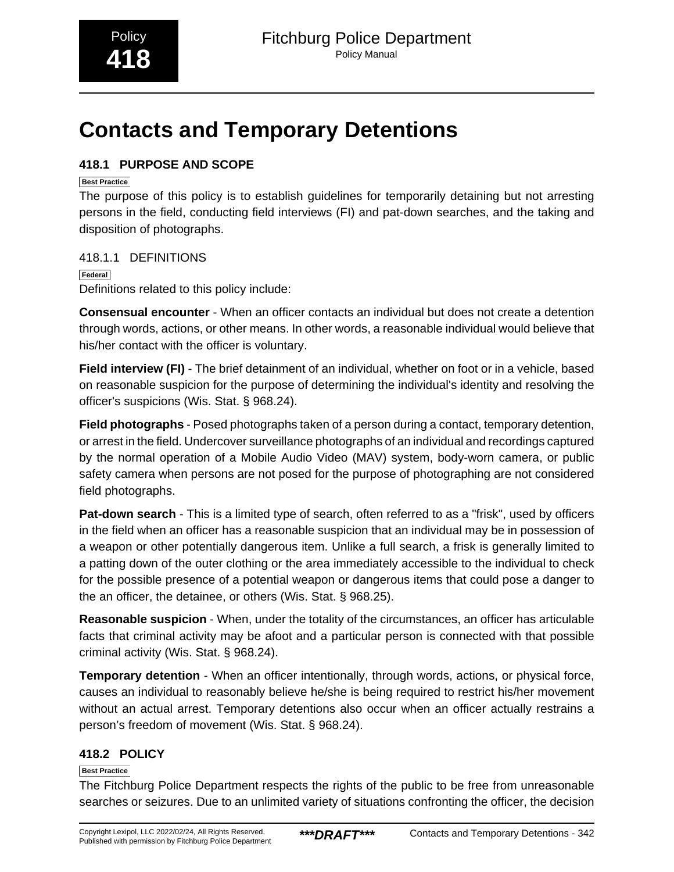# <span id="page-33-0"></span>**Contacts and Temporary Detentions**

### **418.1 PURPOSE AND SCOPE**

### **Best Practice**

The purpose of this policy is to establish guidelines for temporarily detaining but not arresting persons in the field, conducting field interviews (FI) and pat-down searches, and the taking and disposition of photographs.

418.1.1 DEFINITIONS

**Federal**

Definitions related to this policy include:

**Consensual encounter** - When an officer contacts an individual but does not create a detention through words, actions, or other means. In other words, a reasonable individual would believe that his/her contact with the officer is voluntary.

**Field interview (FI)** - The brief detainment of an individual, whether on foot or in a vehicle, based on reasonable suspicion for the purpose of determining the individual's identity and resolving the officer's suspicions (Wis. Stat. § 968.24).

**Field photographs** - Posed photographs taken of a person during a contact, temporary detention, or arrest in the field. Undercover surveillance photographs of an individual and recordings captured by the normal operation of a Mobile Audio Video (MAV) system, body-worn camera, or public safety camera when persons are not posed for the purpose of photographing are not considered field photographs.

**Pat-down search** - This is a limited type of search, often referred to as a "frisk", used by officers in the field when an officer has a reasonable suspicion that an individual may be in possession of a weapon or other potentially dangerous item. Unlike a full search, a frisk is generally limited to a patting down of the outer clothing or the area immediately accessible to the individual to check for the possible presence of a potential weapon or dangerous items that could pose a danger to the an officer, the detainee, or others (Wis. Stat. § 968.25).

**Reasonable suspicion** - When, under the totality of the circumstances, an officer has articulable facts that criminal activity may be afoot and a particular person is connected with that possible criminal activity (Wis. Stat. § 968.24).

**Temporary detention** - When an officer intentionally, through words, actions, or physical force, causes an individual to reasonably believe he/she is being required to restrict his/her movement without an actual arrest. Temporary detentions also occur when an officer actually restrains a person's freedom of movement (Wis. Stat. § 968.24).

### **418.2 POLICY**

### **Best Practice**

The Fitchburg Police Department respects the rights of the public to be free from unreasonable searches or seizures. Due to an unlimited variety of situations confronting the officer, the decision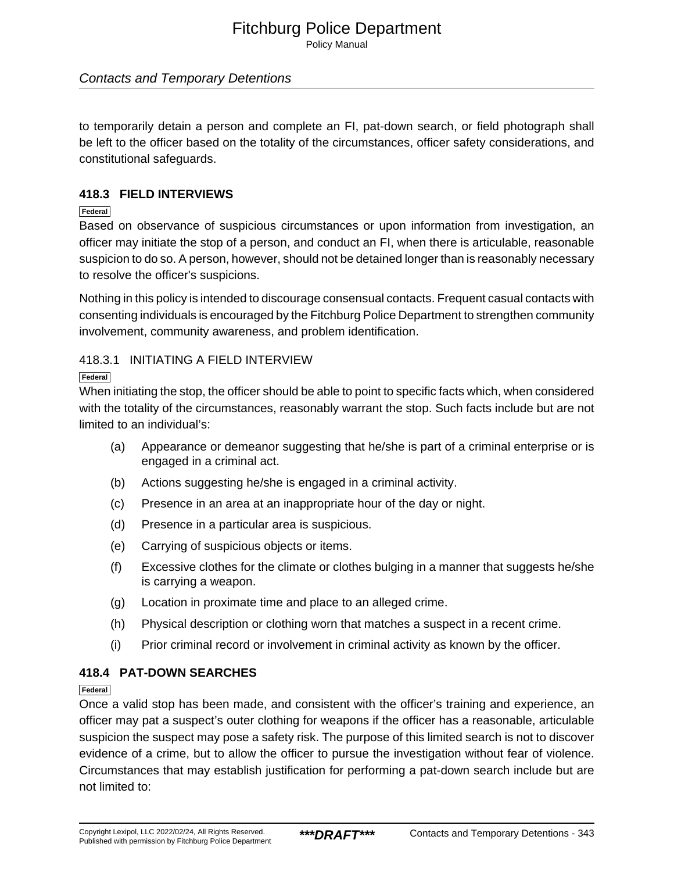Policy Manual

### Contacts and Temporary Detentions

to temporarily detain a person and complete an FI, pat-down search, or field photograph shall be left to the officer based on the totality of the circumstances, officer safety considerations, and constitutional safeguards.

### **418.3 FIELD INTERVIEWS**

### **Federal**

Based on observance of suspicious circumstances or upon information from investigation, an officer may initiate the stop of a person, and conduct an FI, when there is articulable, reasonable suspicion to do so. A person, however, should not be detained longer than is reasonably necessary to resolve the officer's suspicions.

Nothing in this policy is intended to discourage consensual contacts. Frequent casual contacts with consenting individuals is encouraged by the Fitchburg Police Department to strengthen community involvement, community awareness, and problem identification.

### 418.3.1 INITIATING A FIELD INTERVIEW

### **Federal**

When initiating the stop, the officer should be able to point to specific facts which, when considered with the totality of the circumstances, reasonably warrant the stop. Such facts include but are not limited to an individual's:

- (a) Appearance or demeanor suggesting that he/she is part of a criminal enterprise or is engaged in a criminal act.
- (b) Actions suggesting he/she is engaged in a criminal activity.
- (c) Presence in an area at an inappropriate hour of the day or night.
- (d) Presence in a particular area is suspicious.
- (e) Carrying of suspicious objects or items.
- (f) Excessive clothes for the climate or clothes bulging in a manner that suggests he/she is carrying a weapon.
- (g) Location in proximate time and place to an alleged crime.
- (h) Physical description or clothing worn that matches a suspect in a recent crime.
- (i) Prior criminal record or involvement in criminal activity as known by the officer.

### **418.4 PAT-DOWN SEARCHES**

### **Federal**

Once a valid stop has been made, and consistent with the officer's training and experience, an officer may pat a suspect's outer clothing for weapons if the officer has a reasonable, articulable suspicion the suspect may pose a safety risk. The purpose of this limited search is not to discover evidence of a crime, but to allow the officer to pursue the investigation without fear of violence. Circumstances that may establish justification for performing a pat-down search include but are not limited to: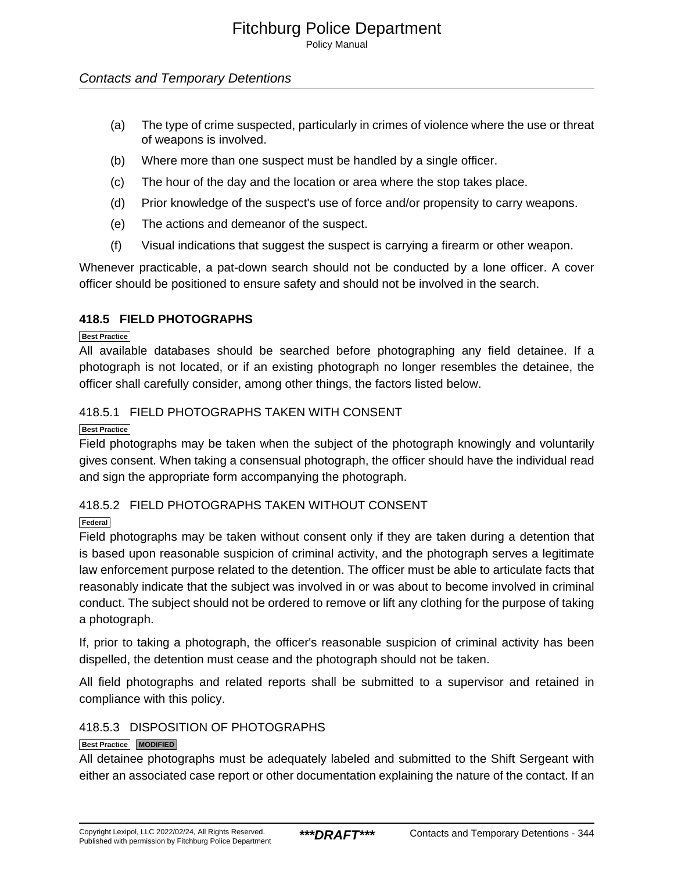Policy Manual

### Contacts and Temporary Detentions

- (a) The type of crime suspected, particularly in crimes of violence where the use or threat of weapons is involved.
- (b) Where more than one suspect must be handled by a single officer.
- (c) The hour of the day and the location or area where the stop takes place.
- (d) Prior knowledge of the suspect's use of force and/or propensity to carry weapons.
- (e) The actions and demeanor of the suspect.
- (f) Visual indications that suggest the suspect is carrying a firearm or other weapon.

Whenever practicable, a pat-down search should not be conducted by a lone officer. A cover officer should be positioned to ensure safety and should not be involved in the search.

### **418.5 FIELD PHOTOGRAPHS**

**Best Practice**

All available databases should be searched before photographing any field detainee. If a photograph is not located, or if an existing photograph no longer resembles the detainee, the officer shall carefully consider, among other things, the factors listed below.

### 418.5.1 FIELD PHOTOGRAPHS TAKEN WITH CONSENT

**Best Practice**

Field photographs may be taken when the subject of the photograph knowingly and voluntarily gives consent. When taking a consensual photograph, the officer should have the individual read and sign the appropriate form accompanying the photograph.

### 418.5.2 FIELD PHOTOGRAPHS TAKEN WITHOUT CONSENT

**Federal**

Field photographs may be taken without consent only if they are taken during a detention that is based upon reasonable suspicion of criminal activity, and the photograph serves a legitimate law enforcement purpose related to the detention. The officer must be able to articulate facts that reasonably indicate that the subject was involved in or was about to become involved in criminal conduct. The subject should not be ordered to remove or lift any clothing for the purpose of taking a photograph.

If, prior to taking a photograph, the officer's reasonable suspicion of criminal activity has been dispelled, the detention must cease and the photograph should not be taken.

All field photographs and related reports shall be submitted to a supervisor and retained in compliance with this policy.

### 418.5.3 DISPOSITION OF PHOTOGRAPHS

### **Best Practice MODIFIED**

All detainee photographs must be adequately labeled and submitted to the Shift Sergeant with either an associated case report or other documentation explaining the nature of the contact. If an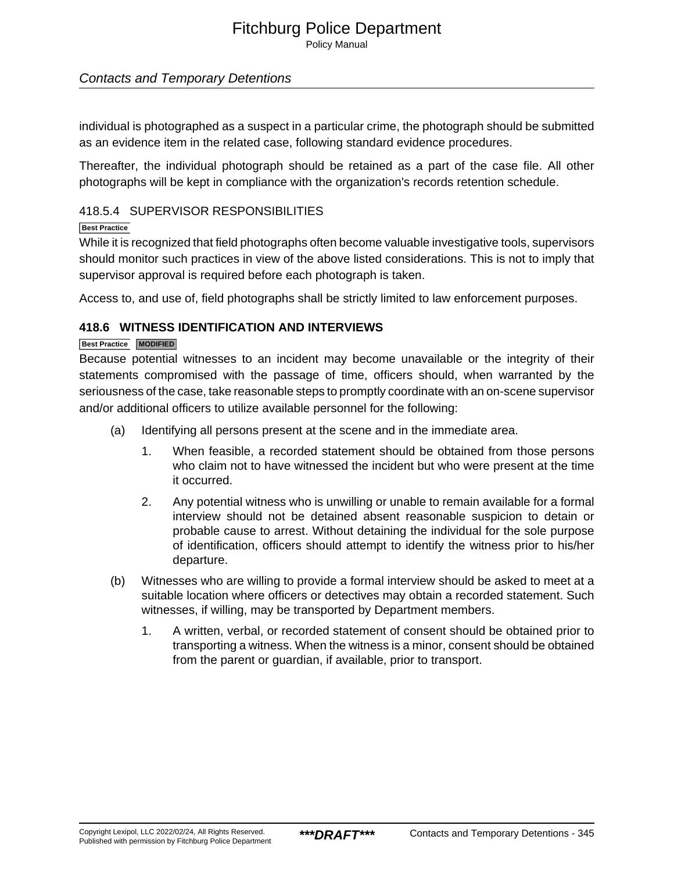Policy Manual

### Contacts and Temporary Detentions

individual is photographed as a suspect in a particular crime, the photograph should be submitted as an evidence item in the related case, following standard evidence procedures.

Thereafter, the individual photograph should be retained as a part of the case file. All other photographs will be kept in compliance with the organization's records retention schedule.

### 418.5.4 SUPERVISOR RESPONSIBILITIES

### **Best Practice**

While it is recognized that field photographs often become valuable investigative tools, supervisors should monitor such practices in view of the above listed considerations. This is not to imply that supervisor approval is required before each photograph is taken.

Access to, and use of, field photographs shall be strictly limited to law enforcement purposes.

### **418.6 WITNESS IDENTIFICATION AND INTERVIEWS**

### **Best Practice MODIFIED**

Because potential witnesses to an incident may become unavailable or the integrity of their statements compromised with the passage of time, officers should, when warranted by the seriousness of the case, take reasonable steps to promptly coordinate with an on-scene supervisor and/or additional officers to utilize available personnel for the following:

- (a) Identifying all persons present at the scene and in the immediate area.
	- 1. When feasible, a recorded statement should be obtained from those persons who claim not to have witnessed the incident but who were present at the time it occurred.
	- 2. Any potential witness who is unwilling or unable to remain available for a formal interview should not be detained absent reasonable suspicion to detain or probable cause to arrest. Without detaining the individual for the sole purpose of identification, officers should attempt to identify the witness prior to his/her departure.
- (b) Witnesses who are willing to provide a formal interview should be asked to meet at a suitable location where officers or detectives may obtain a recorded statement. Such witnesses, if willing, may be transported by Department members.
	- 1. A written, verbal, or recorded statement of consent should be obtained prior to transporting a witness. When the witness is a minor, consent should be obtained from the parent or guardian, if available, prior to transport.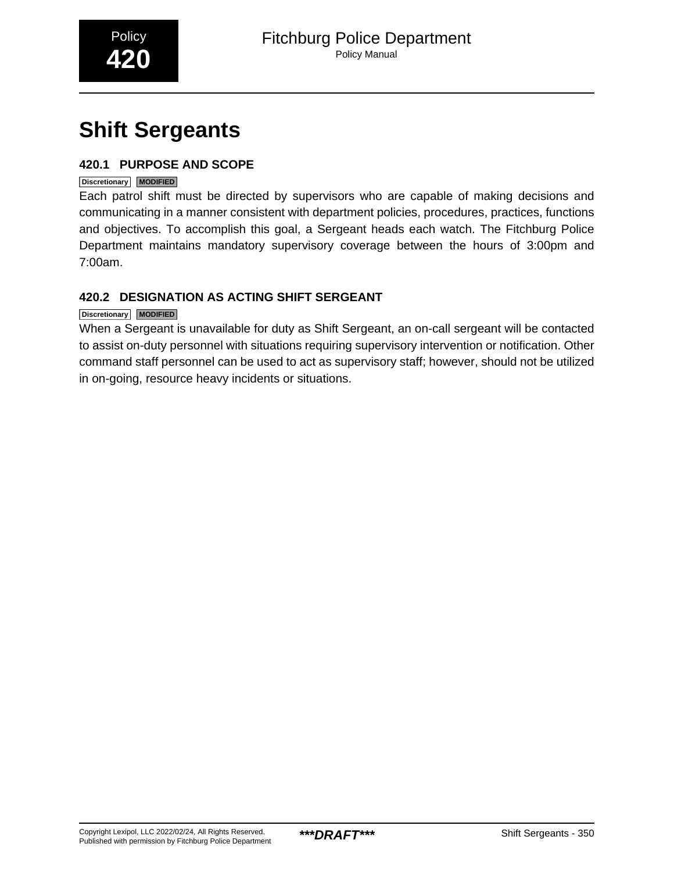<span id="page-37-0"></span>

# **Shift Sergeants**

### **420.1 PURPOSE AND SCOPE**

### **Discretionary MODIFIED**

Each patrol shift must be directed by supervisors who are capable of making decisions and communicating in a manner consistent with department policies, procedures, practices, functions and objectives. To accomplish this goal, a Sergeant heads each watch. The Fitchburg Police Department maintains mandatory supervisory coverage between the hours of 3:00pm and 7:00am.

### **420.2 DESIGNATION AS ACTING SHIFT SERGEANT**

### **Discretionary MODIFIED**

When a Sergeant is unavailable for duty as Shift Sergeant, an on-call sergeant will be contacted to assist on-duty personnel with situations requiring supervisory intervention or notification. Other command staff personnel can be used to act as supervisory staff; however, should not be utilized in on-going, resource heavy incidents or situations.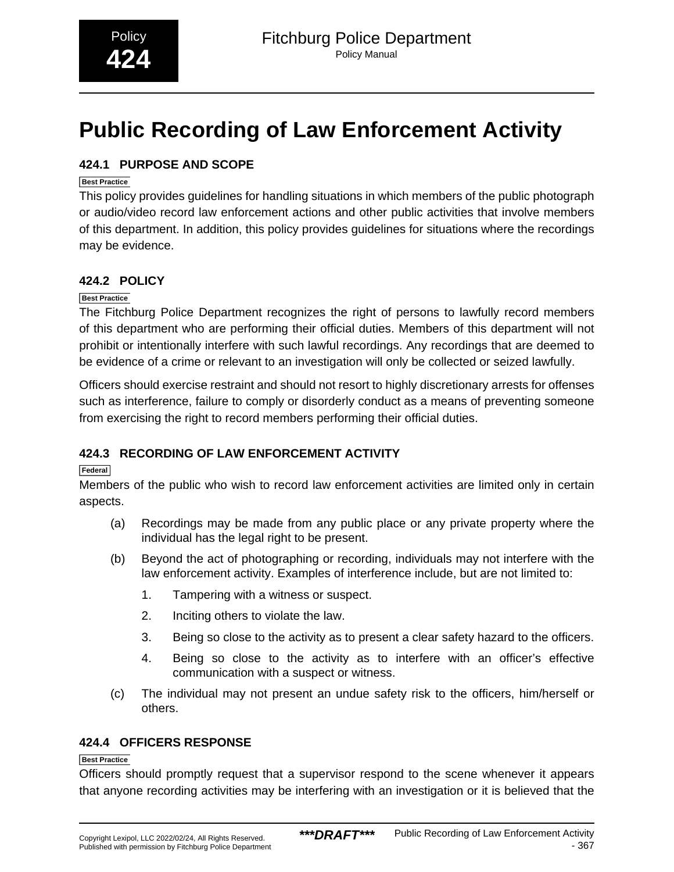# <span id="page-38-0"></span>**Public Recording of Law Enforcement Activity**

### **424.1 PURPOSE AND SCOPE**

### **Best Practice**

This policy provides guidelines for handling situations in which members of the public photograph or audio/video record law enforcement actions and other public activities that involve members of this department. In addition, this policy provides guidelines for situations where the recordings may be evidence.

### **424.2 POLICY**

### **Best Practice**

The Fitchburg Police Department recognizes the right of persons to lawfully record members of this department who are performing their official duties. Members of this department will not prohibit or intentionally interfere with such lawful recordings. Any recordings that are deemed to be evidence of a crime or relevant to an investigation will only be collected or seized lawfully.

Officers should exercise restraint and should not resort to highly discretionary arrests for offenses such as interference, failure to comply or disorderly conduct as a means of preventing someone from exercising the right to record members performing their official duties.

### **424.3 RECORDING OF LAW ENFORCEMENT ACTIVITY**

### **Federal**

Members of the public who wish to record law enforcement activities are limited only in certain aspects.

- (a) Recordings may be made from any public place or any private property where the individual has the legal right to be present.
- (b) Beyond the act of photographing or recording, individuals may not interfere with the law enforcement activity. Examples of interference include, but are not limited to:
	- 1. Tampering with a witness or suspect.
	- 2. Inciting others to violate the law.
	- 3. Being so close to the activity as to present a clear safety hazard to the officers.
	- 4. Being so close to the activity as to interfere with an officer's effective communication with a suspect or witness.
- (c) The individual may not present an undue safety risk to the officers, him/herself or others.

### **424.4 OFFICERS RESPONSE**

### **Best Practice**

Officers should promptly request that a supervisor respond to the scene whenever it appears that anyone recording activities may be interfering with an investigation or it is believed that the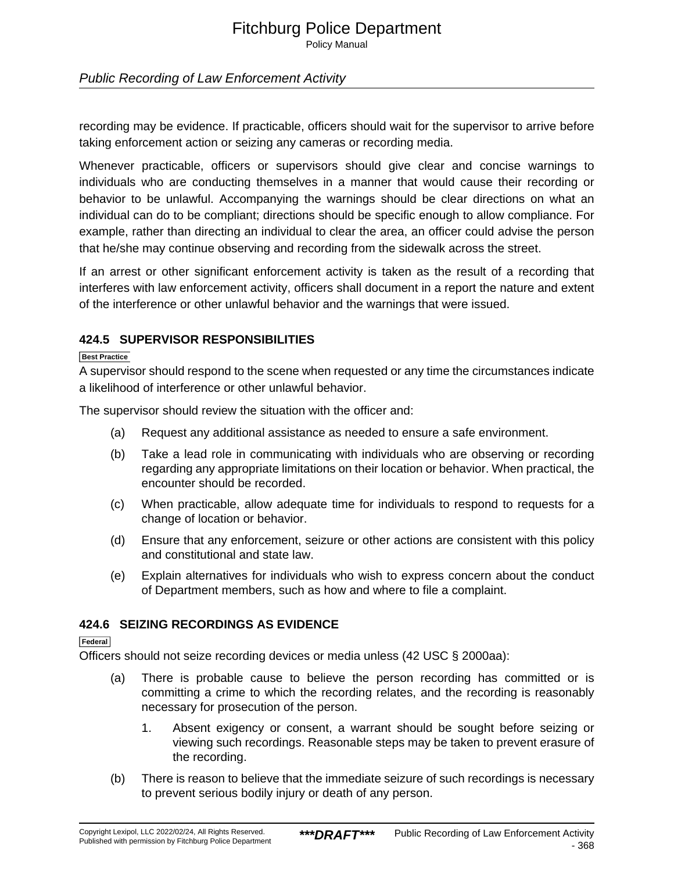Policy Manual

### Public Recording of Law Enforcement Activity

recording may be evidence. If practicable, officers should wait for the supervisor to arrive before taking enforcement action or seizing any cameras or recording media.

Whenever practicable, officers or supervisors should give clear and concise warnings to individuals who are conducting themselves in a manner that would cause their recording or behavior to be unlawful. Accompanying the warnings should be clear directions on what an individual can do to be compliant; directions should be specific enough to allow compliance. For example, rather than directing an individual to clear the area, an officer could advise the person that he/she may continue observing and recording from the sidewalk across the street.

If an arrest or other significant enforcement activity is taken as the result of a recording that interferes with law enforcement activity, officers shall document in a report the nature and extent of the interference or other unlawful behavior and the warnings that were issued.

### **424.5 SUPERVISOR RESPONSIBILITIES**

#### **Best Practice**

A supervisor should respond to the scene when requested or any time the circumstances indicate a likelihood of interference or other unlawful behavior.

The supervisor should review the situation with the officer and:

- (a) Request any additional assistance as needed to ensure a safe environment.
- (b) Take a lead role in communicating with individuals who are observing or recording regarding any appropriate limitations on their location or behavior. When practical, the encounter should be recorded.
- (c) When practicable, allow adequate time for individuals to respond to requests for a change of location or behavior.
- (d) Ensure that any enforcement, seizure or other actions are consistent with this policy and constitutional and state law.
- (e) Explain alternatives for individuals who wish to express concern about the conduct of Department members, such as how and where to file a complaint.

### **424.6 SEIZING RECORDINGS AS EVIDENCE**

**Federal**

Officers should not seize recording devices or media unless (42 USC § 2000aa):

- (a) There is probable cause to believe the person recording has committed or is committing a crime to which the recording relates, and the recording is reasonably necessary for prosecution of the person.
	- 1. Absent exigency or consent, a warrant should be sought before seizing or viewing such recordings. Reasonable steps may be taken to prevent erasure of the recording.
- (b) There is reason to believe that the immediate seizure of such recordings is necessary to prevent serious bodily injury or death of any person.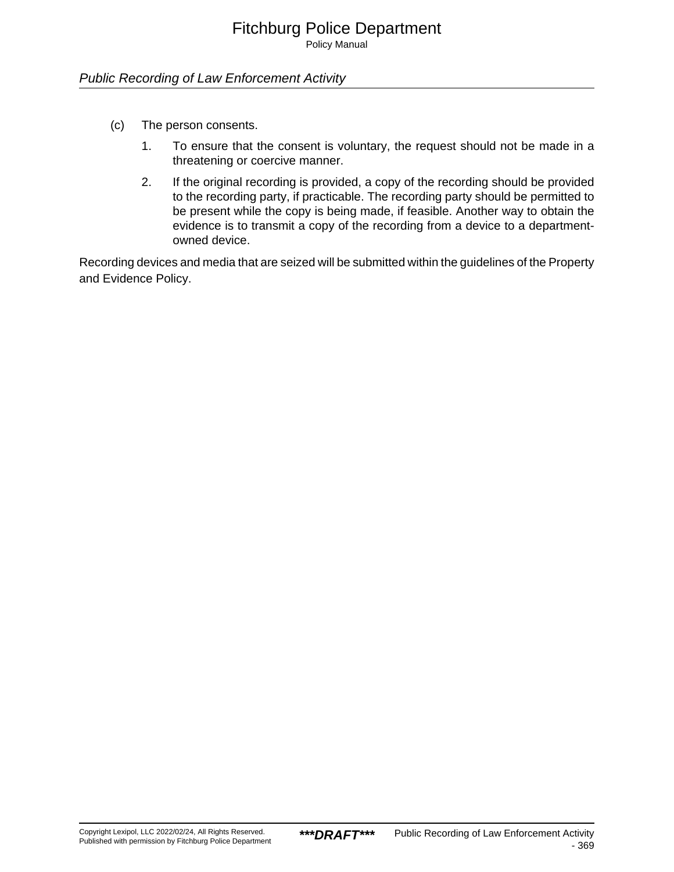Policy Manual

### Public Recording of Law Enforcement Activity

- (c) The person consents.
	- 1. To ensure that the consent is voluntary, the request should not be made in a threatening or coercive manner.
	- 2. If the original recording is provided, a copy of the recording should be provided to the recording party, if practicable. The recording party should be permitted to be present while the copy is being made, if feasible. Another way to obtain the evidence is to transmit a copy of the recording from a device to a departmentowned device.

Recording devices and media that are seized will be submitted within the guidelines of the Property and Evidence Policy.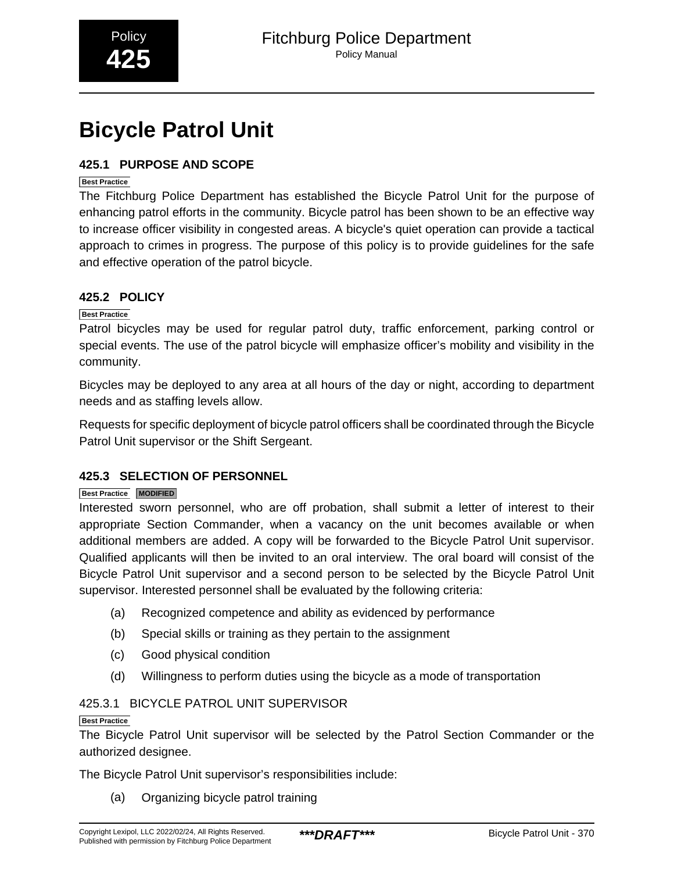# <span id="page-41-0"></span>**Bicycle Patrol Unit**

### **425.1 PURPOSE AND SCOPE**

### **Best Practice**

The Fitchburg Police Department has established the Bicycle Patrol Unit for the purpose of enhancing patrol efforts in the community. Bicycle patrol has been shown to be an effective way to increase officer visibility in congested areas. A bicycle's quiet operation can provide a tactical approach to crimes in progress. The purpose of this policy is to provide guidelines for the safe and effective operation of the patrol bicycle.

### **425.2 POLICY**

### **Best Practice**

Patrol bicycles may be used for regular patrol duty, traffic enforcement, parking control or special events. The use of the patrol bicycle will emphasize officer's mobility and visibility in the community.

Bicycles may be deployed to any area at all hours of the day or night, according to department needs and as staffing levels allow.

Requests for specific deployment of bicycle patrol officers shall be coordinated through the Bicycle Patrol Unit supervisor or the Shift Sergeant.

### **425.3 SELECTION OF PERSONNEL**

### **Best Practice MODIFIED**

Interested sworn personnel, who are off probation, shall submit a letter of interest to their appropriate Section Commander, when a vacancy on the unit becomes available or when additional members are added. A copy will be forwarded to the Bicycle Patrol Unit supervisor. Qualified applicants will then be invited to an oral interview. The oral board will consist of the Bicycle Patrol Unit supervisor and a second person to be selected by the Bicycle Patrol Unit supervisor. Interested personnel shall be evaluated by the following criteria:

- (a) Recognized competence and ability as evidenced by performance
- (b) Special skills or training as they pertain to the assignment
- (c) Good physical condition
- (d) Willingness to perform duties using the bicycle as a mode of transportation

### 425.3.1 BICYCLE PATROL UNIT SUPERVISOR

### **Best Practice**

The Bicycle Patrol Unit supervisor will be selected by the Patrol Section Commander or the authorized designee.

The Bicycle Patrol Unit supervisor's responsibilities include:

(a) Organizing bicycle patrol training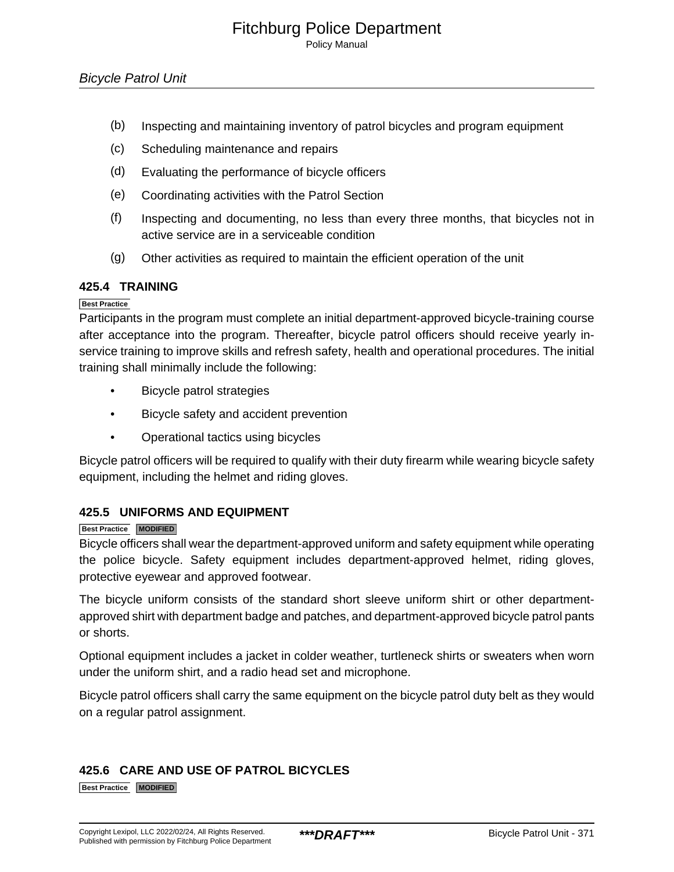Policy Manual

- (b) Inspecting and maintaining inventory of patrol bicycles and program equipment
- (c) Scheduling maintenance and repairs
- (d) Evaluating the performance of bicycle officers
- (e) Coordinating activities with the Patrol Section
- (f) Inspecting and documenting, no less than every three months, that bicycles not in active service are in a serviceable condition
- (g) Other activities as required to maintain the efficient operation of the unit

### **425.4 TRAINING**

### **Best Practice**

Participants in the program must complete an initial department-approved bicycle-training course after acceptance into the program. Thereafter, bicycle patrol officers should receive yearly inservice training to improve skills and refresh safety, health and operational procedures. The initial training shall minimally include the following:

- Bicycle patrol strategies
- Bicycle safety and accident prevention
- Operational tactics using bicycles

Bicycle patrol officers will be required to qualify with their duty firearm while wearing bicycle safety equipment, including the helmet and riding gloves.

### **425.5 UNIFORMS AND EQUIPMENT**

### **Best Practice MODIFIED**

Bicycle officers shall wear the department-approved uniform and safety equipment while operating the police bicycle. Safety equipment includes department-approved helmet, riding gloves, protective eyewear and approved footwear.

The bicycle uniform consists of the standard short sleeve uniform shirt or other departmentapproved shirt with department badge and patches, and department-approved bicycle patrol pants or shorts.

Optional equipment includes a jacket in colder weather, turtleneck shirts or sweaters when worn under the uniform shirt, and a radio head set and microphone.

Bicycle patrol officers shall carry the same equipment on the bicycle patrol duty belt as they would on a regular patrol assignment.

### **425.6 CARE AND USE OF PATROL BICYCLES**

**Best Practice MODIFIED**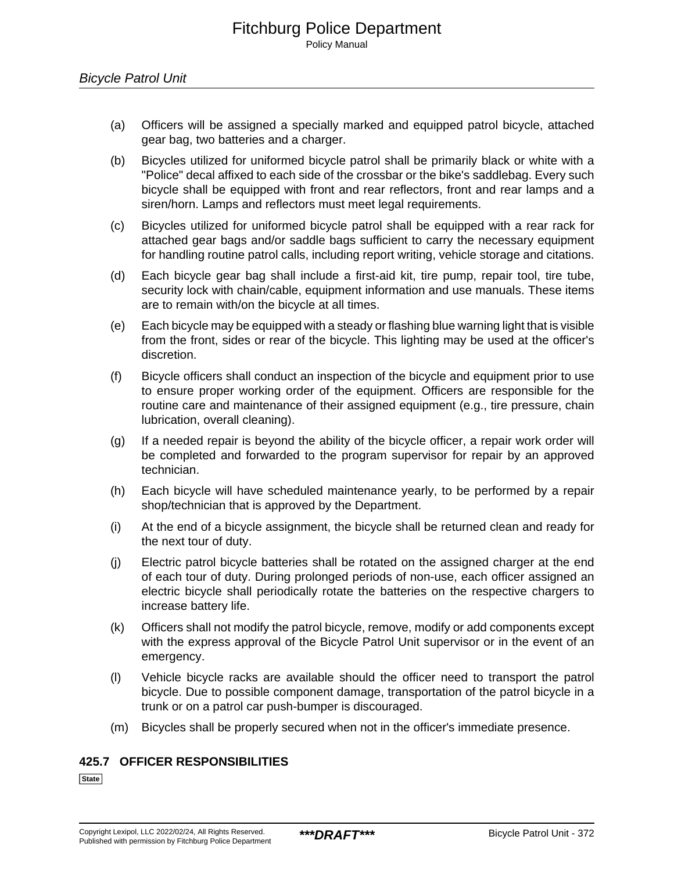- (a) Officers will be assigned a specially marked and equipped patrol bicycle, attached gear bag, two batteries and a charger.
- (b) Bicycles utilized for uniformed bicycle patrol shall be primarily black or white with a "Police" decal affixed to each side of the crossbar or the bike's saddlebag. Every such bicycle shall be equipped with front and rear reflectors, front and rear lamps and a siren/horn. Lamps and reflectors must meet legal requirements.
- (c) Bicycles utilized for uniformed bicycle patrol shall be equipped with a rear rack for attached gear bags and/or saddle bags sufficient to carry the necessary equipment for handling routine patrol calls, including report writing, vehicle storage and citations.
- (d) Each bicycle gear bag shall include a first-aid kit, tire pump, repair tool, tire tube, security lock with chain/cable, equipment information and use manuals. These items are to remain with/on the bicycle at all times.
- (e) Each bicycle may be equipped with a steady or flashing blue warning light that is visible from the front, sides or rear of the bicycle. This lighting may be used at the officer's discretion.
- (f) Bicycle officers shall conduct an inspection of the bicycle and equipment prior to use to ensure proper working order of the equipment. Officers are responsible for the routine care and maintenance of their assigned equipment (e.g., tire pressure, chain lubrication, overall cleaning).
- (g) If a needed repair is beyond the ability of the bicycle officer, a repair work order will be completed and forwarded to the program supervisor for repair by an approved technician.
- (h) Each bicycle will have scheduled maintenance yearly, to be performed by a repair shop/technician that is approved by the Department.
- (i) At the end of a bicycle assignment, the bicycle shall be returned clean and ready for the next tour of duty.
- (j) Electric patrol bicycle batteries shall be rotated on the assigned charger at the end of each tour of duty. During prolonged periods of non-use, each officer assigned an electric bicycle shall periodically rotate the batteries on the respective chargers to increase battery life.
- (k) Officers shall not modify the patrol bicycle, remove, modify or add components except with the express approval of the Bicycle Patrol Unit supervisor or in the event of an emergency.
- (l) Vehicle bicycle racks are available should the officer need to transport the patrol bicycle. Due to possible component damage, transportation of the patrol bicycle in a trunk or on a patrol car push-bumper is discouraged.
- (m) Bicycles shall be properly secured when not in the officer's immediate presence.

### **425.7 OFFICER RESPONSIBILITIES**

**State**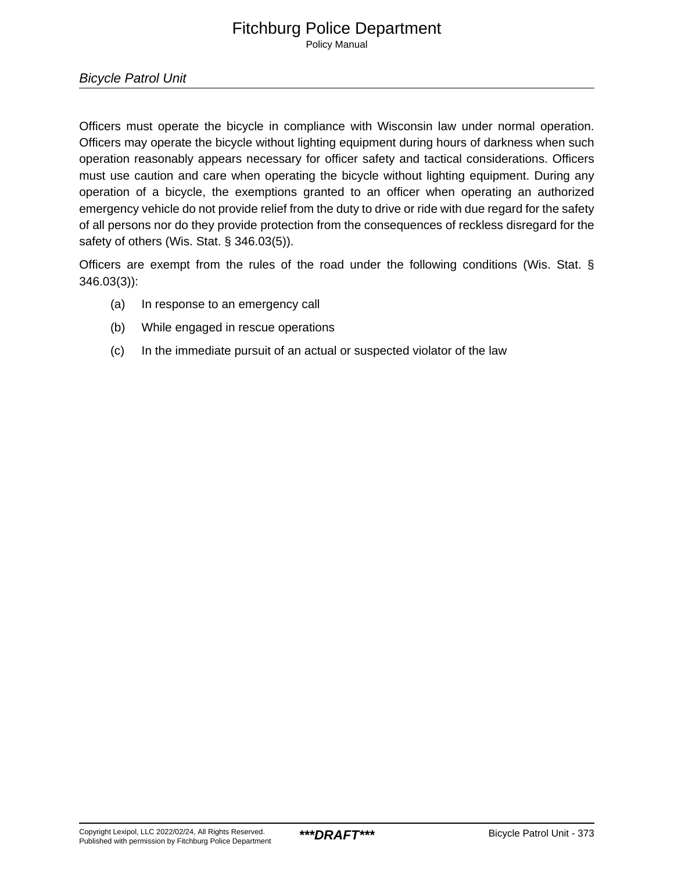Policy Manual

Bicycle Patrol Unit

Officers must operate the bicycle in compliance with Wisconsin law under normal operation. Officers may operate the bicycle without lighting equipment during hours of darkness when such operation reasonably appears necessary for officer safety and tactical considerations. Officers must use caution and care when operating the bicycle without lighting equipment. During any operation of a bicycle, the exemptions granted to an officer when operating an authorized emergency vehicle do not provide relief from the duty to drive or ride with due regard for the safety of all persons nor do they provide protection from the consequences of reckless disregard for the safety of others (Wis. Stat. § 346.03(5)).

Officers are exempt from the rules of the road under the following conditions (Wis. Stat. § 346.03(3)):

- (a) In response to an emergency call
- (b) While engaged in rescue operations
- (c) In the immediate pursuit of an actual or suspected violator of the law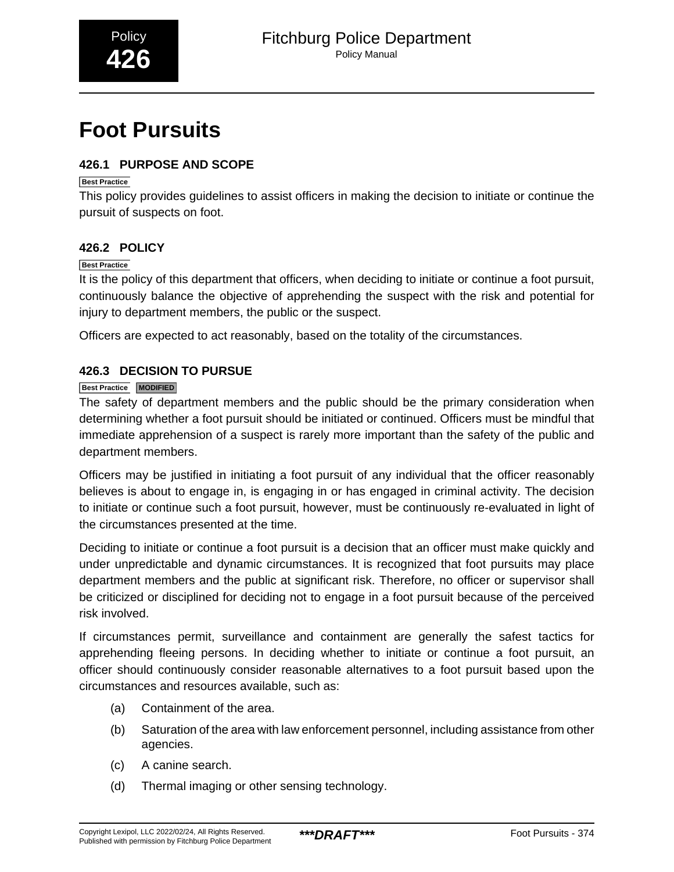# <span id="page-45-0"></span>**Foot Pursuits**

### **426.1 PURPOSE AND SCOPE**

### **Best Practice**

This policy provides guidelines to assist officers in making the decision to initiate or continue the pursuit of suspects on foot.

### **426.2 POLICY**

### **Best Practice**

It is the policy of this department that officers, when deciding to initiate or continue a foot pursuit, continuously balance the objective of apprehending the suspect with the risk and potential for injury to department members, the public or the suspect.

Officers are expected to act reasonably, based on the totality of the circumstances.

### **426.3 DECISION TO PURSUE**

### **Best Practice MODIFIED**

The safety of department members and the public should be the primary consideration when determining whether a foot pursuit should be initiated or continued. Officers must be mindful that immediate apprehension of a suspect is rarely more important than the safety of the public and department members.

Officers may be justified in initiating a foot pursuit of any individual that the officer reasonably believes is about to engage in, is engaging in or has engaged in criminal activity. The decision to initiate or continue such a foot pursuit, however, must be continuously re-evaluated in light of the circumstances presented at the time.

Deciding to initiate or continue a foot pursuit is a decision that an officer must make quickly and under unpredictable and dynamic circumstances. It is recognized that foot pursuits may place department members and the public at significant risk. Therefore, no officer or supervisor shall be criticized or disciplined for deciding not to engage in a foot pursuit because of the perceived risk involved.

If circumstances permit, surveillance and containment are generally the safest tactics for apprehending fleeing persons. In deciding whether to initiate or continue a foot pursuit, an officer should continuously consider reasonable alternatives to a foot pursuit based upon the circumstances and resources available, such as:

- (a) Containment of the area.
- (b) Saturation of the area with law enforcement personnel, including assistance from other agencies.
- (c) A canine search.
- (d) Thermal imaging or other sensing technology.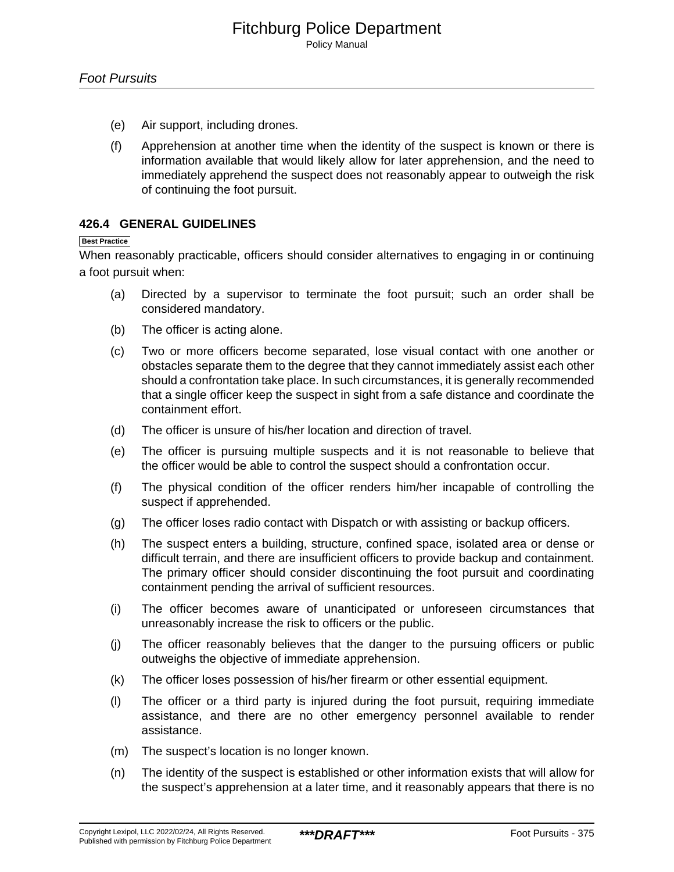- (e) Air support, including drones.
- (f) Apprehension at another time when the identity of the suspect is known or there is information available that would likely allow for later apprehension, and the need to immediately apprehend the suspect does not reasonably appear to outweigh the risk of continuing the foot pursuit.

### **426.4 GENERAL GUIDELINES**

#### **Best Practice**

When reasonably practicable, officers should consider alternatives to engaging in or continuing a foot pursuit when:

- (a) Directed by a supervisor to terminate the foot pursuit; such an order shall be considered mandatory.
- (b) The officer is acting alone.
- (c) Two or more officers become separated, lose visual contact with one another or obstacles separate them to the degree that they cannot immediately assist each other should a confrontation take place. In such circumstances, it is generally recommended that a single officer keep the suspect in sight from a safe distance and coordinate the containment effort.
- (d) The officer is unsure of his/her location and direction of travel.
- (e) The officer is pursuing multiple suspects and it is not reasonable to believe that the officer would be able to control the suspect should a confrontation occur.
- (f) The physical condition of the officer renders him/her incapable of controlling the suspect if apprehended.
- (g) The officer loses radio contact with Dispatch or with assisting or backup officers.
- (h) The suspect enters a building, structure, confined space, isolated area or dense or difficult terrain, and there are insufficient officers to provide backup and containment. The primary officer should consider discontinuing the foot pursuit and coordinating containment pending the arrival of sufficient resources.
- (i) The officer becomes aware of unanticipated or unforeseen circumstances that unreasonably increase the risk to officers or the public.
- (j) The officer reasonably believes that the danger to the pursuing officers or public outweighs the objective of immediate apprehension.
- (k) The officer loses possession of his/her firearm or other essential equipment.
- (l) The officer or a third party is injured during the foot pursuit, requiring immediate assistance, and there are no other emergency personnel available to render assistance.
- (m) The suspect's location is no longer known.
- (n) The identity of the suspect is established or other information exists that will allow for the suspect's apprehension at a later time, and it reasonably appears that there is no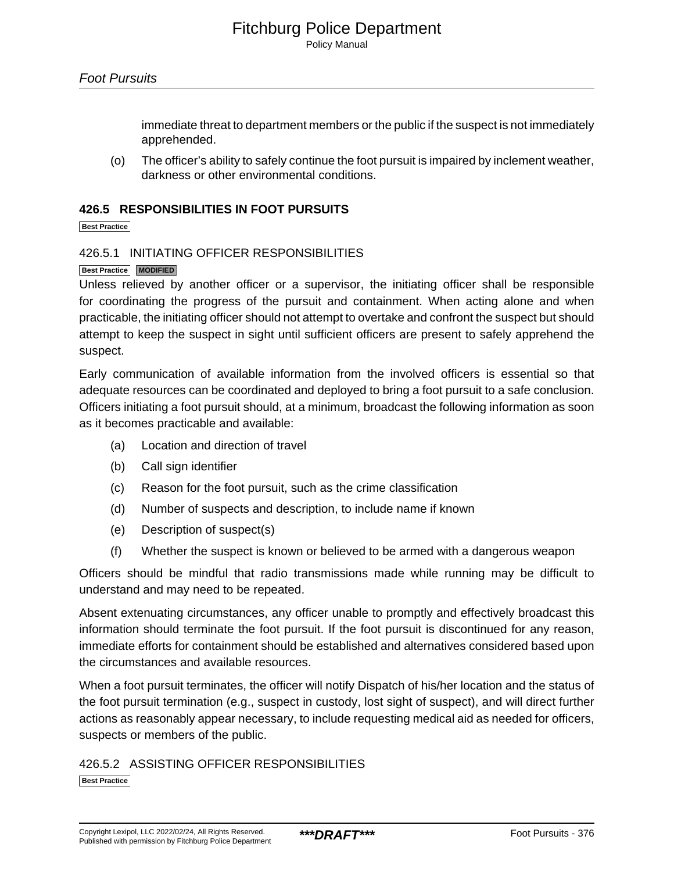immediate threat to department members or the public if the suspect is not immediately apprehended.

(o) The officer's ability to safely continue the foot pursuit is impaired by inclement weather, darkness or other environmental conditions.

### **426.5 RESPONSIBILITIES IN FOOT PURSUITS**

**Best Practice**

### 426.5.1 INITIATING OFFICER RESPONSIBILITIES

### **Best Practice MODIFIED**

Unless relieved by another officer or a supervisor, the initiating officer shall be responsible for coordinating the progress of the pursuit and containment. When acting alone and when practicable, the initiating officer should not attempt to overtake and confront the suspect but should attempt to keep the suspect in sight until sufficient officers are present to safely apprehend the suspect.

Early communication of available information from the involved officers is essential so that adequate resources can be coordinated and deployed to bring a foot pursuit to a safe conclusion. Officers initiating a foot pursuit should, at a minimum, broadcast the following information as soon as it becomes practicable and available:

- (a) Location and direction of travel
- (b) Call sign identifier
- (c) Reason for the foot pursuit, such as the crime classification
- (d) Number of suspects and description, to include name if known
- (e) Description of suspect(s)
- (f) Whether the suspect is known or believed to be armed with a dangerous weapon

Officers should be mindful that radio transmissions made while running may be difficult to understand and may need to be repeated.

Absent extenuating circumstances, any officer unable to promptly and effectively broadcast this information should terminate the foot pursuit. If the foot pursuit is discontinued for any reason, immediate efforts for containment should be established and alternatives considered based upon the circumstances and available resources.

When a foot pursuit terminates, the officer will notify Dispatch of his/her location and the status of the foot pursuit termination (e.g., suspect in custody, lost sight of suspect), and will direct further actions as reasonably appear necessary, to include requesting medical aid as needed for officers, suspects or members of the public.

426.5.2 ASSISTING OFFICER RESPONSIBILITIES **Best Practice**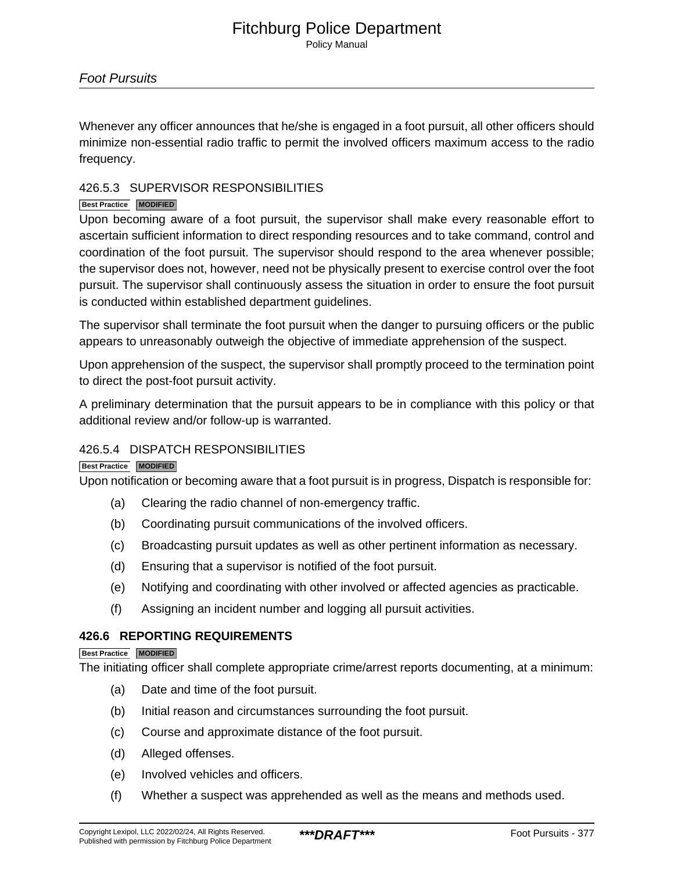Policy Manual

Whenever any officer announces that he/she is engaged in a foot pursuit, all other officers should minimize non-essential radio traffic to permit the involved officers maximum access to the radio frequency.

### 426.5.3 SUPERVISOR RESPONSIBILITIES

### **Best Practice MODIFIED**

Upon becoming aware of a foot pursuit, the supervisor shall make every reasonable effort to ascertain sufficient information to direct responding resources and to take command, control and coordination of the foot pursuit. The supervisor should respond to the area whenever possible; the supervisor does not, however, need not be physically present to exercise control over the foot pursuit. The supervisor shall continuously assess the situation in order to ensure the foot pursuit is conducted within established department guidelines.

The supervisor shall terminate the foot pursuit when the danger to pursuing officers or the public appears to unreasonably outweigh the objective of immediate apprehension of the suspect.

Upon apprehension of the suspect, the supervisor shall promptly proceed to the termination point to direct the post-foot pursuit activity.

A preliminary determination that the pursuit appears to be in compliance with this policy or that additional review and/or follow-up is warranted.

### 426.5.4 DISPATCH RESPONSIBILITIES

### **Best Practice MODIFIED**

Upon notification or becoming aware that a foot pursuit is in progress, Dispatch is responsible for:

- (a) Clearing the radio channel of non-emergency traffic.
- (b) Coordinating pursuit communications of the involved officers.
- (c) Broadcasting pursuit updates as well as other pertinent information as necessary.
- (d) Ensuring that a supervisor is notified of the foot pursuit.
- (e) Notifying and coordinating with other involved or affected agencies as practicable.
- (f) Assigning an incident number and logging all pursuit activities.

### **426.6 REPORTING REQUIREMENTS**

#### **Best Practice MODIFIED**

The initiating officer shall complete appropriate crime/arrest reports documenting, at a minimum:

- (a) Date and time of the foot pursuit.
- (b) Initial reason and circumstances surrounding the foot pursuit.
- (c) Course and approximate distance of the foot pursuit.
- (d) Alleged offenses.
- (e) Involved vehicles and officers.
- (f) Whether a suspect was apprehended as well as the means and methods used.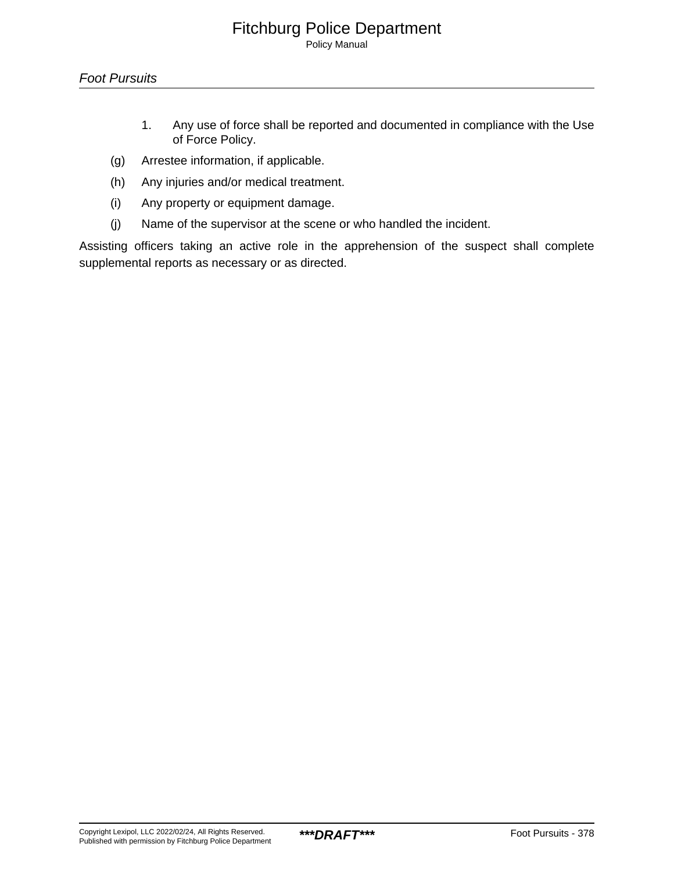Policy Manual

- 1. Any use of force shall be reported and documented in compliance with the Use of Force Policy.
- (g) Arrestee information, if applicable.
- (h) Any injuries and/or medical treatment.
- (i) Any property or equipment damage.
- (j) Name of the supervisor at the scene or who handled the incident.

Assisting officers taking an active role in the apprehension of the suspect shall complete supplemental reports as necessary or as directed.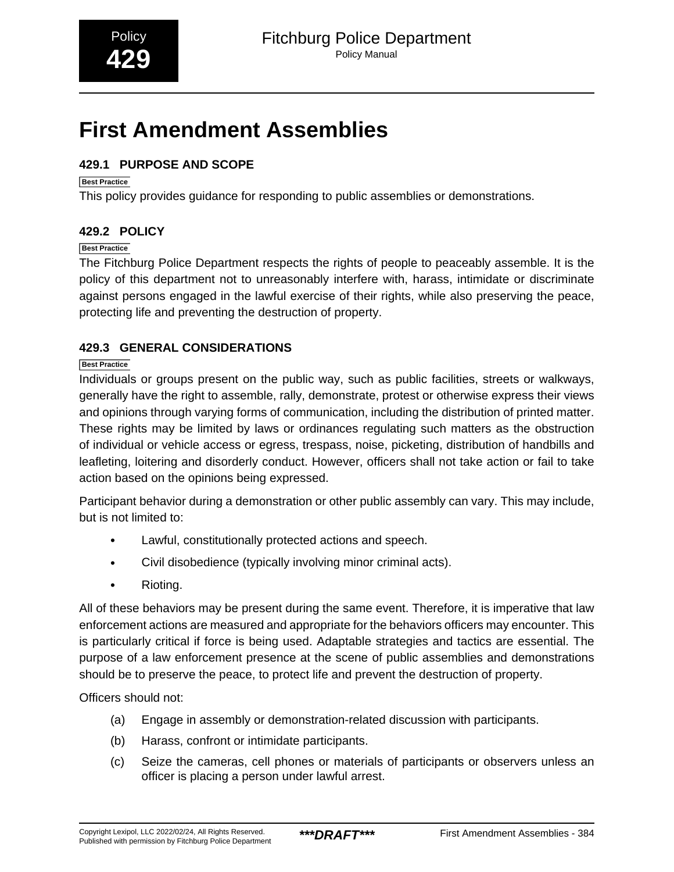## <span id="page-50-0"></span>**First Amendment Assemblies**

### **429.1 PURPOSE AND SCOPE**

### **Best Practice**

This policy provides guidance for responding to public assemblies or demonstrations.

### **429.2 POLICY**

### **Best Practice**

The Fitchburg Police Department respects the rights of people to peaceably assemble. It is the policy of this department not to unreasonably interfere with, harass, intimidate or discriminate against persons engaged in the lawful exercise of their rights, while also preserving the peace, protecting life and preventing the destruction of property.

### **429.3 GENERAL CONSIDERATIONS**

### **Best Practice**

Individuals or groups present on the public way, such as public facilities, streets or walkways, generally have the right to assemble, rally, demonstrate, protest or otherwise express their views and opinions through varying forms of communication, including the distribution of printed matter. These rights may be limited by laws or ordinances regulating such matters as the obstruction of individual or vehicle access or egress, trespass, noise, picketing, distribution of handbills and leafleting, loitering and disorderly conduct. However, officers shall not take action or fail to take action based on the opinions being expressed.

Participant behavior during a demonstration or other public assembly can vary. This may include, but is not limited to:

- Lawful, constitutionally protected actions and speech.
- Civil disobedience (typically involving minor criminal acts).
- Rioting.

All of these behaviors may be present during the same event. Therefore, it is imperative that law enforcement actions are measured and appropriate for the behaviors officers may encounter. This is particularly critical if force is being used. Adaptable strategies and tactics are essential. The purpose of a law enforcement presence at the scene of public assemblies and demonstrations should be to preserve the peace, to protect life and prevent the destruction of property.

Officers should not:

- (a) Engage in assembly or demonstration-related discussion with participants.
- (b) Harass, confront or intimidate participants.
- (c) Seize the cameras, cell phones or materials of participants or observers unless an officer is placing a person under lawful arrest.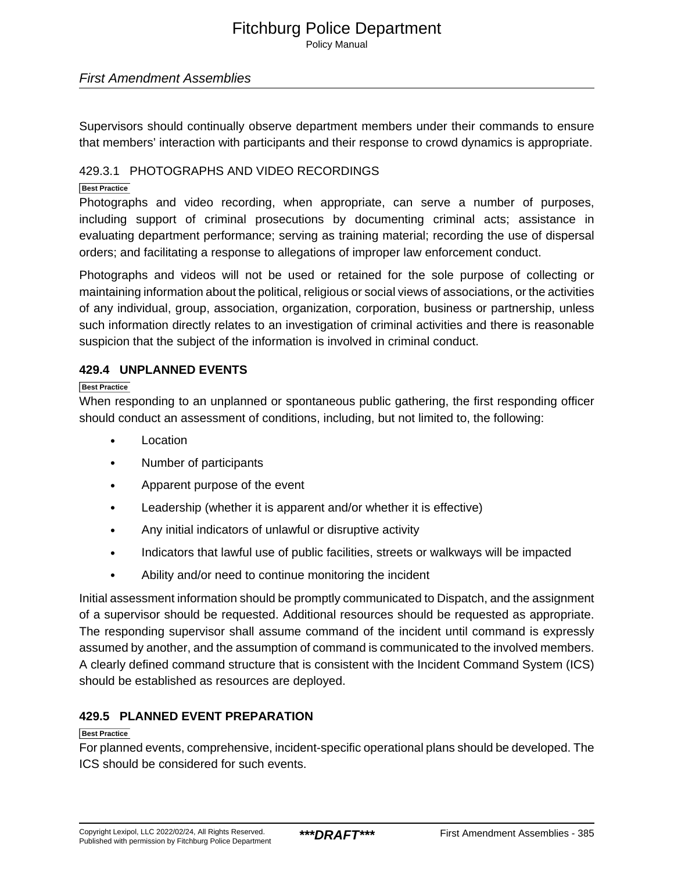Policy Manual

### First Amendment Assemblies

Supervisors should continually observe department members under their commands to ensure that members' interaction with participants and their response to crowd dynamics is appropriate.

### 429.3.1 PHOTOGRAPHS AND VIDEO RECORDINGS

### **Best Practice**

Photographs and video recording, when appropriate, can serve a number of purposes, including support of criminal prosecutions by documenting criminal acts; assistance in evaluating department performance; serving as training material; recording the use of dispersal orders; and facilitating a response to allegations of improper law enforcement conduct.

Photographs and videos will not be used or retained for the sole purpose of collecting or maintaining information about the political, religious or social views of associations, or the activities of any individual, group, association, organization, corporation, business or partnership, unless such information directly relates to an investigation of criminal activities and there is reasonable suspicion that the subject of the information is involved in criminal conduct.

### **429.4 UNPLANNED EVENTS**

### **Best Practice**

When responding to an unplanned or spontaneous public gathering, the first responding officer should conduct an assessment of conditions, including, but not limited to, the following:

- Location
- Number of participants
- Apparent purpose of the event
- Leadership (whether it is apparent and/or whether it is effective)
- Any initial indicators of unlawful or disruptive activity
- Indicators that lawful use of public facilities, streets or walkways will be impacted
- Ability and/or need to continue monitoring the incident

Initial assessment information should be promptly communicated to Dispatch, and the assignment of a supervisor should be requested. Additional resources should be requested as appropriate. The responding supervisor shall assume command of the incident until command is expressly assumed by another, and the assumption of command is communicated to the involved members. A clearly defined command structure that is consistent with the Incident Command System (ICS) should be established as resources are deployed.

### **429.5 PLANNED EVENT PREPARATION**

### **Best Practice**

For planned events, comprehensive, incident-specific operational plans should be developed. The ICS should be considered for such events.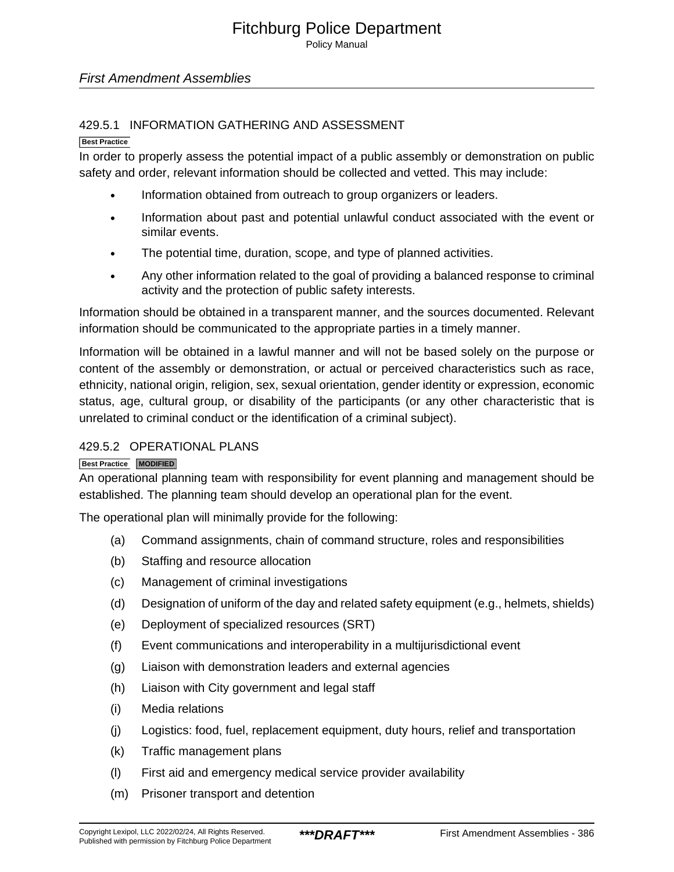Policy Manual

### First Amendment Assemblies

### 429.5.1 INFORMATION GATHERING AND ASSESSMENT

#### **Best Practice**

In order to properly assess the potential impact of a public assembly or demonstration on public safety and order, relevant information should be collected and vetted. This may include:

- Information obtained from outreach to group organizers or leaders.
- Information about past and potential unlawful conduct associated with the event or similar events.
- The potential time, duration, scope, and type of planned activities.
- Any other information related to the goal of providing a balanced response to criminal activity and the protection of public safety interests.

Information should be obtained in a transparent manner, and the sources documented. Relevant information should be communicated to the appropriate parties in a timely manner.

Information will be obtained in a lawful manner and will not be based solely on the purpose or content of the assembly or demonstration, or actual or perceived characteristics such as race, ethnicity, national origin, religion, sex, sexual orientation, gender identity or expression, economic status, age, cultural group, or disability of the participants (or any other characteristic that is unrelated to criminal conduct or the identification of a criminal subject).

### 429.5.2 OPERATIONAL PLANS

### **Best Practice MODIFIED**

An operational planning team with responsibility for event planning and management should be established. The planning team should develop an operational plan for the event.

The operational plan will minimally provide for the following:

- (a) Command assignments, chain of command structure, roles and responsibilities
- (b) Staffing and resource allocation
- (c) Management of criminal investigations
- (d) Designation of uniform of the day and related safety equipment (e.g., helmets, shields)
- (e) Deployment of specialized resources (SRT)
- (f) Event communications and interoperability in a multijurisdictional event
- (g) Liaison with demonstration leaders and external agencies
- (h) Liaison with City government and legal staff
- (i) Media relations
- (j) Logistics: food, fuel, replacement equipment, duty hours, relief and transportation
- (k) Traffic management plans
- (l) First aid and emergency medical service provider availability
- (m) Prisoner transport and detention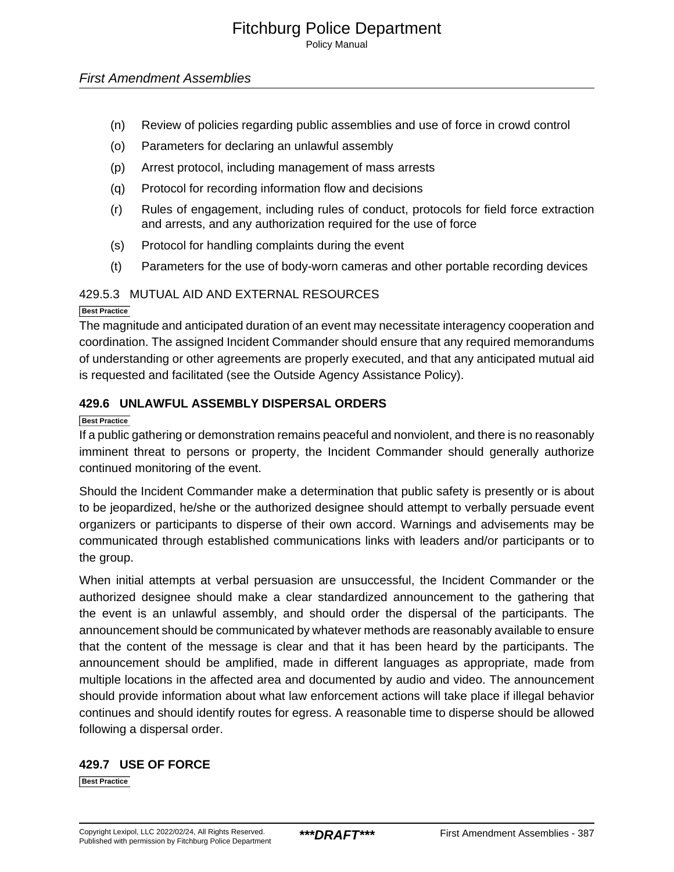Policy Manual

### First Amendment Assemblies

- (n) Review of policies regarding public assemblies and use of force in crowd control
- (o) Parameters for declaring an unlawful assembly
- (p) Arrest protocol, including management of mass arrests
- (q) Protocol for recording information flow and decisions
- (r) Rules of engagement, including rules of conduct, protocols for field force extraction and arrests, and any authorization required for the use of force
- (s) Protocol for handling complaints during the event
- (t) Parameters for the use of body-worn cameras and other portable recording devices

### 429.5.3 MUTUAL AID AND EXTERNAL RESOURCES

#### **Best Practice**

The magnitude and anticipated duration of an event may necessitate interagency cooperation and coordination. The assigned Incident Commander should ensure that any required memorandums of understanding or other agreements are properly executed, and that any anticipated mutual aid is requested and facilitated (see the Outside Agency Assistance Policy).

### **429.6 UNLAWFUL ASSEMBLY DISPERSAL ORDERS**

#### **Best Practice**

If a public gathering or demonstration remains peaceful and nonviolent, and there is no reasonably imminent threat to persons or property, the Incident Commander should generally authorize continued monitoring of the event.

Should the Incident Commander make a determination that public safety is presently or is about to be jeopardized, he/she or the authorized designee should attempt to verbally persuade event organizers or participants to disperse of their own accord. Warnings and advisements may be communicated through established communications links with leaders and/or participants or to the group.

When initial attempts at verbal persuasion are unsuccessful, the Incident Commander or the authorized designee should make a clear standardized announcement to the gathering that the event is an unlawful assembly, and should order the dispersal of the participants. The announcement should be communicated by whatever methods are reasonably available to ensure that the content of the message is clear and that it has been heard by the participants. The announcement should be amplified, made in different languages as appropriate, made from multiple locations in the affected area and documented by audio and video. The announcement should provide information about what law enforcement actions will take place if illegal behavior continues and should identify routes for egress. A reasonable time to disperse should be allowed following a dispersal order.

### **429.7 USE OF FORCE**

**Best Practice**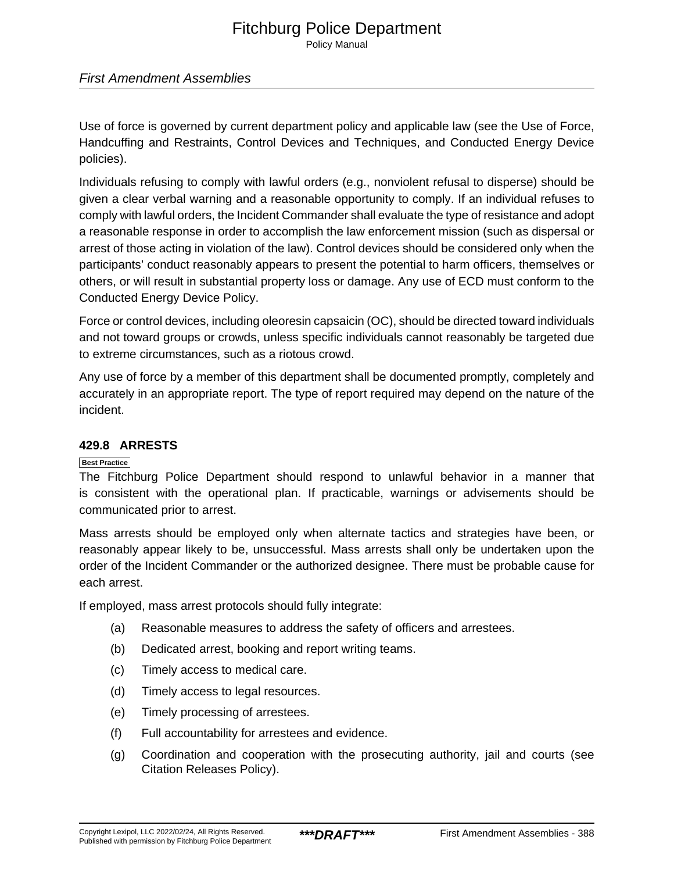Policy Manual

### First Amendment Assemblies

Use of force is governed by current department policy and applicable law (see the Use of Force, Handcuffing and Restraints, Control Devices and Techniques, and Conducted Energy Device policies).

Individuals refusing to comply with lawful orders (e.g., nonviolent refusal to disperse) should be given a clear verbal warning and a reasonable opportunity to comply. If an individual refuses to comply with lawful orders, the Incident Commander shall evaluate the type of resistance and adopt a reasonable response in order to accomplish the law enforcement mission (such as dispersal or arrest of those acting in violation of the law). Control devices should be considered only when the participants' conduct reasonably appears to present the potential to harm officers, themselves or others, or will result in substantial property loss or damage. Any use of ECD must conform to the Conducted Energy Device Policy.

Force or control devices, including oleoresin capsaicin (OC), should be directed toward individuals and not toward groups or crowds, unless specific individuals cannot reasonably be targeted due to extreme circumstances, such as a riotous crowd.

Any use of force by a member of this department shall be documented promptly, completely and accurately in an appropriate report. The type of report required may depend on the nature of the incident.

### **429.8 ARRESTS**

### **Best Practice**

The Fitchburg Police Department should respond to unlawful behavior in a manner that is consistent with the operational plan. If practicable, warnings or advisements should be communicated prior to arrest.

Mass arrests should be employed only when alternate tactics and strategies have been, or reasonably appear likely to be, unsuccessful. Mass arrests shall only be undertaken upon the order of the Incident Commander or the authorized designee. There must be probable cause for each arrest.

If employed, mass arrest protocols should fully integrate:

- (a) Reasonable measures to address the safety of officers and arrestees.
- (b) Dedicated arrest, booking and report writing teams.
- (c) Timely access to medical care.
- (d) Timely access to legal resources.
- (e) Timely processing of arrestees.
- (f) Full accountability for arrestees and evidence.
- (g) Coordination and cooperation with the prosecuting authority, jail and courts (see Citation Releases Policy).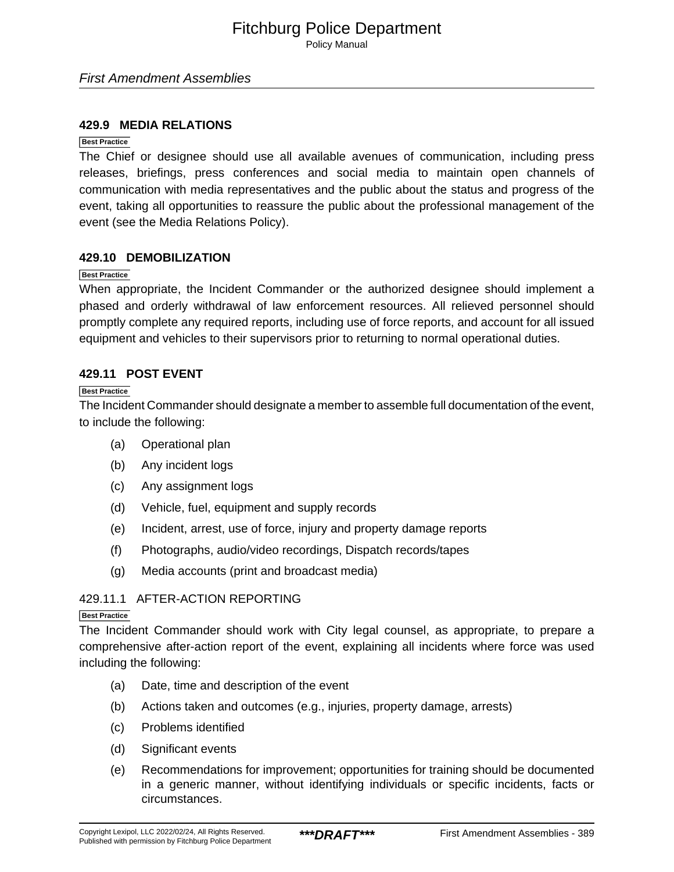Policy Manual

### First Amendment Assemblies

### **429.9 MEDIA RELATIONS**

### **Best Practice**

The Chief or designee should use all available avenues of communication, including press releases, briefings, press conferences and social media to maintain open channels of communication with media representatives and the public about the status and progress of the event, taking all opportunities to reassure the public about the professional management of the event (see the Media Relations Policy).

### **429.10 DEMOBILIZATION**

#### **Best Practice**

When appropriate, the Incident Commander or the authorized designee should implement a phased and orderly withdrawal of law enforcement resources. All relieved personnel should promptly complete any required reports, including use of force reports, and account for all issued equipment and vehicles to their supervisors prior to returning to normal operational duties.

### **429.11 POST EVENT**

#### **Best Practice**

The Incident Commander should designate a member to assemble full documentation of the event, to include the following:

- (a) Operational plan
- (b) Any incident logs
- (c) Any assignment logs
- (d) Vehicle, fuel, equipment and supply records
- (e) Incident, arrest, use of force, injury and property damage reports
- (f) Photographs, audio/video recordings, Dispatch records/tapes
- (g) Media accounts (print and broadcast media)

### 429.11.1 AFTER-ACTION REPORTING

#### **Best Practice**

The Incident Commander should work with City legal counsel, as appropriate, to prepare a comprehensive after-action report of the event, explaining all incidents where force was used including the following:

- (a) Date, time and description of the event
- (b) Actions taken and outcomes (e.g., injuries, property damage, arrests)
- (c) Problems identified
- (d) Significant events
- (e) Recommendations for improvement; opportunities for training should be documented in a generic manner, without identifying individuals or specific incidents, facts or circumstances.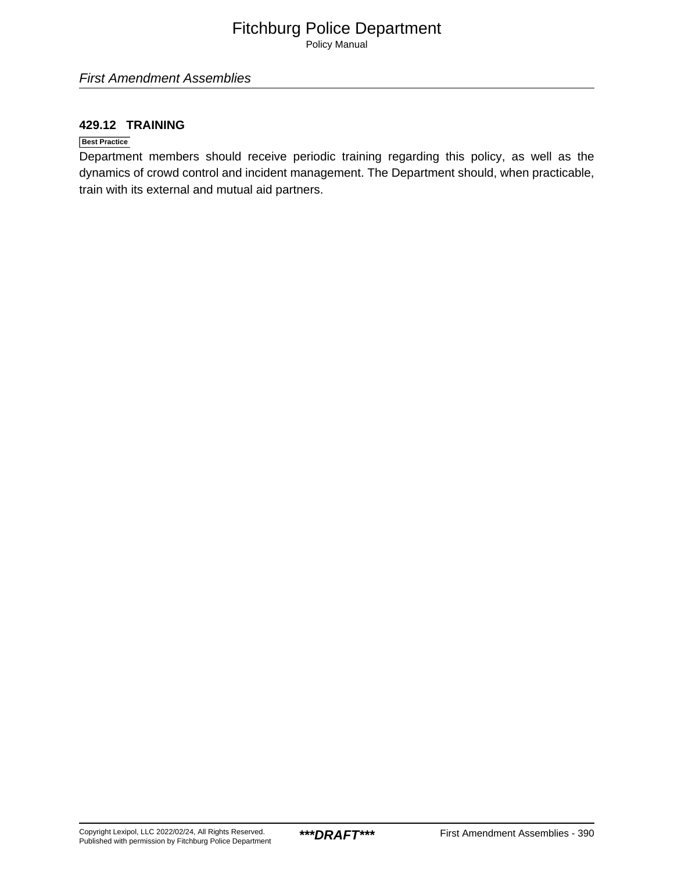Policy Manual

### **429.12 TRAINING**

### **Best Practice**

Department members should receive periodic training regarding this policy, as well as the dynamics of crowd control and incident management. The Department should, when practicable, train with its external and mutual aid partners.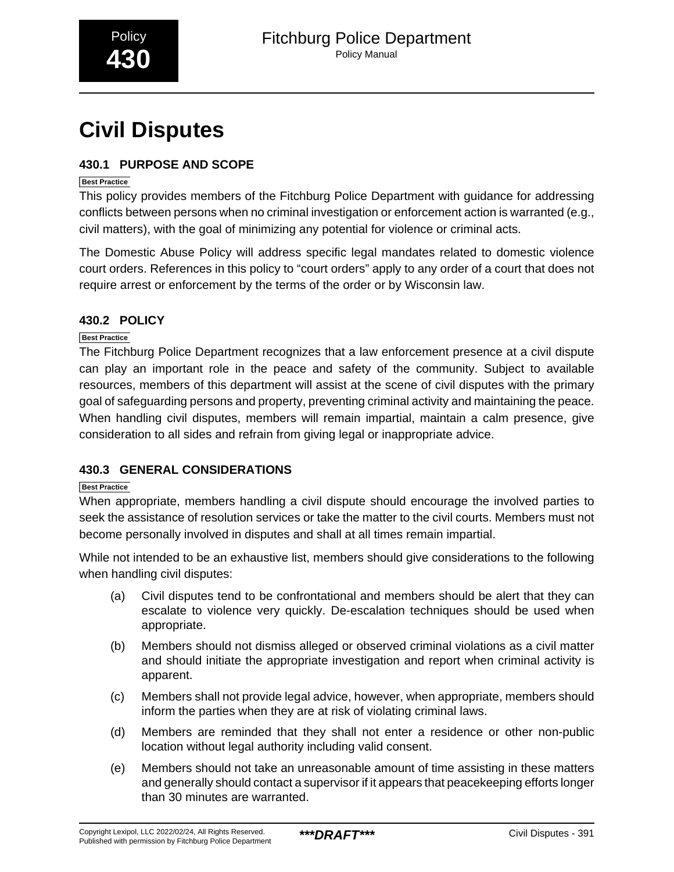# <span id="page-57-0"></span>**Civil Disputes**

### **430.1 PURPOSE AND SCOPE**

### **Best Practice**

This policy provides members of the Fitchburg Police Department with guidance for addressing conflicts between persons when no criminal investigation or enforcement action is warranted (e.g., civil matters), with the goal of minimizing any potential for violence or criminal acts.

The Domestic Abuse Policy will address specific legal mandates related to domestic violence court orders. References in this policy to "court orders" apply to any order of a court that does not require arrest or enforcement by the terms of the order or by Wisconsin law.

### **430.2 POLICY**

### **Best Practice**

The Fitchburg Police Department recognizes that a law enforcement presence at a civil dispute can play an important role in the peace and safety of the community. Subject to available resources, members of this department will assist at the scene of civil disputes with the primary goal of safeguarding persons and property, preventing criminal activity and maintaining the peace. When handling civil disputes, members will remain impartial, maintain a calm presence, give consideration to all sides and refrain from giving legal or inappropriate advice.

### **430.3 GENERAL CONSIDERATIONS**

### **Best Practice**

When appropriate, members handling a civil dispute should encourage the involved parties to seek the assistance of resolution services or take the matter to the civil courts. Members must not become personally involved in disputes and shall at all times remain impartial.

While not intended to be an exhaustive list, members should give considerations to the following when handling civil disputes:

- (a) Civil disputes tend to be confrontational and members should be alert that they can escalate to violence very quickly. De-escalation techniques should be used when appropriate.
- (b) Members should not dismiss alleged or observed criminal violations as a civil matter and should initiate the appropriate investigation and report when criminal activity is apparent.
- (c) Members shall not provide legal advice, however, when appropriate, members should inform the parties when they are at risk of violating criminal laws.
- (d) Members are reminded that they shall not enter a residence or other non-public location without legal authority including valid consent.
- (e) Members should not take an unreasonable amount of time assisting in these matters and generally should contact a supervisor if it appears that peacekeeping efforts longer than 30 minutes are warranted.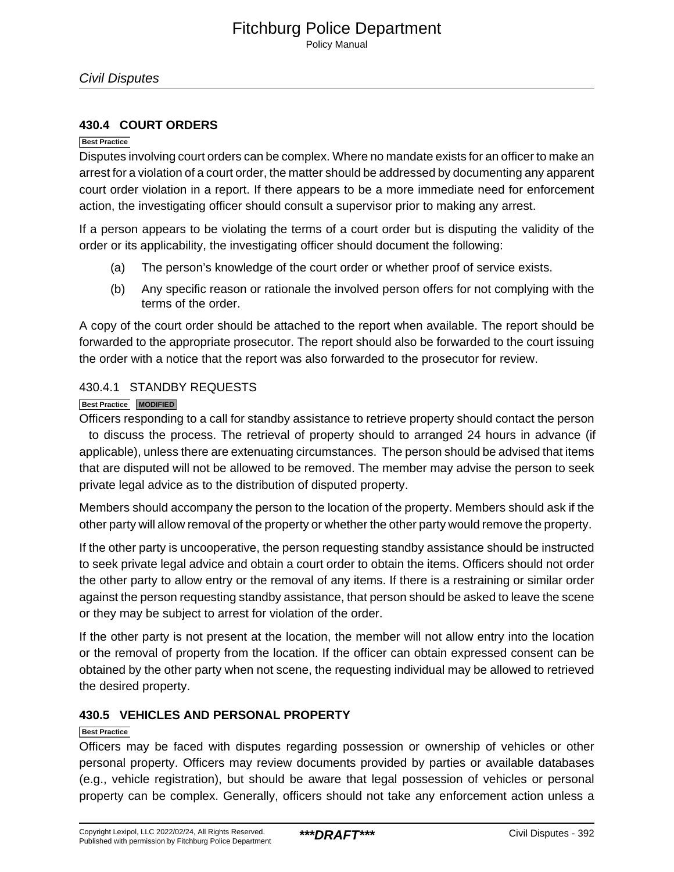### **430.4 COURT ORDERS**

#### **Best Practice**

Disputes involving court orders can be complex. Where no mandate exists for an officer to make an arrest for a violation of a court order, the matter should be addressed by documenting any apparent court order violation in a report. If there appears to be a more immediate need for enforcement action, the investigating officer should consult a supervisor prior to making any arrest.

If a person appears to be violating the terms of a court order but is disputing the validity of the order or its applicability, the investigating officer should document the following:

- (a) The person's knowledge of the court order or whether proof of service exists.
- (b) Any specific reason or rationale the involved person offers for not complying with the terms of the order.

A copy of the court order should be attached to the report when available. The report should be forwarded to the appropriate prosecutor. The report should also be forwarded to the court issuing the order with a notice that the report was also forwarded to the prosecutor for review.

### 430.4.1 STANDBY REQUESTS

### **Best Practice MODIFIED**

Officers responding to a call for standby assistance to retrieve property should contact the person to discuss the process. The retrieval of property should to arranged 24 hours in advance (if applicable), unless there are extenuating circumstances. The person should be advised that items that are disputed will not be allowed to be removed. The member may advise the person to seek private legal advice as to the distribution of disputed property.

Members should accompany the person to the location of the property. Members should ask if the other party will allow removal of the property or whether the other party would remove the property.

If the other party is uncooperative, the person requesting standby assistance should be instructed to seek private legal advice and obtain a court order to obtain the items. Officers should not order the other party to allow entry or the removal of any items. If there is a restraining or similar order against the person requesting standby assistance, that person should be asked to leave the scene or they may be subject to arrest for violation of the order.

If the other party is not present at the location, the member will not allow entry into the location or the removal of property from the location. If the officer can obtain expressed consent can be obtained by the other party when not scene, the requesting individual may be allowed to retrieved the desired property.

### **430.5 VEHICLES AND PERSONAL PROPERTY**

### **Best Practice**

Officers may be faced with disputes regarding possession or ownership of vehicles or other personal property. Officers may review documents provided by parties or available databases (e.g., vehicle registration), but should be aware that legal possession of vehicles or personal property can be complex. Generally, officers should not take any enforcement action unless a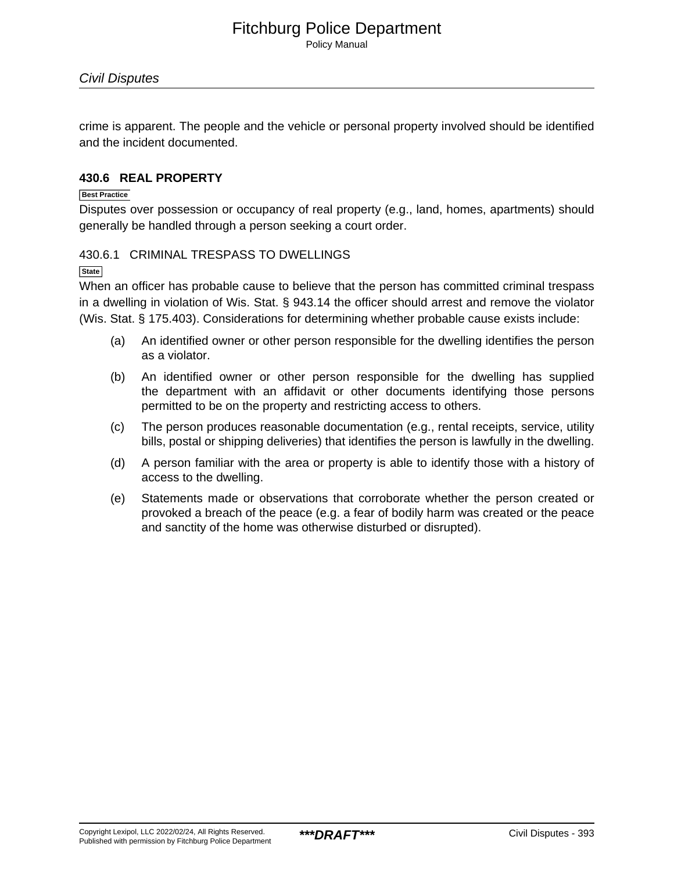Policy Manual

crime is apparent. The people and the vehicle or personal property involved should be identified and the incident documented.

### **430.6 REAL PROPERTY**

### **Best Practice**

Disputes over possession or occupancy of real property (e.g., land, homes, apartments) should generally be handled through a person seeking a court order.

### 430.6.1 CRIMINAL TRESPASS TO DWELLINGS

### **State**

When an officer has probable cause to believe that the person has committed criminal trespass in a dwelling in violation of Wis. Stat. § 943.14 the officer should arrest and remove the violator (Wis. Stat. § 175.403). Considerations for determining whether probable cause exists include:

- (a) An identified owner or other person responsible for the dwelling identifies the person as a violator.
- (b) An identified owner or other person responsible for the dwelling has supplied the department with an affidavit or other documents identifying those persons permitted to be on the property and restricting access to others.
- (c) The person produces reasonable documentation (e.g., rental receipts, service, utility bills, postal or shipping deliveries) that identifies the person is lawfully in the dwelling.
- (d) A person familiar with the area or property is able to identify those with a history of access to the dwelling.
- (e) Statements made or observations that corroborate whether the person created or provoked a breach of the peace (e.g. a fear of bodily harm was created or the peace and sanctity of the home was otherwise disturbed or disrupted).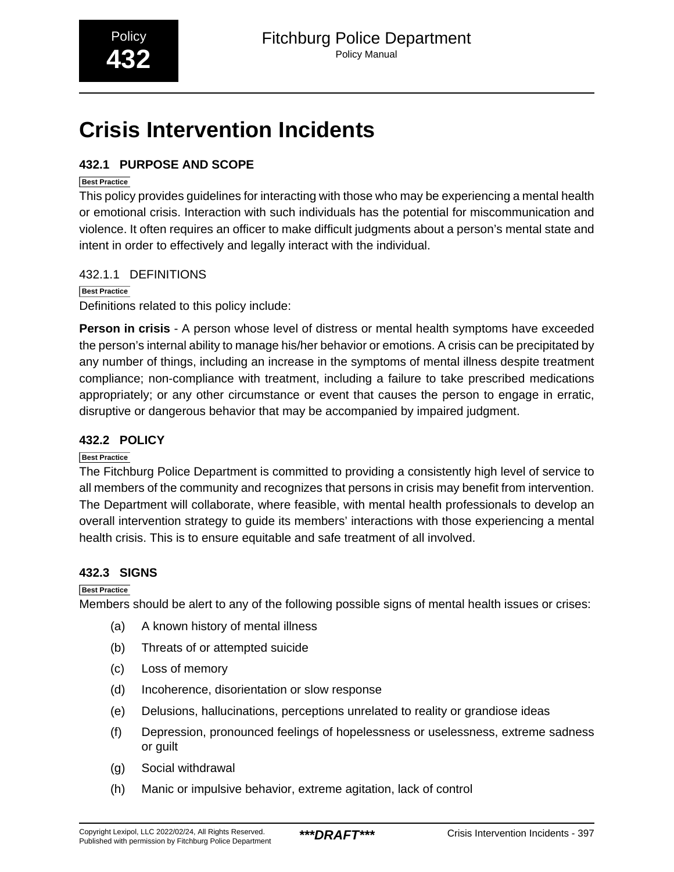# <span id="page-60-0"></span>**Crisis Intervention Incidents**

### **432.1 PURPOSE AND SCOPE**

### **Best Practice**

This policy provides guidelines for interacting with those who may be experiencing a mental health or emotional crisis. Interaction with such individuals has the potential for miscommunication and violence. It often requires an officer to make difficult judgments about a person's mental state and intent in order to effectively and legally interact with the individual.

### 432.1.1 DEFINITIONS

### **Best Practice**

Definitions related to this policy include:

**Person in crisis** - A person whose level of distress or mental health symptoms have exceeded the person's internal ability to manage his/her behavior or emotions. A crisis can be precipitated by any number of things, including an increase in the symptoms of mental illness despite treatment compliance; non-compliance with treatment, including a failure to take prescribed medications appropriately; or any other circumstance or event that causes the person to engage in erratic, disruptive or dangerous behavior that may be accompanied by impaired judgment.

### **432.2 POLICY**

### **Best Practice**

The Fitchburg Police Department is committed to providing a consistently high level of service to all members of the community and recognizes that persons in crisis may benefit from intervention. The Department will collaborate, where feasible, with mental health professionals to develop an overall intervention strategy to guide its members' interactions with those experiencing a mental health crisis. This is to ensure equitable and safe treatment of all involved.

### **432.3 SIGNS**

### **Best Practice**

Members should be alert to any of the following possible signs of mental health issues or crises:

- (a) A known history of mental illness
- (b) Threats of or attempted suicide
- (c) Loss of memory
- (d) Incoherence, disorientation or slow response
- (e) Delusions, hallucinations, perceptions unrelated to reality or grandiose ideas
- (f) Depression, pronounced feelings of hopelessness or uselessness, extreme sadness or guilt
- (g) Social withdrawal
- (h) Manic or impulsive behavior, extreme agitation, lack of control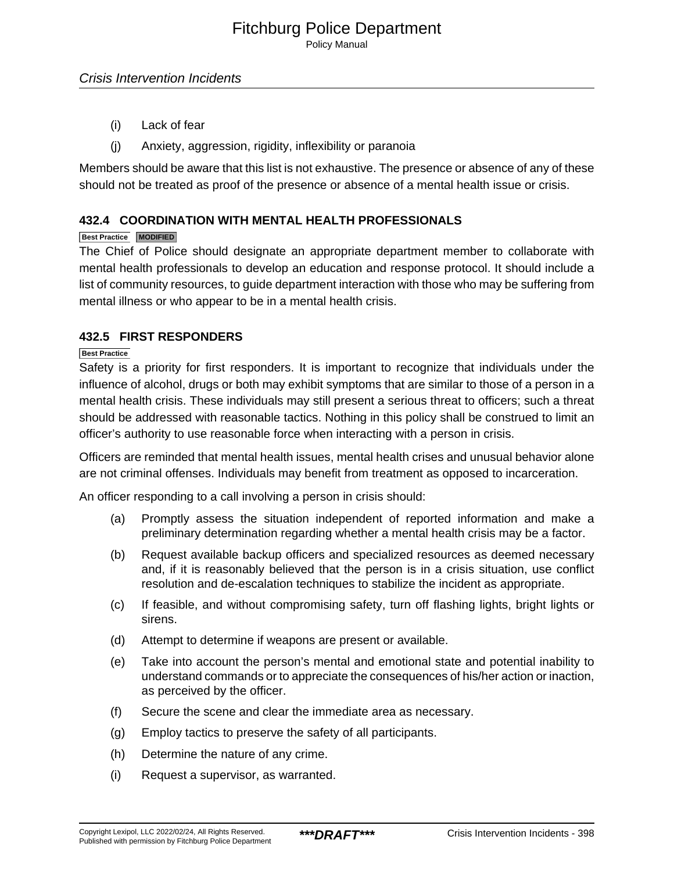Policy Manual

- (i) Lack of fear
- (j) Anxiety, aggression, rigidity, inflexibility or paranoia

Members should be aware that this list is not exhaustive. The presence or absence of any of these should not be treated as proof of the presence or absence of a mental health issue or crisis.

### **432.4 COORDINATION WITH MENTAL HEALTH PROFESSIONALS**

### **Best Practice MODIFIED**

The Chief of Police should designate an appropriate department member to collaborate with mental health professionals to develop an education and response protocol. It should include a list of community resources, to guide department interaction with those who may be suffering from mental illness or who appear to be in a mental health crisis.

### **432.5 FIRST RESPONDERS**

### **Best Practice**

Safety is a priority for first responders. It is important to recognize that individuals under the influence of alcohol, drugs or both may exhibit symptoms that are similar to those of a person in a mental health crisis. These individuals may still present a serious threat to officers; such a threat should be addressed with reasonable tactics. Nothing in this policy shall be construed to limit an officer's authority to use reasonable force when interacting with a person in crisis.

Officers are reminded that mental health issues, mental health crises and unusual behavior alone are not criminal offenses. Individuals may benefit from treatment as opposed to incarceration.

An officer responding to a call involving a person in crisis should:

- (a) Promptly assess the situation independent of reported information and make a preliminary determination regarding whether a mental health crisis may be a factor.
- (b) Request available backup officers and specialized resources as deemed necessary and, if it is reasonably believed that the person is in a crisis situation, use conflict resolution and de-escalation techniques to stabilize the incident as appropriate.
- (c) If feasible, and without compromising safety, turn off flashing lights, bright lights or sirens.
- (d) Attempt to determine if weapons are present or available.
- (e) Take into account the person's mental and emotional state and potential inability to understand commands or to appreciate the consequences of his/her action or inaction, as perceived by the officer.
- (f) Secure the scene and clear the immediate area as necessary.
- (g) Employ tactics to preserve the safety of all participants.
- (h) Determine the nature of any crime.
- (i) Request a supervisor, as warranted.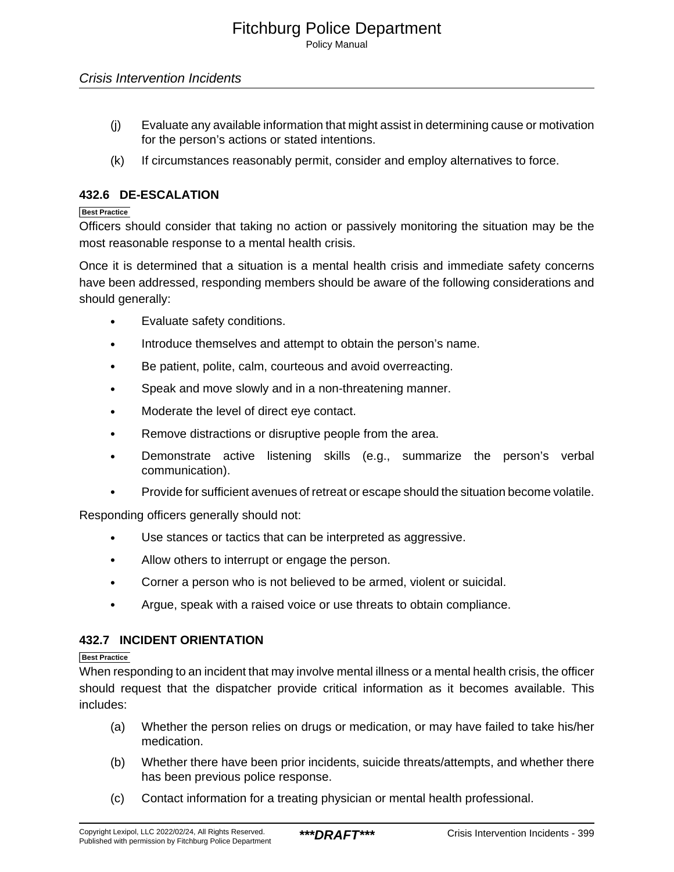- (j) Evaluate any available information that might assist in determining cause or motivation for the person's actions or stated intentions.
- (k) If circumstances reasonably permit, consider and employ alternatives to force.

### **432.6 DE-ESCALATION**

### **Best Practice**

Officers should consider that taking no action or passively monitoring the situation may be the most reasonable response to a mental health crisis.

Once it is determined that a situation is a mental health crisis and immediate safety concerns have been addressed, responding members should be aware of the following considerations and should generally:

- Evaluate safety conditions.
- Introduce themselves and attempt to obtain the person's name.
- Be patient, polite, calm, courteous and avoid overreacting.
- Speak and move slowly and in a non-threatening manner.
- Moderate the level of direct eye contact.
- Remove distractions or disruptive people from the area.
- Demonstrate active listening skills (e.g., summarize the person's verbal communication).
- Provide for sufficient avenues of retreat or escape should the situation become volatile.

Responding officers generally should not:

- Use stances or tactics that can be interpreted as aggressive.
- Allow others to interrupt or engage the person.
- Corner a person who is not believed to be armed, violent or suicidal.
- Argue, speak with a raised voice or use threats to obtain compliance.

### **432.7 INCIDENT ORIENTATION**

### **Best Practice**

When responding to an incident that may involve mental illness or a mental health crisis, the officer should request that the dispatcher provide critical information as it becomes available. This includes:

- (a) Whether the person relies on drugs or medication, or may have failed to take his/her medication.
- (b) Whether there have been prior incidents, suicide threats/attempts, and whether there has been previous police response.
- (c) Contact information for a treating physician or mental health professional.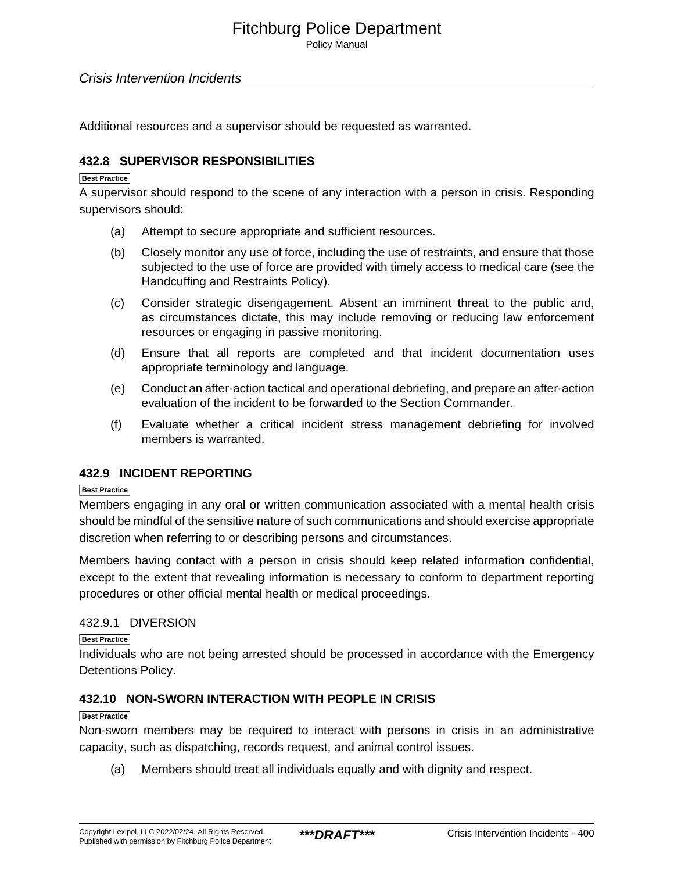Policy Manual

### Crisis Intervention Incidents

Additional resources and a supervisor should be requested as warranted.

### **432.8 SUPERVISOR RESPONSIBILITIES**

### **Best Practice**

A supervisor should respond to the scene of any interaction with a person in crisis. Responding supervisors should:

- (a) Attempt to secure appropriate and sufficient resources.
- (b) Closely monitor any use of force, including the use of restraints, and ensure that those subjected to the use of force are provided with timely access to medical care (see the Handcuffing and Restraints Policy).
- (c) Consider strategic disengagement. Absent an imminent threat to the public and, as circumstances dictate, this may include removing or reducing law enforcement resources or engaging in passive monitoring.
- (d) Ensure that all reports are completed and that incident documentation uses appropriate terminology and language.
- (e) Conduct an after-action tactical and operational debriefing, and prepare an after-action evaluation of the incident to be forwarded to the Section Commander.
- (f) Evaluate whether a critical incident stress management debriefing for involved members is warranted.

### **432.9 INCIDENT REPORTING**

#### **Best Practice**

Members engaging in any oral or written communication associated with a mental health crisis should be mindful of the sensitive nature of such communications and should exercise appropriate discretion when referring to or describing persons and circumstances.

Members having contact with a person in crisis should keep related information confidential, except to the extent that revealing information is necessary to conform to department reporting procedures or other official mental health or medical proceedings.

### 432.9.1 DIVERSION

**Best Practice**

Individuals who are not being arrested should be processed in accordance with the Emergency Detentions Policy.

### **432.10 NON-SWORN INTERACTION WITH PEOPLE IN CRISIS**

#### **Best Practice**

Non-sworn members may be required to interact with persons in crisis in an administrative capacity, such as dispatching, records request, and animal control issues.

(a) Members should treat all individuals equally and with dignity and respect.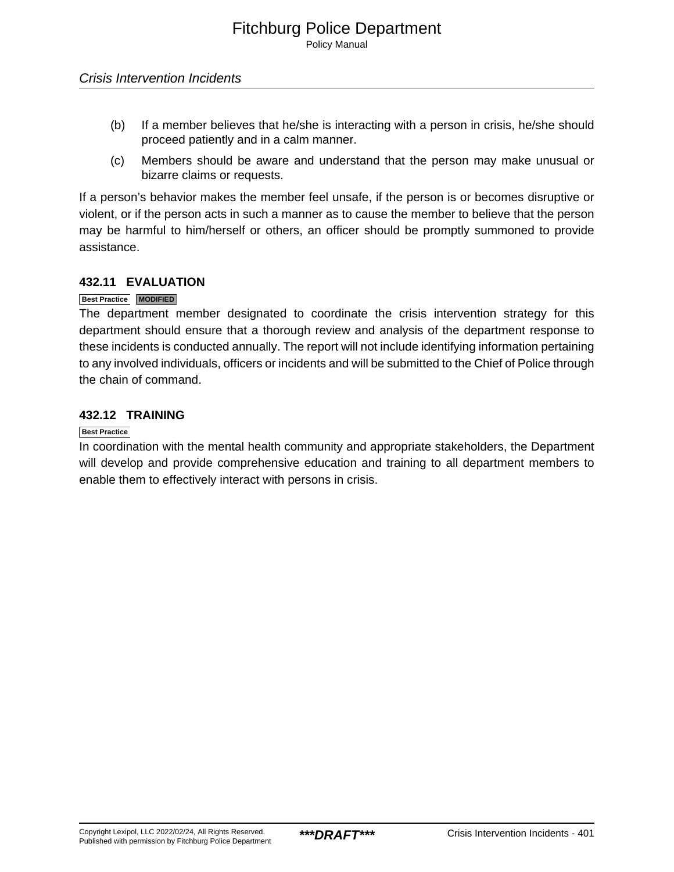- (b) If a member believes that he/she is interacting with a person in crisis, he/she should proceed patiently and in a calm manner.
- (c) Members should be aware and understand that the person may make unusual or bizarre claims or requests.

If a person's behavior makes the member feel unsafe, if the person is or becomes disruptive or violent, or if the person acts in such a manner as to cause the member to believe that the person may be harmful to him/herself or others, an officer should be promptly summoned to provide assistance.

### **432.11 EVALUATION**

### **Best Practice MODIFIED**

The department member designated to coordinate the crisis intervention strategy for this department should ensure that a thorough review and analysis of the department response to these incidents is conducted annually. The report will not include identifying information pertaining to any involved individuals, officers or incidents and will be submitted to the Chief of Police through the chain of command.

### **432.12 TRAINING**

### **Best Practice**

In coordination with the mental health community and appropriate stakeholders, the Department will develop and provide comprehensive education and training to all department members to enable them to effectively interact with persons in crisis.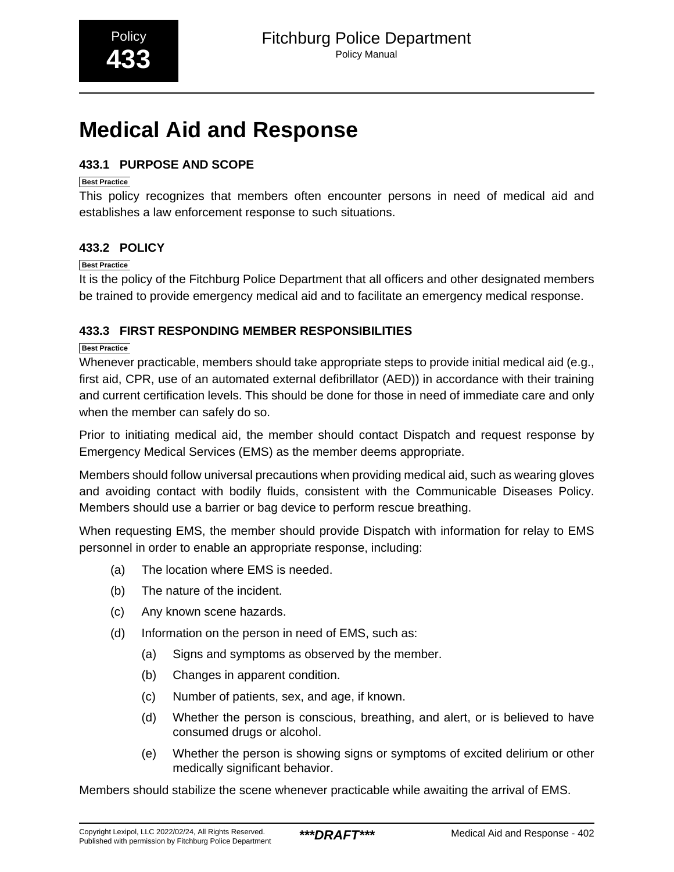## <span id="page-65-0"></span>**Medical Aid and Response**

### **433.1 PURPOSE AND SCOPE**

### **Best Practice**

This policy recognizes that members often encounter persons in need of medical aid and establishes a law enforcement response to such situations.

### **433.2 POLICY**

### **Best Practice**

It is the policy of the Fitchburg Police Department that all officers and other designated members be trained to provide emergency medical aid and to facilitate an emergency medical response.

### **433.3 FIRST RESPONDING MEMBER RESPONSIBILITIES**

### **Best Practice**

Whenever practicable, members should take appropriate steps to provide initial medical aid (e.g., first aid, CPR, use of an automated external defibrillator (AED)) in accordance with their training and current certification levels. This should be done for those in need of immediate care and only when the member can safely do so.

Prior to initiating medical aid, the member should contact Dispatch and request response by Emergency Medical Services (EMS) as the member deems appropriate.

Members should follow universal precautions when providing medical aid, such as wearing gloves and avoiding contact with bodily fluids, consistent with the Communicable Diseases Policy. Members should use a barrier or bag device to perform rescue breathing.

When requesting EMS, the member should provide Dispatch with information for relay to EMS personnel in order to enable an appropriate response, including:

- (a) The location where EMS is needed.
- (b) The nature of the incident.
- (c) Any known scene hazards.
- (d) Information on the person in need of EMS, such as:
	- (a) Signs and symptoms as observed by the member.
	- (b) Changes in apparent condition.
	- (c) Number of patients, sex, and age, if known.
	- (d) Whether the person is conscious, breathing, and alert, or is believed to have consumed drugs or alcohol.
	- (e) Whether the person is showing signs or symptoms of excited delirium or other medically significant behavior.

Members should stabilize the scene whenever practicable while awaiting the arrival of EMS.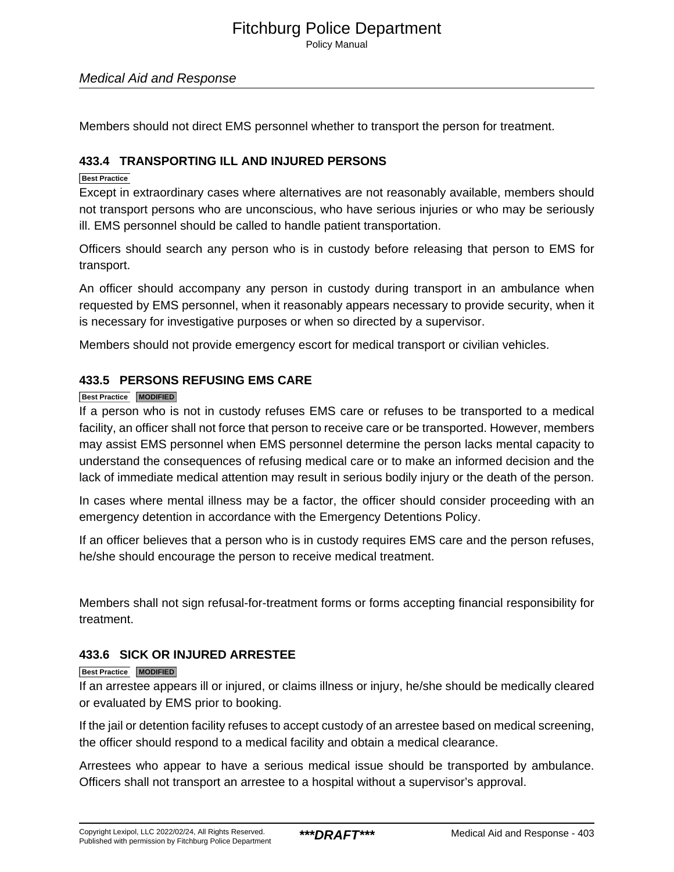Policy Manual

### Medical Aid and Response

Members should not direct EMS personnel whether to transport the person for treatment.

### **433.4 TRANSPORTING ILL AND INJURED PERSONS**

### **Best Practice**

Except in extraordinary cases where alternatives are not reasonably available, members should not transport persons who are unconscious, who have serious injuries or who may be seriously ill. EMS personnel should be called to handle patient transportation.

Officers should search any person who is in custody before releasing that person to EMS for transport.

An officer should accompany any person in custody during transport in an ambulance when requested by EMS personnel, when it reasonably appears necessary to provide security, when it is necessary for investigative purposes or when so directed by a supervisor.

Members should not provide emergency escort for medical transport or civilian vehicles.

### **433.5 PERSONS REFUSING EMS CARE**

### **Best Practice MODIFIED**

If a person who is not in custody refuses EMS care or refuses to be transported to a medical facility, an officer shall not force that person to receive care or be transported. However, members may assist EMS personnel when EMS personnel determine the person lacks mental capacity to understand the consequences of refusing medical care or to make an informed decision and the lack of immediate medical attention may result in serious bodily injury or the death of the person.

In cases where mental illness may be a factor, the officer should consider proceeding with an emergency detention in accordance with the Emergency Detentions Policy.

If an officer believes that a person who is in custody requires EMS care and the person refuses, he/she should encourage the person to receive medical treatment.

Members shall not sign refusal-for-treatment forms or forms accepting financial responsibility for treatment.

### **433.6 SICK OR INJURED ARRESTEE**

### **Best Practice MODIFIED**

If an arrestee appears ill or injured, or claims illness or injury, he/she should be medically cleared or evaluated by EMS prior to booking.

If the jail or detention facility refuses to accept custody of an arrestee based on medical screening, the officer should respond to a medical facility and obtain a medical clearance.

Arrestees who appear to have a serious medical issue should be transported by ambulance. Officers shall not transport an arrestee to a hospital without a supervisor's approval.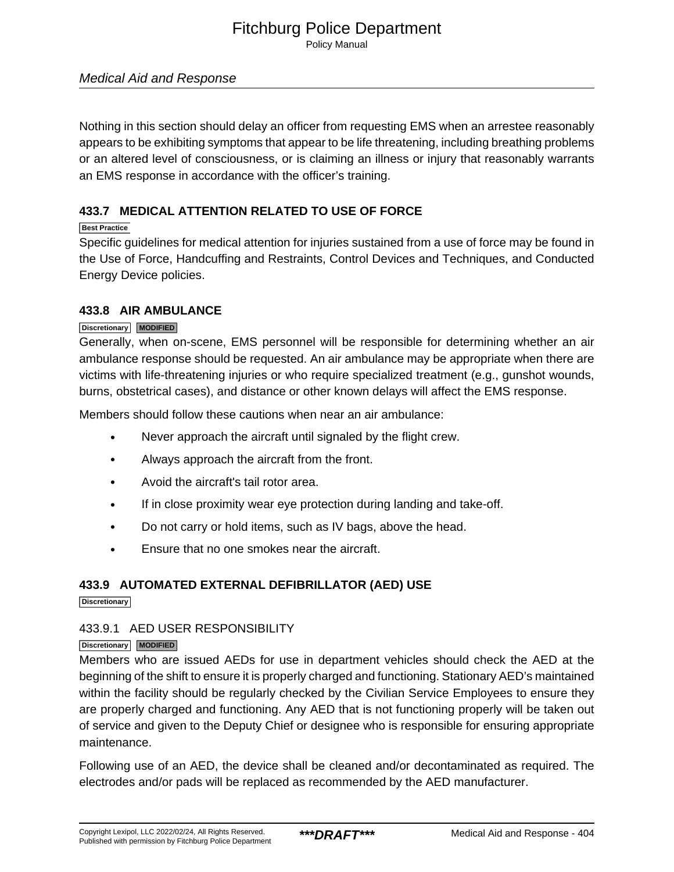Policy Manual

### Medical Aid and Response

Nothing in this section should delay an officer from requesting EMS when an arrestee reasonably appears to be exhibiting symptoms that appear to be life threatening, including breathing problems or an altered level of consciousness, or is claiming an illness or injury that reasonably warrants an EMS response in accordance with the officer's training.

### **433.7 MEDICAL ATTENTION RELATED TO USE OF FORCE**

### **Best Practice**

Specific guidelines for medical attention for injuries sustained from a use of force may be found in the Use of Force, Handcuffing and Restraints, Control Devices and Techniques, and Conducted Energy Device policies.

### **433.8 AIR AMBULANCE**

### **Discretionary MODIFIED**

Generally, when on-scene, EMS personnel will be responsible for determining whether an air ambulance response should be requested. An air ambulance may be appropriate when there are victims with life-threatening injuries or who require specialized treatment (e.g., gunshot wounds, burns, obstetrical cases), and distance or other known delays will affect the EMS response.

Members should follow these cautions when near an air ambulance:

- Never approach the aircraft until signaled by the flight crew.
- Always approach the aircraft from the front.
- Avoid the aircraft's tail rotor area.
- If in close proximity wear eye protection during landing and take-off.
- Do not carry or hold items, such as IV bags, above the head.
- Ensure that no one smokes near the aircraft.

### **433.9 AUTOMATED EXTERNAL DEFIBRILLATOR (AED) USE**

**Discretionary**

### 433.9.1 AED USER RESPONSIBILITY

### **Discretionary MODIFIED**

Members who are issued AEDs for use in department vehicles should check the AED at the beginning of the shift to ensure it is properly charged and functioning. Stationary AED's maintained within the facility should be regularly checked by the Civilian Service Employees to ensure they are properly charged and functioning. Any AED that is not functioning properly will be taken out of service and given to the Deputy Chief or designee who is responsible for ensuring appropriate maintenance.

Following use of an AED, the device shall be cleaned and/or decontaminated as required. The electrodes and/or pads will be replaced as recommended by the AED manufacturer.